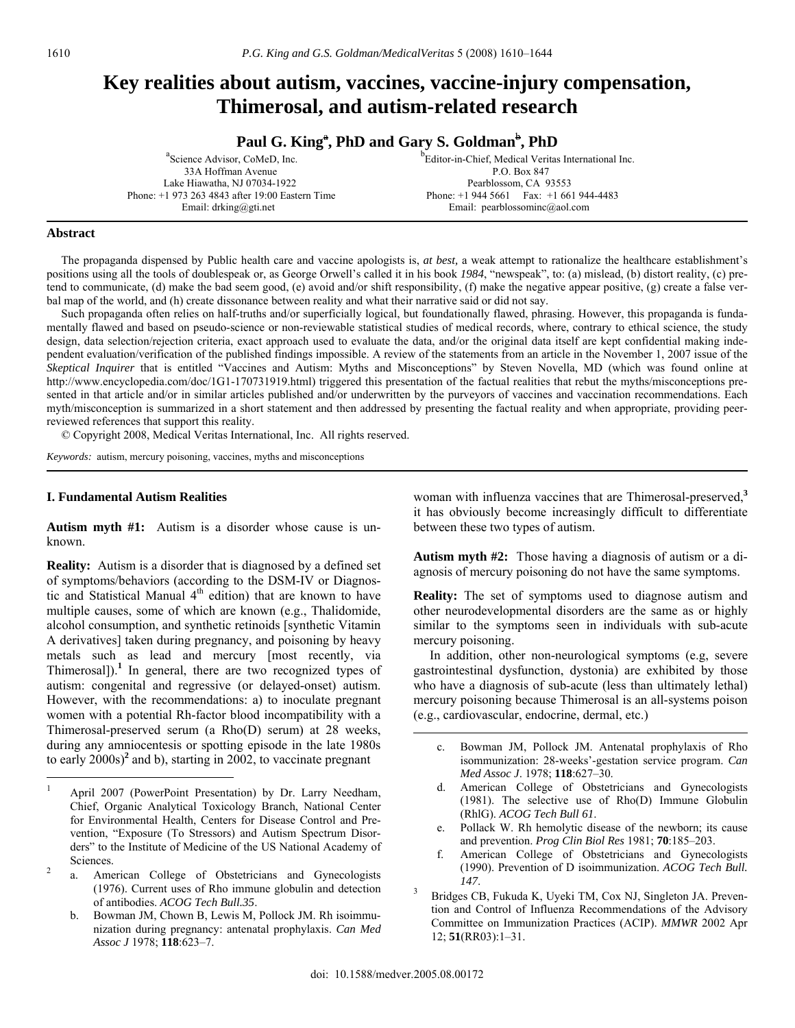## **Key realities about autism, vaccines, vaccine-injury compensation, Thimerosal, and autism-related research**

**Paul G. King<sup>a</sup>, PhD and Gary S. Goldman<sup>b</sup>, PhD** 

| <sup>b</sup> Editor-in-Chief, Medical Veritas International Inc. |
|------------------------------------------------------------------|
| P.O. Box 847                                                     |
| Pearblossom, CA 93553                                            |
| Phone: $+1$ 944 5661 Fax: $+1$ 661 944-4483                      |
| Email: pearblossoming@aol.com                                    |
|                                                                  |

#### **Abstract**

 The propaganda dispensed by Public health care and vaccine apologists is, *at best,* a weak attempt to rationalize the healthcare establishment's positions using all the tools of doublespeak or, as George Orwell's called it in his book *1984*, "newspeak", to: (a) mislead, (b) distort reality, (c) pretend to communicate, (d) make the bad seem good, (e) avoid and/or shift responsibility, (f) make the negative appear positive, (g) create a false verbal map of the world, and (h) create dissonance between reality and what their narrative said or did not say.

 Such propaganda often relies on half-truths and/or superficially logical, but foundationally flawed, phrasing. However, this propaganda is fundamentally flawed and based on pseudo-science or non-reviewable statistical studies of medical records, where, contrary to ethical science, the study design, data selection/rejection criteria, exact approach used to evaluate the data, and/or the original data itself are kept confidential making independent evaluation/verification of the published findings impossible. A review of the statements from an article in the November 1, 2007 issue of the *Skeptical Inquirer* that is entitled "Vaccines and Autism: Myths and Misconceptions" by Steven Novella, MD (which was found online at http://www.encyclopedia.com/doc/1G1-170731919.html) triggered this presentation of the factual realities that rebut the myths/misconceptions presented in that article and/or in similar articles published and/or underwritten by the purveyors of vaccines and vaccination recommendations. Each myth/misconception is summarized in a short statement and then addressed by presenting the factual reality and when appropriate, providing peerreviewed references that support this reality.

© Copyright 2008, Medical Veritas International, Inc. All rights reserved.

*Keywords:* autism, mercury poisoning, vaccines, myths and misconceptions

#### **I. Fundamental Autism Realities**

**Autism myth #1:** Autism is a disorder whose cause is unknown.

**Reality:** Autism is a disorder that is diagnosed by a defined set of symptoms/behaviors (according to the DSM-IV or Diagnostic and Statistical Manual 4<sup>th</sup> edition) that are known to have multiple causes, some of which are known (e.g., Thalidomide, alcohol consumption, and synthetic retinoids [synthetic Vitamin A derivatives] taken during pregnancy, and poisoning by heavy metals such as lead and mercury [most recently, via Thimerosal]). $<sup>1</sup>$  In general, there are two recognized types of</sup> autism: congenital and regressive (or delayed-onset) autism. However, with the recommendations: a) to inoculate pregnant women with a potential Rh-factor blood incompatibility with a Thimerosal-preserved serum (a Rho(D) serum) at 28 weeks, during any amniocentesis or spotting episode in the late 1980s to early 2000s)**<sup>2</sup>** and b), starting in 2002, to vaccinate pregnant

woman with influenza vaccines that are Thimerosal-preserved,**<sup>3</sup>** it has obviously become increasingly difficult to differentiate between these two types of autism.

**Autism myth #2:** Those having a diagnosis of autism or a diagnosis of mercury poisoning do not have the same symptoms.

**Reality:** The set of symptoms used to diagnose autism and other neurodevelopmental disorders are the same as or highly similar to the symptoms seen in individuals with sub-acute mercury poisoning.

 In addition, other non-neurological symptoms (e.g, severe gastrointestinal dysfunction, dystonia) are exhibited by those who have a diagnosis of sub-acute (less than ultimately lethal) mercury poisoning because Thimerosal is an all-systems poison (e.g., cardiovascular, endocrine, dermal, etc.)

- c. Bowman JM, Pollock JM. Antenatal prophylaxis of Rho isommunization: 28-weeks'-gestation service program. *Can Med Assoc J*. 1978; **118**:627–30.
- American College of Obstetricians and Gynecologists (1981). The selective use of Rho(D) Immune Globulin (RhlG). *ACOG Tech Bull 61*.
- e. Pollack W. Rh hemolytic disease of the newborn; its cause and prevention. *Prog Clin Biol Res* 1981; **70**:185–203.
- f. American College of Obstetricians and Gynecologists (1990). Prevention of D isoimmunization. *ACOG Tech Bull.*
- *<sup>147</sup>*. 3 Bridges CB, Fukuda K, Uyeki TM, Cox NJ, Singleton JA. Prevention and Control of Influenza Recommendations of the Advisory Committee on Immunization Practices (ACIP). *MMWR* 2002 Apr 12; **51**(RR03):1–31.

 $\mathbf{1}$ <sup>1</sup> April 2007 (PowerPoint Presentation) by Dr. Larry Needham, Chief, Organic Analytical Toxicology Branch, National Center for Environmental Health, Centers for Disease Control and Prevention, "Exposure (To Stressors) and Autism Spectrum Disorders" to the Institute of Medicine of the US National Academy of Sciences.

American College of Obstetricians and Gynecologists (1976). Current uses of Rho immune globulin and detection of antibodies. *ACOG Tech Bull.35*.

b. Bowman JM, Chown B, Lewis M, Pollock JM. Rh isoimmunization during pregnancy: antenatal prophylaxis. *Can Med Assoc J* 1978; **118**:623–7.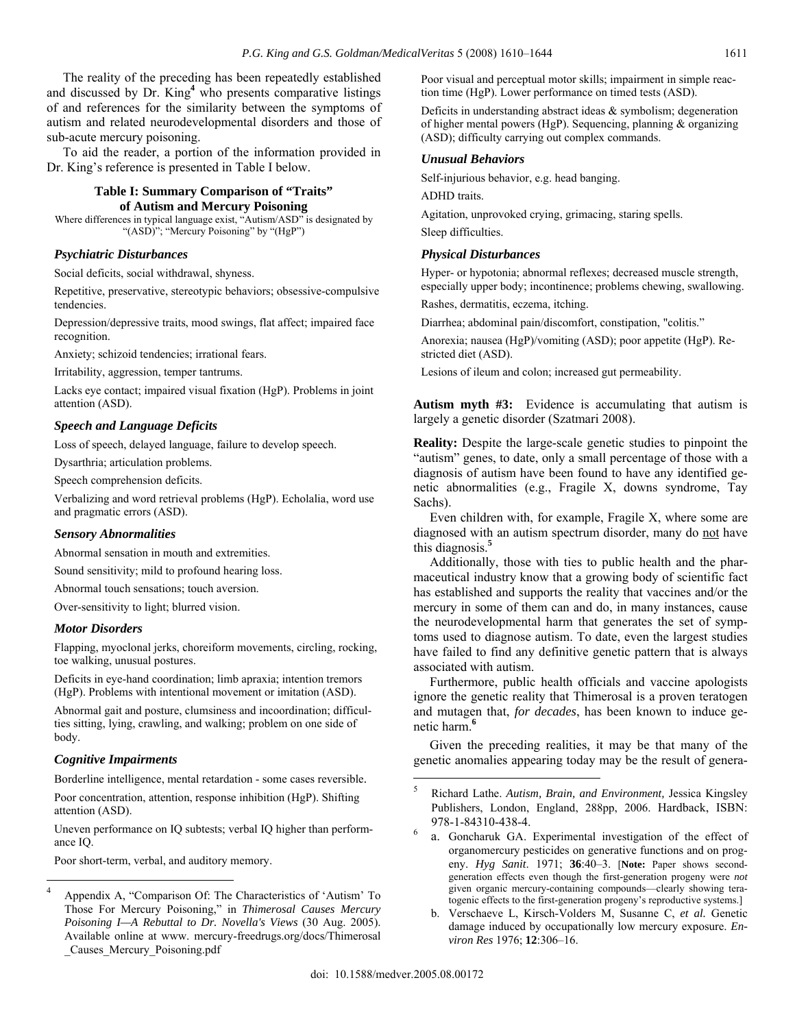The reality of the preceding has been repeatedly established and discussed by Dr. King**<sup>4</sup>** who presents comparative listings of and references for the similarity between the symptoms of autism and related neurodevelopmental disorders and those of sub-acute mercury poisoning.

 To aid the reader, a portion of the information provided in Dr. King's reference is presented in Table I below.

## **Table I: Summary Comparison of "Traits" of Autism and Mercury Poisoning**

Where differences in typical language exist, "Autism/ASD" is designated by "(ASD)"; "Mercury Poisoning" by "(HgP")

## *Psychiatric Disturbances*

Social deficits, social withdrawal, shyness.

Repetitive, preservative, stereotypic behaviors; obsessive-compulsive tendencies.

Depression/depressive traits, mood swings, flat affect; impaired face recognition.

Anxiety; schizoid tendencies; irrational fears.

Irritability, aggression, temper tantrums.

Lacks eye contact; impaired visual fixation (HgP). Problems in joint attention (ASD).

## *Speech and Language Deficits*

Loss of speech, delayed language, failure to develop speech.

Dysarthria; articulation problems.

Speech comprehension deficits.

Verbalizing and word retrieval problems (HgP). Echolalia, word use and pragmatic errors (ASD).

#### *Sensory Abnormalities*

Abnormal sensation in mouth and extremities.

Sound sensitivity; mild to profound hearing loss.

Abnormal touch sensations; touch aversion.

Over-sensitivity to light; blurred vision.

## *Motor Disorders*

Flapping, myoclonal jerks, choreiform movements, circling, rocking, toe walking, unusual postures.

Deficits in eye-hand coordination; limb apraxia; intention tremors (HgP). Problems with intentional movement or imitation (ASD).

Abnormal gait and posture, clumsiness and incoordination; difficulties sitting, lying, crawling, and walking; problem on one side of body.

#### *Cognitive Impairments*

 $\overline{a}$ 

Borderline intelligence, mental retardation - some cases reversible.

Poor concentration, attention, response inhibition (HgP). Shifting attention (ASD).

Uneven performance on IQ subtests; verbal IQ higher than performance IQ.

Poor short-term, verbal, and auditory memory.

Poor visual and perceptual motor skills; impairment in simple reaction time (HgP). Lower performance on timed tests (ASD).

Deficits in understanding abstract ideas & symbolism; degeneration of higher mental powers (HgP). Sequencing, planning & organizing (ASD); difficulty carrying out complex commands.

#### *Unusual Behaviors*

Self-injurious behavior, e.g. head banging.

ADHD traits.

Agitation, unprovoked crying, grimacing, staring spells.

Sleep difficulties.

#### *Physical Disturbances*

Hyper- or hypotonia; abnormal reflexes; decreased muscle strength, especially upper body; incontinence; problems chewing, swallowing.

Rashes, dermatitis, eczema, itching.

Diarrhea; abdominal pain/discomfort, constipation, "colitis."

Anorexia; nausea (HgP)/vomiting (ASD); poor appetite (HgP). Restricted diet (ASD).

Lesions of ileum and colon; increased gut permeability.

**Autism myth #3:** Evidence is accumulating that autism is largely a genetic disorder (Szatmari 2008).

**Reality:** Despite the large-scale genetic studies to pinpoint the "autism" genes, to date, only a small percentage of those with a diagnosis of autism have been found to have any identified genetic abnormalities (e.g., Fragile X, downs syndrome, Tay Sachs).

 Even children with, for example, Fragile X, where some are diagnosed with an autism spectrum disorder, many do not have this diagnosis.**<sup>5</sup>**

 Additionally, those with ties to public health and the pharmaceutical industry know that a growing body of scientific fact has established and supports the reality that vaccines and/or the mercury in some of them can and do, in many instances, cause the neurodevelopmental harm that generates the set of symptoms used to diagnose autism. To date, even the largest studies have failed to find any definitive genetic pattern that is always associated with autism.

 Furthermore, public health officials and vaccine apologists ignore the genetic reality that Thimerosal is a proven teratogen and mutagen that, *for decades*, has been known to induce genetic harm.**<sup>6</sup>**

 Given the preceding realities, it may be that many of the genetic anomalies appearing today may be the result of genera-

<sup>4</sup> Appendix A, "Comparison Of: The Characteristics of 'Autism' To Those For Mercury Poisoning," in *Thimerosal Causes Mercury Poisoning I—A Rebuttal to Dr. Novella's Views* (30 Aug. 2005). Available online at www. mercury-freedrugs.org/docs/Thimerosal \_Causes\_Mercury\_Poisoning.pdf

<sup>5</sup> Richard Lathe. *Autism, Brain, and Environment,* Jessica Kingsley Publishers, London, England, 288pp, 2006. Hardback, ISBN: 978-1-84310-438-4. <sup>6</sup>

a. Goncharuk GA. Experimental investigation of the effect of organomercury pesticides on generative functions and on progeny. *Hyg Sanit*. 1971; **36**:40–3. [**Note:** Paper shows secondgeneration effects even though the first-generation progeny were *not* given organic mercury-containing compounds—clearly showing teratogenic effects to the first-generation progeny's reproductive systems.]

b. Verschaeve L, Kirsch-Volders M, Susanne C, *et al.* Genetic damage induced by occupationally low mercury exposure. *Environ Res* 1976; **12**:306–16.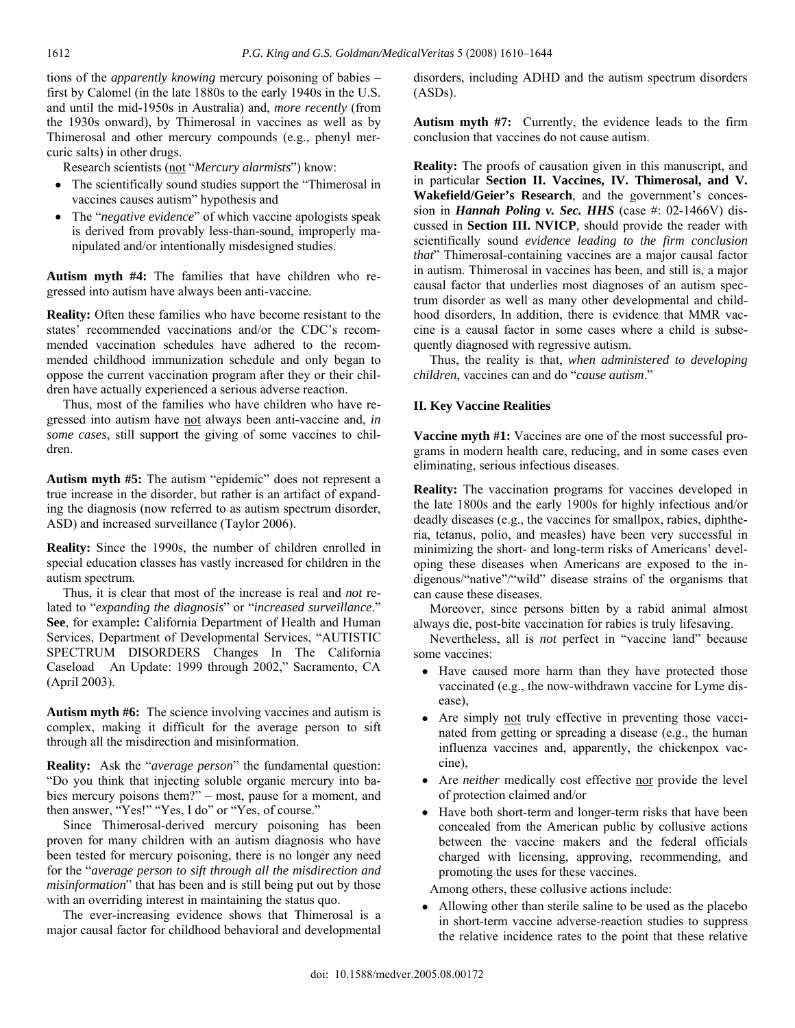1612

tions of the *apparently knowing* mercury poisoning of babies – first by Calomel (in the late 1880s to the early 1940s in the U.S. and until the mid-1950s in Australia) and, *more recently* (from the 1930s onward), by Thimerosal in vaccines as well as by Thimerosal and other mercury compounds (e.g., phenyl mercuric salts) in other drugs.

Research scientists (not "*Mercury alarmists*") know:

- The scientifically sound studies support the "Thimerosal in vaccines causes autism" hypothesis and
- The "*negative evidence*" of which vaccine apologists speak is derived from provably less-than-sound, improperly manipulated and/or intentionally misdesigned studies.

**Autism myth #4:** The families that have children who regressed into autism have always been anti-vaccine.

**Reality:** Often these families who have become resistant to the states' recommended vaccinations and/or the CDC's recommended vaccination schedules have adhered to the recommended childhood immunization schedule and only began to oppose the current vaccination program after they or their children have actually experienced a serious adverse reaction.

 Thus, most of the families who have children who have regressed into autism have not always been anti-vaccine and, *in some cases*, still support the giving of some vaccines to children.

**Autism myth #5:** The autism "epidemic" does not represent a true increase in the disorder, but rather is an artifact of expanding the diagnosis (now referred to as autism spectrum disorder, ASD) and increased surveillance (Taylor 2006).

**Reality:** Since the 1990s, the number of children enrolled in special education classes has vastly increased for children in the autism spectrum.

 Thus, it is clear that most of the increase is real and *not* related to "*expanding the diagnosis*" or "*increased surveillance*." **See**, for example**:** California Department of Health and Human Services, Department of Developmental Services, "AUTISTIC SPECTRUM DISORDERS Changes In The California Caseload An Update: 1999 through 2002," Sacramento, CA (April 2003).

**Autism myth #6:** The science involving vaccines and autism is complex, making it difficult for the average person to sift through all the misdirection and misinformation.

**Reality:** Ask the "*average person*" the fundamental question: "Do you think that injecting soluble organic mercury into babies mercury poisons them?" – most, pause for a moment, and then answer, "Yes!" "Yes, I do" or "Yes, of course."

 Since Thimerosal-derived mercury poisoning has been proven for many children with an autism diagnosis who have been tested for mercury poisoning, there is no longer any need for the "*average person to sift through all the misdirection and misinformation*" that has been and is still being put out by those with an overriding interest in maintaining the status quo.

 The ever-increasing evidence shows that Thimerosal is a major causal factor for childhood behavioral and developmental disorders, including ADHD and the autism spectrum disorders (ASDs).

**Autism myth #7:** Currently, the evidence leads to the firm conclusion that vaccines do not cause autism.

**Reality:** The proofs of causation given in this manuscript, and in particular **Section II. Vaccines, IV. Thimerosal, and V. Wakefield/Geier's Research**, and the government's concession in *Hannah Poling v. Sec. HHS* (case #: 02-1466V) discussed in **Section III. NVICP**, should provide the reader with scientifically sound *evidence leading to the firm conclusion that*" Thimerosal-containing vaccines are a major causal factor in autism. Thimerosal in vaccines has been, and still is, a major causal factor that underlies most diagnoses of an autism spectrum disorder as well as many other developmental and childhood disorders, In addition, there is evidence that MMR vaccine is a causal factor in some cases where a child is subsequently diagnosed with regressive autism.

 Thus, the reality is that, *when administered to developing children*, vaccines can and do "*cause autism*."

## **II. Key Vaccine Realities**

**Vaccine myth #1:** Vaccines are one of the most successful programs in modern health care, reducing, and in some cases even eliminating, serious infectious diseases.

**Reality:** The vaccination programs for vaccines developed in the late 1800s and the early 1900s for highly infectious and/or deadly diseases (e.g., the vaccines for smallpox, rabies, diphtheria, tetanus, polio, and measles) have been very successful in minimizing the short- and long-term risks of Americans' developing these diseases when Americans are exposed to the indigenous/"native"/"wild" disease strains of the organisms that can cause these diseases.

 Moreover, since persons bitten by a rabid animal almost always die, post-bite vaccination for rabies is truly lifesaving.

 Nevertheless, all is *not* perfect in "vaccine land" because some vaccines:

- Have caused more harm than they have protected those vaccinated (e.g., the now-withdrawn vaccine for Lyme disease),
- Are simply not truly effective in preventing those vaccinated from getting or spreading a disease (e.g., the human influenza vaccines and, apparently, the chickenpox vaccine),
- Are *neither* medically cost effective nor provide the level of protection claimed and/or
- Have both short-term and longer-term risks that have been concealed from the American public by collusive actions between the vaccine makers and the federal officials charged with licensing, approving, recommending, and promoting the uses for these vaccines.

Among others, these collusive actions include:

• Allowing other than sterile saline to be used as the placebo in short-term vaccine adverse-reaction studies to suppress the relative incidence rates to the point that these relative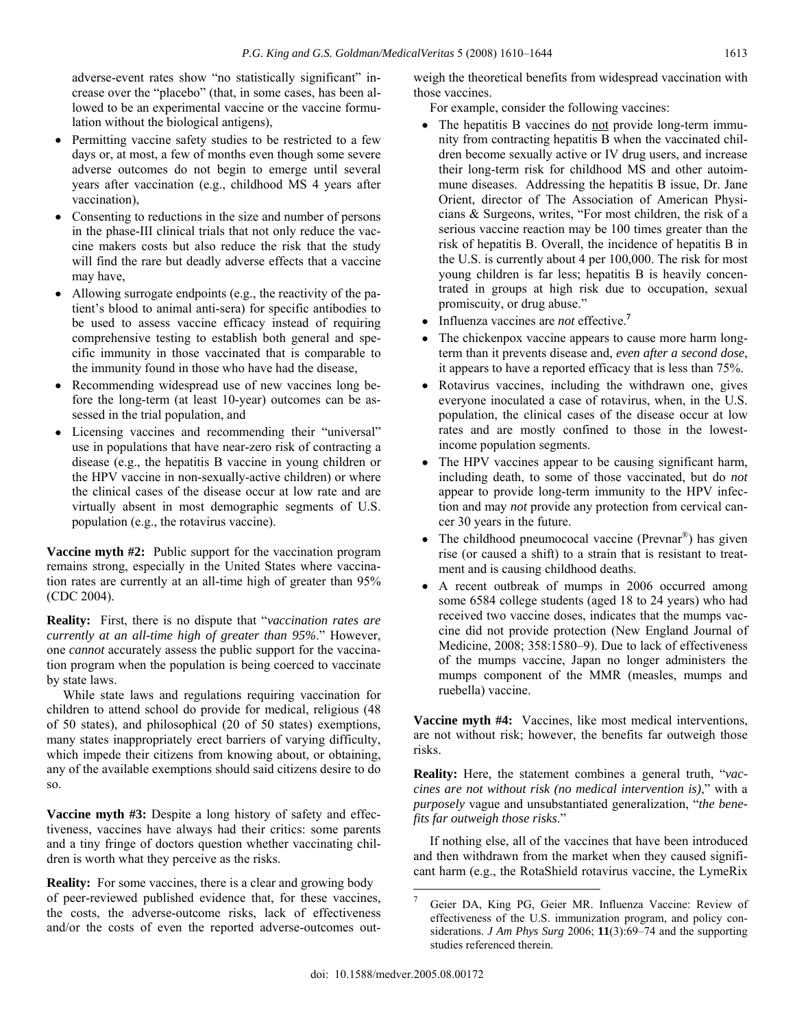adverse-event rates show "no statistically significant" increase over the "placebo" (that, in some cases, has been allowed to be an experimental vaccine or the vaccine formulation without the biological antigens),

- Permitting vaccine safety studies to be restricted to a few days or, at most, a few of months even though some severe adverse outcomes do not begin to emerge until several years after vaccination (e.g., childhood MS 4 years after vaccination),
- Consenting to reductions in the size and number of persons in the phase-III clinical trials that not only reduce the vaccine makers costs but also reduce the risk that the study will find the rare but deadly adverse effects that a vaccine may have,
- Allowing surrogate endpoints (e.g., the reactivity of the patient's blood to animal anti-sera) for specific antibodies to be used to assess vaccine efficacy instead of requiring comprehensive testing to establish both general and specific immunity in those vaccinated that is comparable to the immunity found in those who have had the disease,
- Recommending widespread use of new vaccines long before the long-term (at least 10-year) outcomes can be assessed in the trial population, and
- Licensing vaccines and recommending their "universal" use in populations that have near-zero risk of contracting a disease (e.g., the hepatitis B vaccine in young children or the HPV vaccine in non-sexually-active children) or where the clinical cases of the disease occur at low rate and are virtually absent in most demographic segments of U.S. population (e.g., the rotavirus vaccine).

**Vaccine myth #2:** Public support for the vaccination program remains strong, especially in the United States where vaccination rates are currently at an all-time high of greater than 95% (CDC 2004).

**Reality:** First, there is no dispute that "*vaccination rates are currently at an all-time high of greater than 95%*." However, one *cannot* accurately assess the public support for the vaccination program when the population is being coerced to vaccinate by state laws.

 While state laws and regulations requiring vaccination for children to attend school do provide for medical, religious (48 of 50 states), and philosophical (20 of 50 states) exemptions, many states inappropriately erect barriers of varying difficulty, which impede their citizens from knowing about, or obtaining, any of the available exemptions should said citizens desire to do so.

**Vaccine myth #3:** Despite a long history of safety and effectiveness, vaccines have always had their critics: some parents and a tiny fringe of doctors question whether vaccinating children is worth what they perceive as the risks.

**Reality:** For some vaccines, there is a clear and growing body of peer-reviewed published evidence that, for these vaccines, the costs, the adverse-outcome risks, lack of effectiveness and/or the costs of even the reported adverse-outcomes outweigh the theoretical benefits from widespread vaccination with those vaccines.

For example, consider the following vaccines:

- The hepatitis B vaccines do not provide long-term immunity from contracting hepatitis B when the vaccinated children become sexually active or IV drug users, and increase their long-term risk for childhood MS and other autoimmune diseases. Addressing the hepatitis B issue, Dr. Jane Orient, director of The Association of American Physicians & Surgeons, writes, "For most children, the risk of a serious vaccine reaction may be 100 times greater than the risk of hepatitis B. Overall, the incidence of hepatitis B in the U.S. is currently about 4 per 100,000. The risk for most young children is far less; hepatitis B is heavily concentrated in groups at high risk due to occupation, sexual promiscuity, or drug abuse."
- Influenza vaccines are *not* effective.**<sup>7</sup>**
- The chickenpox vaccine appears to cause more harm longterm than it prevents disease and, *even after a second dose*, it appears to have a reported efficacy that is less than 75%.
- Rotavirus vaccines, including the withdrawn one, gives everyone inoculated a case of rotavirus, when, in the U.S. population, the clinical cases of the disease occur at low rates and are mostly confined to those in the lowestincome population segments.
- The HPV vaccines appear to be causing significant harm, including death, to some of those vaccinated, but do *not*  appear to provide long-term immunity to the HPV infection and may *not* provide any protection from cervical cancer 30 years in the future.
- The childhood pneumococal vaccine ( $P$ revnar<sup>®</sup>) has given rise (or caused a shift) to a strain that is resistant to treatment and is causing childhood deaths.
- A recent outbreak of mumps in 2006 occurred among some 6584 college students (aged 18 to 24 years) who had received two vaccine doses, indicates that the mumps vaccine did not provide protection (New England Journal of Medicine, 2008; 358:1580–9). Due to lack of effectiveness of the mumps vaccine, Japan no longer administers the mumps component of the MMR (measles, mumps and ruebella) vaccine.

**Vaccine myth #4:** Vaccines, like most medical interventions, are not without risk; however, the benefits far outweigh those risks.

**Reality:** Here, the statement combines a general truth, "*vaccines are not without risk (no medical intervention is)*," with a *purposely* vague and unsubstantiated generalization, "*the benefits far outweigh those risks*."

 If nothing else, all of the vaccines that have been introduced and then withdrawn from the market when they caused significant harm (e.g., the RotaShield rotavirus vaccine, the LymeRix

<sup>7</sup> Geier DA, King PG, Geier MR. Influenza Vaccine: Review of effectiveness of the U.S. immunization program, and policy considerations. *J Am Phys Surg* 2006; **11**(3):69–74 and the supporting studies referenced therein.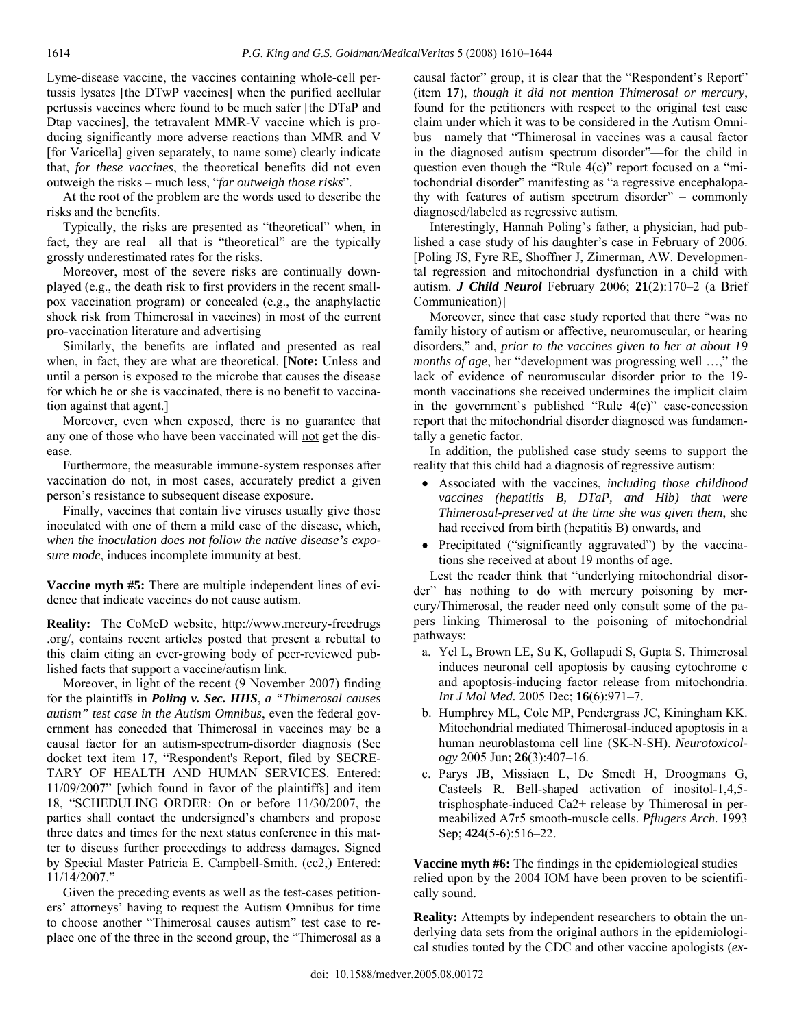Lyme-disease vaccine, the vaccines containing whole-cell pertussis lysates [the DTwP vaccines] when the purified acellular pertussis vaccines where found to be much safer [the DTaP and Dtap vaccines], the tetravalent MMR-V vaccine which is producing significantly more adverse reactions than MMR and V [for Varicella] given separately, to name some) clearly indicate that, *for these vaccines*, the theoretical benefits did not even outweigh the risks – much less, "*far outweigh those risks*".

 At the root of the problem are the words used to describe the risks and the benefits.

 Typically, the risks are presented as "theoretical" when, in fact, they are real—all that is "theoretical" are the typically grossly underestimated rates for the risks.

 Moreover, most of the severe risks are continually downplayed (e.g., the death risk to first providers in the recent smallpox vaccination program) or concealed (e.g., the anaphylactic shock risk from Thimerosal in vaccines) in most of the current pro-vaccination literature and advertising

 Similarly, the benefits are inflated and presented as real when, in fact, they are what are theoretical. [**Note:** Unless and until a person is exposed to the microbe that causes the disease for which he or she is vaccinated, there is no benefit to vaccination against that agent.]

 Moreover, even when exposed, there is no guarantee that any one of those who have been vaccinated will not get the disease.

 Furthermore, the measurable immune-system responses after vaccination do not, in most cases, accurately predict a given person's resistance to subsequent disease exposure.

 Finally, vaccines that contain live viruses usually give those inoculated with one of them a mild case of the disease, which, *when the inoculation does not follow the native disease's exposure mode*, induces incomplete immunity at best.

**Vaccine myth #5:** There are multiple independent lines of evidence that indicate vaccines do not cause autism.

**Reality:** The CoMeD website, http://www.mercury-freedrugs .org/, contains recent articles posted that present a rebuttal to this claim citing an ever-growing body of peer-reviewed published facts that support a vaccine/autism link.

 Moreover, in light of the recent (9 November 2007) finding for the plaintiffs in *Poling v. Sec. HHS*, *a "Thimerosal causes autism" test case in the Autism Omnibus*, even the federal government has conceded that Thimerosal in vaccines may be a causal factor for an autism-spectrum-disorder diagnosis (See docket text item 17, "Respondent's Report, filed by SECRE-TARY OF HEALTH AND HUMAN SERVICES. Entered: 11/09/2007" [which found in favor of the plaintiffs] and item 18, "SCHEDULING ORDER: On or before 11/30/2007, the parties shall contact the undersigned's chambers and propose three dates and times for the next status conference in this matter to discuss further proceedings to address damages. Signed by Special Master Patricia E. Campbell-Smith. (cc2,) Entered: 11/14/2007."

 Given the preceding events as well as the test-cases petitioners' attorneys' having to request the Autism Omnibus for time to choose another "Thimerosal causes autism" test case to replace one of the three in the second group, the "Thimerosal as a causal factor" group, it is clear that the "Respondent's Report" (item **17**), *though it did not mention Thimerosal or mercury*, found for the petitioners with respect to the original test case claim under which it was to be considered in the Autism Omnibus—namely that "Thimerosal in vaccines was a causal factor in the diagnosed autism spectrum disorder"—for the child in question even though the "Rule 4(c)" report focused on a "mitochondrial disorder" manifesting as "a regressive encephalopathy with features of autism spectrum disorder" – commonly diagnosed/labeled as regressive autism.

 Interestingly, Hannah Poling's father, a physician, had published a case study of his daughter's case in February of 2006. [Poling JS, Fyre RE, Shoffner J, Zimerman, AW. Developmental regression and mitochondrial dysfunction in a child with autism. *J Child Neurol* February 2006; **21**(2):170–2 (a Brief Communication)]

 Moreover, since that case study reported that there "was no family history of autism or affective, neuromuscular, or hearing disorders," and, *prior to the vaccines given to her at about 19 months of age*, her "development was progressing well ...," the lack of evidence of neuromuscular disorder prior to the 19 month vaccinations she received undermines the implicit claim in the government's published "Rule 4(c)" case-concession report that the mitochondrial disorder diagnosed was fundamentally a genetic factor.

 In addition, the published case study seems to support the reality that this child had a diagnosis of regressive autism:

- Associated with the vaccines, *including those childhood vaccines (hepatitis B, DTaP, and Hib) that were Thimerosal-preserved at the time she was given them*, she had received from birth (hepatitis B) onwards, and
- Precipitated ("significantly aggravated") by the vaccinations she received at about 19 months of age.

 Lest the reader think that "underlying mitochondrial disorder" has nothing to do with mercury poisoning by mercury/Thimerosal, the reader need only consult some of the papers linking Thimerosal to the poisoning of mitochondrial pathways:

- a. Yel L, Brown LE, Su K, Gollapudi S, Gupta S. Thimerosal induces neuronal cell apoptosis by causing cytochrome c and apoptosis-inducing factor release from mitochondria. *Int J Mol Med.* 2005 Dec; **16**(6):971–7.
- b. Humphrey ML, Cole MP, Pendergrass JC, Kiningham KK. Mitochondrial mediated Thimerosal-induced apoptosis in a human neuroblastoma cell line (SK-N-SH). *Neurotoxicology* 2005 Jun; **26**(3):407–16.
- c. Parys JB, Missiaen L, De Smedt H, Droogmans G, Casteels R. Bell-shaped activation of inositol-1,4,5 trisphosphate-induced Ca2+ release by Thimerosal in permeabilized A7r5 smooth-muscle cells. *Pflugers Arch.* 1993 Sep; **424**(5-6):516–22.

**Vaccine myth #6:** The findings in the epidemiological studies relied upon by the 2004 IOM have been proven to be scientifically sound.

**Reality:** Attempts by independent researchers to obtain the underlying data sets from the original authors in the epidemiological studies touted by the CDC and other vaccine apologists (*ex-*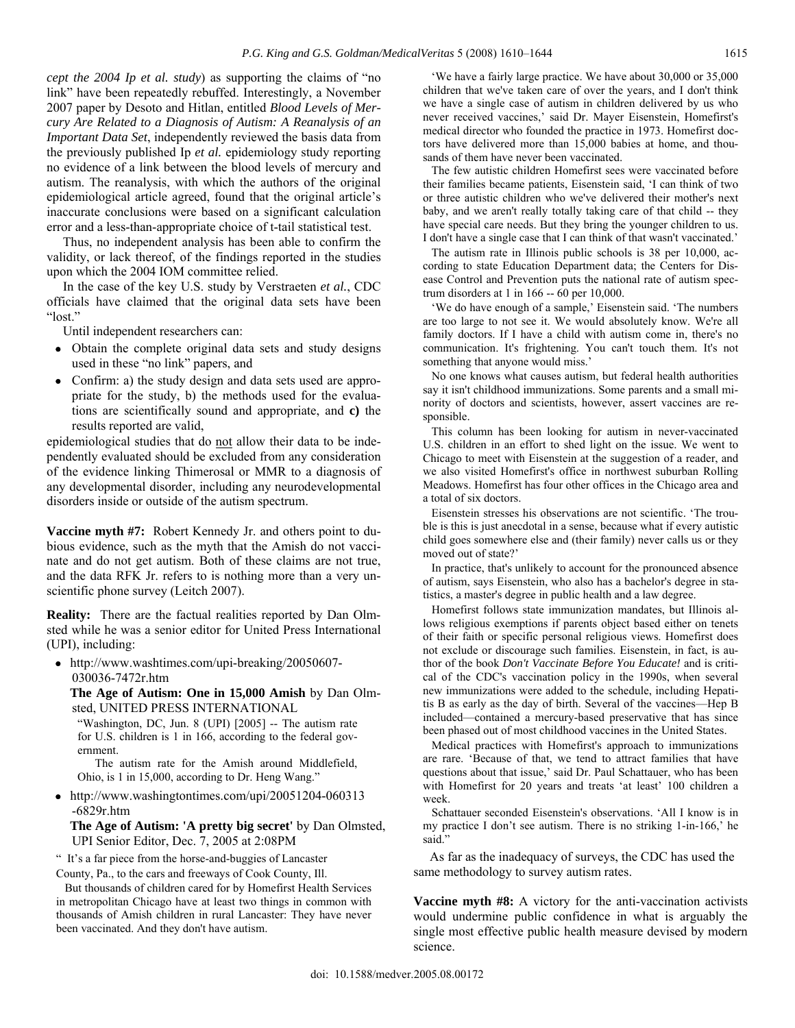*cept the 2004 Ip et al. study*) as supporting the claims of "no link" have been repeatedly rebuffed. Interestingly, a November 2007 paper by Desoto and Hitlan, entitled *Blood Levels of Mercury Are Related to a Diagnosis of Autism: A Reanalysis of an Important Data Set*, independently reviewed the basis data from the previously published Ip *et al.* epidemiology study reporting no evidence of a link between the blood levels of mercury and autism. The reanalysis, with which the authors of the original epidemiological article agreed, found that the original article's inaccurate conclusions were based on a significant calculation error and a less-than-appropriate choice of t-tail statistical test.

 Thus, no independent analysis has been able to confirm the validity, or lack thereof, of the findings reported in the studies upon which the 2004 IOM committee relied.

 In the case of the key U.S. study by Verstraeten *et al.*, CDC officials have claimed that the original data sets have been "lost."

Until independent researchers can:

- Obtain the complete original data sets and study designs used in these "no link" papers, and
- Confirm: a) the study design and data sets used are appropriate for the study, b) the methods used for the evaluations are scientifically sound and appropriate, and **c)** the results reported are valid,

epidemiological studies that do not allow their data to be independently evaluated should be excluded from any consideration of the evidence linking Thimerosal or MMR to a diagnosis of any developmental disorder, including any neurodevelopmental disorders inside or outside of the autism spectrum.

**Vaccine myth #7:** Robert Kennedy Jr. and others point to dubious evidence, such as the myth that the Amish do not vaccinate and do not get autism. Both of these claims are not true, and the data RFK Jr. refers to is nothing more than a very unscientific phone survey (Leitch 2007).

**Reality:** There are the factual realities reported by Dan Olmsted while he was a senior editor for United Press International (UPI), including:

• http://www.washtimes.com/upi-breaking/20050607- 030036-7472r.htm

 **The Age of Autism: One in 15,000 Amish** by Dan Olmsted, UNITED PRESS INTERNATIONAL

"Washington, DC, Jun. 8 (UPI) [2005] -- The autism rate for U.S. children is 1 in 166, according to the federal government.

 The autism rate for the Amish around Middlefield, Ohio, is 1 in 15,000, according to Dr. Heng Wang."

• http://www.washingtontimes.com/upi/20051204-060313 -6829r.htm

 **The Age of Autism: 'A pretty big secret'** by Dan Olmsted, UPI Senior Editor, Dec. 7, 2005 at 2:08PM

" It's a far piece from the horse-and-buggies of Lancaster County, Pa., to the cars and freeways of Cook County, Ill.

 But thousands of children cared for by Homefirst Health Services in metropolitan Chicago have at least two things in common with thousands of Amish children in rural Lancaster: They have never been vaccinated. And they don't have autism.

 'We have a fairly large practice. We have about 30,000 or 35,000 children that we've taken care of over the years, and I don't think we have a single case of autism in children delivered by us who never received vaccines,' said Dr. Mayer Eisenstein, Homefirst's medical director who founded the practice in 1973. Homefirst doctors have delivered more than 15,000 babies at home, and thousands of them have never been vaccinated.

 The few autistic children Homefirst sees were vaccinated before their families became patients, Eisenstein said, 'I can think of two or three autistic children who we've delivered their mother's next baby, and we aren't really totally taking care of that child -- they have special care needs. But they bring the younger children to us. I don't have a single case that I can think of that wasn't vaccinated.'

 The autism rate in Illinois public schools is 38 per 10,000, according to state Education Department data; the Centers for Disease Control and Prevention puts the national rate of autism spectrum disorders at 1 in 166 -- 60 per 10,000.

 'We do have enough of a sample,' Eisenstein said. 'The numbers are too large to not see it. We would absolutely know. We're all family doctors. If I have a child with autism come in, there's no communication. It's frightening. You can't touch them. It's not something that anyone would miss.'

 No one knows what causes autism, but federal health authorities say it isn't childhood immunizations. Some parents and a small minority of doctors and scientists, however, assert vaccines are responsible.

 This column has been looking for autism in never-vaccinated U.S. children in an effort to shed light on the issue. We went to Chicago to meet with Eisenstein at the suggestion of a reader, and we also visited Homefirst's office in northwest suburban Rolling Meadows. Homefirst has four other offices in the Chicago area and a total of six doctors.

 Eisenstein stresses his observations are not scientific. 'The trouble is this is just anecdotal in a sense, because what if every autistic child goes somewhere else and (their family) never calls us or they moved out of state?'

 In practice, that's unlikely to account for the pronounced absence of autism, says Eisenstein, who also has a bachelor's degree in statistics, a master's degree in public health and a law degree.

 Homefirst follows state immunization mandates, but Illinois allows religious exemptions if parents object based either on tenets of their faith or specific personal religious views. Homefirst does not exclude or discourage such families. Eisenstein, in fact, is author of the book *Don't Vaccinate Before You Educate!* and is critical of the CDC's vaccination policy in the 1990s, when several new immunizations were added to the schedule, including Hepatitis B as early as the day of birth. Several of the vaccines—Hep B included—contained a mercury-based preservative that has since been phased out of most childhood vaccines in the United States.

 Medical practices with Homefirst's approach to immunizations are rare. 'Because of that, we tend to attract families that have questions about that issue,' said Dr. Paul Schattauer, who has been with Homefirst for 20 years and treats 'at least' 100 children a week.

 Schattauer seconded Eisenstein's observations. 'All I know is in my practice I don't see autism. There is no striking 1-in-166,' he said."

 As far as the inadequacy of surveys, the CDC has used the same methodology to survey autism rates.

**Vaccine myth #8:** A victory for the anti-vaccination activists would undermine public confidence in what is arguably the single most effective public health measure devised by modern science.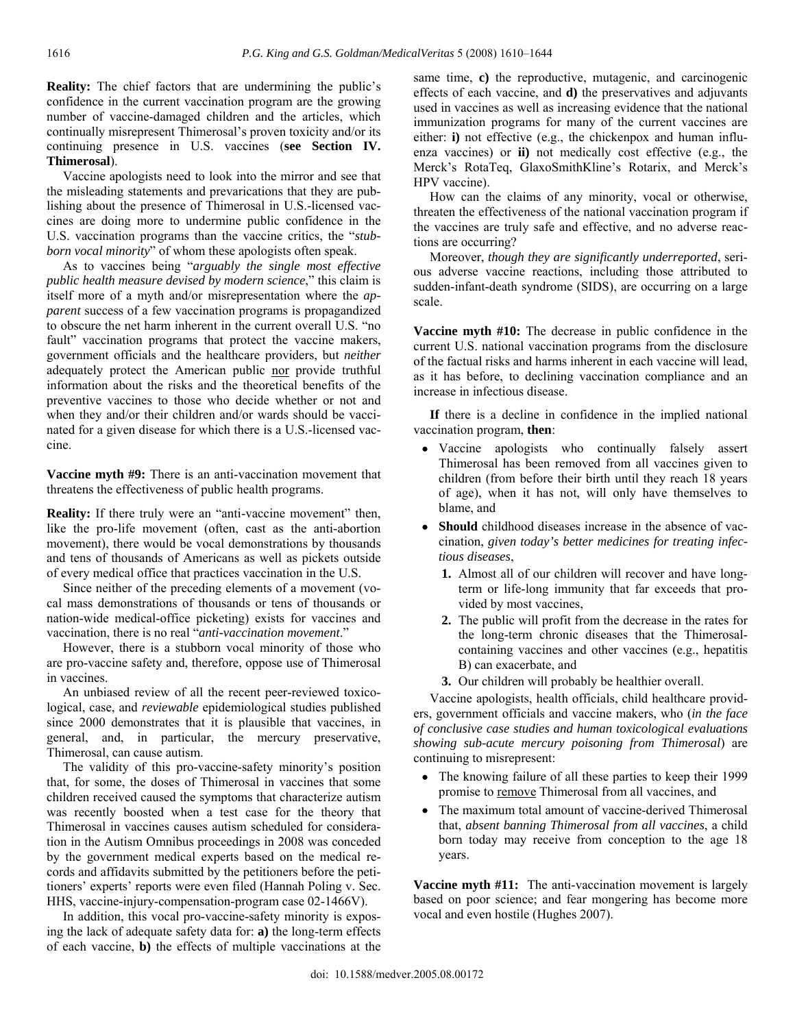**Reality:** The chief factors that are undermining the public's confidence in the current vaccination program are the growing number of vaccine-damaged children and the articles, which continually misrepresent Thimerosal's proven toxicity and/or its continuing presence in U.S. vaccines (**see Section IV. Thimerosal**).

 Vaccine apologists need to look into the mirror and see that the misleading statements and prevarications that they are publishing about the presence of Thimerosal in U.S.-licensed vaccines are doing more to undermine public confidence in the U.S. vaccination programs than the vaccine critics, the "*stubborn vocal minority*" of whom these apologists often speak.

 As to vaccines being "*arguably the single most effective public health measure devised by modern science*," this claim is itself more of a myth and/or misrepresentation where the *apparent* success of a few vaccination programs is propagandized to obscure the net harm inherent in the current overall U.S. "no fault" vaccination programs that protect the vaccine makers, government officials and the healthcare providers, but *neither* adequately protect the American public nor provide truthful information about the risks and the theoretical benefits of the preventive vaccines to those who decide whether or not and when they and/or their children and/or wards should be vaccinated for a given disease for which there is a U.S.-licensed vaccine.

**Vaccine myth #9:** There is an anti-vaccination movement that threatens the effectiveness of public health programs.

**Reality:** If there truly were an "anti-vaccine movement" then, like the pro-life movement (often, cast as the anti-abortion movement), there would be vocal demonstrations by thousands and tens of thousands of Americans as well as pickets outside of every medical office that practices vaccination in the U.S.

 Since neither of the preceding elements of a movement (vocal mass demonstrations of thousands or tens of thousands or nation-wide medical-office picketing) exists for vaccines and vaccination, there is no real "*anti-vaccination movement*."

 However, there is a stubborn vocal minority of those who are pro-vaccine safety and, therefore, oppose use of Thimerosal in vaccines.

 An unbiased review of all the recent peer-reviewed toxicological, case, and *reviewable* epidemiological studies published since 2000 demonstrates that it is plausible that vaccines, in general, and, in particular, the mercury preservative, Thimerosal, can cause autism.

 The validity of this pro-vaccine-safety minority's position that, for some, the doses of Thimerosal in vaccines that some children received caused the symptoms that characterize autism was recently boosted when a test case for the theory that Thimerosal in vaccines causes autism scheduled for consideration in the Autism Omnibus proceedings in 2008 was conceded by the government medical experts based on the medical records and affidavits submitted by the petitioners before the petitioners' experts' reports were even filed (Hannah Poling v. Sec. HHS, vaccine-injury-compensation-program case 02-1466V).

 In addition, this vocal pro-vaccine-safety minority is exposing the lack of adequate safety data for: **a)** the long-term effects of each vaccine, **b)** the effects of multiple vaccinations at the

same time, **c)** the reproductive, mutagenic, and carcinogenic effects of each vaccine, and **d)** the preservatives and adjuvants used in vaccines as well as increasing evidence that the national immunization programs for many of the current vaccines are either: **i)** not effective (e.g., the chickenpox and human influenza vaccines) or **ii)** not medically cost effective (e.g., the Merck's RotaTeq, GlaxoSmithKline's Rotarix, and Merck's HPV vaccine).

 How can the claims of any minority, vocal or otherwise, threaten the effectiveness of the national vaccination program if the vaccines are truly safe and effective, and no adverse reactions are occurring?

 Moreover, *though they are significantly underreported*, serious adverse vaccine reactions, including those attributed to sudden-infant-death syndrome (SIDS), are occurring on a large scale.

**Vaccine myth #10:** The decrease in public confidence in the current U.S. national vaccination programs from the disclosure of the factual risks and harms inherent in each vaccine will lead, as it has before, to declining vaccination compliance and an increase in infectious disease.

 **If** there is a decline in confidence in the implied national vaccination program, **then**:

- Vaccine apologists who continually falsely assert Thimerosal has been removed from all vaccines given to children (from before their birth until they reach 18 years of age), when it has not, will only have themselves to blame, and
- **Should** childhood diseases increase in the absence of vaccination, *given today's better medicines for treating infectious diseases*,
	- **1.** Almost all of our children will recover and have longterm or life-long immunity that far exceeds that provided by most vaccines,
	- **2.** The public will profit from the decrease in the rates for the long-term chronic diseases that the Thimerosalcontaining vaccines and other vaccines (e.g., hepatitis B) can exacerbate, and
	- **3.** Our children will probably be healthier overall.

 Vaccine apologists, health officials, child healthcare providers, government officials and vaccine makers, who (*in the face of conclusive case studies and human toxicological evaluations showing sub-acute mercury poisoning from Thimerosal*) are continuing to misrepresent:

- The knowing failure of all these parties to keep their 1999 promise to remove Thimerosal from all vaccines, and
- The maximum total amount of vaccine-derived Thimerosal that, *absent banning Thimerosal from all vaccines*, a child born today may receive from conception to the age 18 years.

**Vaccine myth #11:** The anti-vaccination movement is largely based on poor science; and fear mongering has become more vocal and even hostile (Hughes 2007).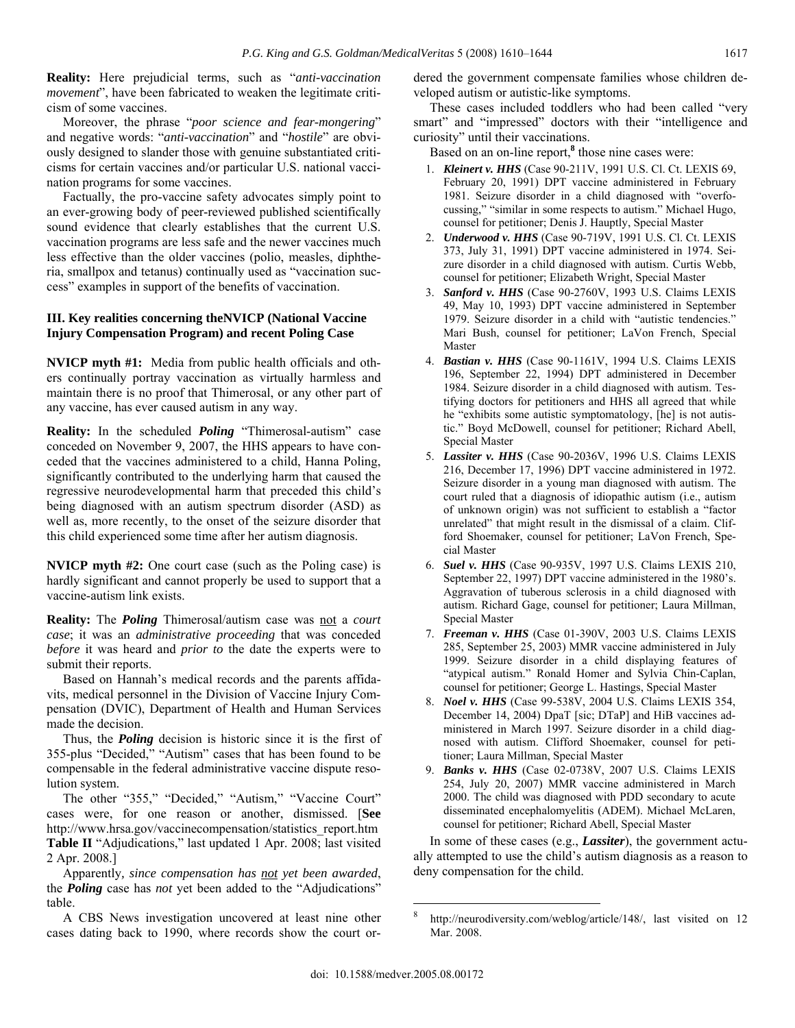**Reality:** Here prejudicial terms, such as "*anti-vaccination movement*", have been fabricated to weaken the legitimate criticism of some vaccines.

 Moreover, the phrase "*poor science and fear-mongering*" and negative words: "*anti-vaccination*" and "*hostile*" are obviously designed to slander those with genuine substantiated criticisms for certain vaccines and/or particular U.S. national vaccination programs for some vaccines.

 Factually, the pro-vaccine safety advocates simply point to an ever-growing body of peer-reviewed published scientifically sound evidence that clearly establishes that the current U.S. vaccination programs are less safe and the newer vaccines much less effective than the older vaccines (polio, measles, diphtheria, smallpox and tetanus) continually used as "vaccination success" examples in support of the benefits of vaccination.

## **III. Key realities concerning theNVICP (National Vaccine Injury Compensation Program) and recent Poling Case**

**NVICP myth #1:** Media from public health officials and others continually portray vaccination as virtually harmless and maintain there is no proof that Thimerosal, or any other part of any vaccine, has ever caused autism in any way.

**Reality:** In the scheduled *Poling* "Thimerosal-autism" case conceded on November 9, 2007, the HHS appears to have conceded that the vaccines administered to a child, Hanna Poling, significantly contributed to the underlying harm that caused the regressive neurodevelopmental harm that preceded this child's being diagnosed with an autism spectrum disorder (ASD) as well as, more recently, to the onset of the seizure disorder that this child experienced some time after her autism diagnosis.

**NVICP myth #2:** One court case (such as the Poling case) is hardly significant and cannot properly be used to support that a vaccine-autism link exists.

**Reality:** The *Poling* Thimerosal/autism case was not a *court case*; it was an *administrative proceeding* that was conceded *before* it was heard and *prior to* the date the experts were to submit their reports.

 Based on Hannah's medical records and the parents affidavits, medical personnel in the Division of Vaccine Injury Compensation (DVIC), Department of Health and Human Services made the decision.

 Thus, the *Poling* decision is historic since it is the first of 355-plus "Decided," "Autism" cases that has been found to be compensable in the federal administrative vaccine dispute resolution system.

The other "355," "Decided," "Autism," "Vaccine Court" cases were, for one reason or another, dismissed. [**See** http://www.hrsa.gov/vaccinecompensation/statistics\_report.htm **Table II** "Adjudications," last updated 1 Apr. 2008; last visited 2 Apr. 2008.]

 Apparently*, since compensation has not yet been awarded*, the *Poling* case has *not* yet been added to the "Adjudications" table.

 A CBS News investigation uncovered at least nine other cases dating back to 1990, where records show the court ordered the government compensate families whose children developed autism or autistic-like symptoms.

 These cases included toddlers who had been called "very smart" and "impressed" doctors with their "intelligence and curiosity" until their vaccinations.

Based on an on-line report,<sup>8</sup> those nine cases were:

- 1. *Kleinert v. HHS* (Case 90-211V, 1991 U.S. Cl. Ct. LEXIS 69, February 20, 1991) DPT vaccine administered in February 1981. Seizure disorder in a child diagnosed with "overfocussing," "similar in some respects to autism." Michael Hugo, counsel for petitioner; Denis J. Hauptly, Special Master
- 2. *Underwood v. HHS* (Case 90-719V, 1991 U.S. Cl. Ct. LEXIS 373, July 31, 1991) DPT vaccine administered in 1974. Seizure disorder in a child diagnosed with autism. Curtis Webb, counsel for petitioner; Elizabeth Wright, Special Master
- 3. *Sanford v. HHS* (Case 90-2760V, 1993 U.S. Claims LEXIS 49, May 10, 1993) DPT vaccine administered in September 1979. Seizure disorder in a child with "autistic tendencies." Mari Bush, counsel for petitioner; LaVon French, Special Master
- 4. *Bastian v. HHS* (Case 90-1161V, 1994 U.S. Claims LEXIS 196, September 22, 1994) DPT administered in December 1984. Seizure disorder in a child diagnosed with autism. Testifying doctors for petitioners and HHS all agreed that while he "exhibits some autistic symptomatology, [he] is not autistic." Boyd McDowell, counsel for petitioner; Richard Abell, Special Master
- 5. *Lassiter v. HHS* (Case 90-2036V, 1996 U.S. Claims LEXIS 216, December 17, 1996) DPT vaccine administered in 1972. Seizure disorder in a young man diagnosed with autism. The court ruled that a diagnosis of idiopathic autism (i.e., autism of unknown origin) was not sufficient to establish a "factor unrelated" that might result in the dismissal of a claim. Clifford Shoemaker, counsel for petitioner; LaVon French, Special Master
- 6. *Suel v. HHS* (Case 90-935V, 1997 U.S. Claims LEXIS 210, September 22, 1997) DPT vaccine administered in the 1980's. Aggravation of tuberous sclerosis in a child diagnosed with autism. Richard Gage, counsel for petitioner; Laura Millman, Special Master
- 7. *Freeman v. HHS* (Case 01-390V, 2003 U.S. Claims LEXIS 285, September 25, 2003) MMR vaccine administered in July 1999. Seizure disorder in a child displaying features of "atypical autism." Ronald Homer and Sylvia Chin-Caplan, counsel for petitioner; George L. Hastings, Special Master
- 8. *Noel v. HHS* (Case 99-538V, 2004 U.S. Claims LEXIS 354, December 14, 2004) DpaT [sic; DTaP] and HiB vaccines administered in March 1997. Seizure disorder in a child diagnosed with autism. Clifford Shoemaker, counsel for petitioner; Laura Millman, Special Master
- 9. *Banks v. HHS* (Case 02-0738V, 2007 U.S. Claims LEXIS 254, July 20, 2007) MMR vaccine administered in March 2000. The child was diagnosed with PDD secondary to acute disseminated encephalomyelitis (ADEM). Michael McLaren, counsel for petitioner; Richard Abell, Special Master

 In some of these cases (e.g., *Lassiter*), the government actually attempted to use the child's autism diagnosis as a reason to deny compensation for the child.

http://neurodiversity.com/weblog/article/148/, last visited on 12 Mar. 2008.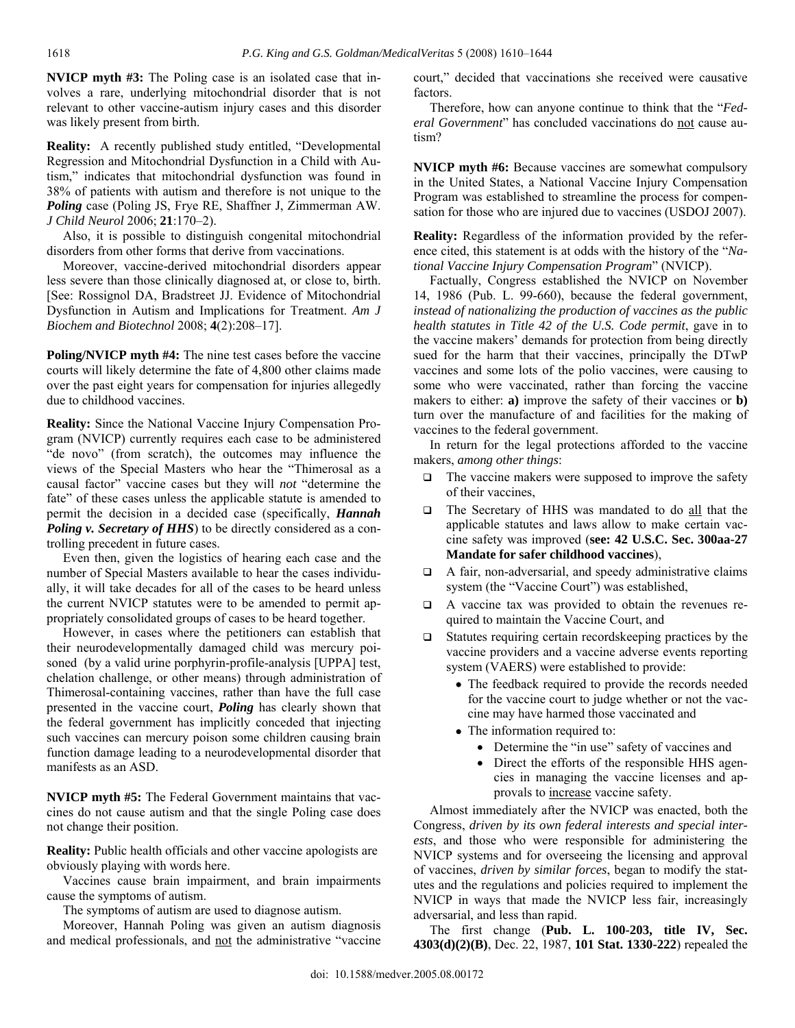**NVICP myth #3:** The Poling case is an isolated case that involves a rare, underlying mitochondrial disorder that is not relevant to other vaccine-autism injury cases and this disorder was likely present from birth.

**Reality:** A recently published study entitled, "Developmental Regression and Mitochondrial Dysfunction in a Child with Autism," indicates that mitochondrial dysfunction was found in 38% of patients with autism and therefore is not unique to the *Poling* case (Poling JS, Frye RE, Shaffner J, Zimmerman AW. *J Child Neurol* 2006; **21**:170–2).

 Also, it is possible to distinguish congenital mitochondrial disorders from other forms that derive from vaccinations.

 Moreover, vaccine-derived mitochondrial disorders appear less severe than those clinically diagnosed at, or close to, birth. [See: Rossignol DA, Bradstreet JJ. Evidence of Mitochondrial Dysfunction in Autism and Implications for Treatment. *Am J Biochem and Biotechnol* 2008; **4**(2):208–17].

**Poling/NVICP myth #4:** The nine test cases before the vaccine courts will likely determine the fate of 4,800 other claims made over the past eight years for compensation for injuries allegedly due to childhood vaccines.

**Reality:** Since the National Vaccine Injury Compensation Program (NVICP) currently requires each case to be administered "de novo" (from scratch), the outcomes may influence the views of the Special Masters who hear the "Thimerosal as a causal factor" vaccine cases but they will *not* "determine the fate" of these cases unless the applicable statute is amended to permit the decision in a decided case (specifically, *Hannah Poling v. Secretary of HHS*) to be directly considered as a controlling precedent in future cases.

 Even then, given the logistics of hearing each case and the number of Special Masters available to hear the cases individually, it will take decades for all of the cases to be heard unless the current NVICP statutes were to be amended to permit appropriately consolidated groups of cases to be heard together.

 However, in cases where the petitioners can establish that their neurodevelopmentally damaged child was mercury poisoned (by a valid urine porphyrin-profile-analysis [UPPA] test, chelation challenge, or other means) through administration of Thimerosal-containing vaccines, rather than have the full case presented in the vaccine court, *Poling* has clearly shown that the federal government has implicitly conceded that injecting such vaccines can mercury poison some children causing brain function damage leading to a neurodevelopmental disorder that manifests as an ASD.

**NVICP myth #5:** The Federal Government maintains that vaccines do not cause autism and that the single Poling case does not change their position.

**Reality:** Public health officials and other vaccine apologists are obviously playing with words here.

 Vaccines cause brain impairment, and brain impairments cause the symptoms of autism.

The symptoms of autism are used to diagnose autism.

 Moreover, Hannah Poling was given an autism diagnosis and medical professionals, and not the administrative "vaccine court," decided that vaccinations she received were causative factors.

 Therefore, how can anyone continue to think that the "*Federal Government*" has concluded vaccinations do not cause autism?

**NVICP myth #6:** Because vaccines are somewhat compulsory in the United States, a National Vaccine Injury Compensation Program was established to streamline the process for compensation for those who are injured due to vaccines (USDOJ 2007).

**Reality:** Regardless of the information provided by the reference cited, this statement is at odds with the history of the "*National Vaccine Injury Compensation Program*" (NVICP).

 Factually, Congress established the NVICP on November 14, 1986 (Pub. L. 99-660), because the federal government, *instead of nationalizing the production of vaccines as the public health statutes in Title 42 of the U.S. Code permit*, gave in to the vaccine makers' demands for protection from being directly sued for the harm that their vaccines, principally the DTwP vaccines and some lots of the polio vaccines, were causing to some who were vaccinated, rather than forcing the vaccine makers to either: **a)** improve the safety of their vaccines or **b)** turn over the manufacture of and facilities for the making of vaccines to the federal government.

 In return for the legal protections afforded to the vaccine makers, *among other things*:

- The vaccine makers were supposed to improve the safety of their vaccines,
- The Secretary of HHS was mandated to do all that the applicable statutes and laws allow to make certain vaccine safety was improved (**see: 42 U.S.C. Sec. 300aa-27 Mandate for safer childhood vaccines**),
- A fair, non-adversarial, and speedy administrative claims system (the "Vaccine Court") was established,
- A vaccine tax was provided to obtain the revenues required to maintain the Vaccine Court, and
- □ Statutes requiring certain recordskeeping practices by the vaccine providers and a vaccine adverse events reporting system (VAERS) were established to provide:
	- The feedback required to provide the records needed for the vaccine court to judge whether or not the vaccine may have harmed those vaccinated and
	- The information required to:
		- Determine the "in use" safety of vaccines and
		- Direct the efforts of the responsible HHS agencies in managing the vaccine licenses and approvals to increase vaccine safety.

 Almost immediately after the NVICP was enacted, both the Congress, *driven by its own federal interests and special interests*, and those who were responsible for administering the NVICP systems and for overseeing the licensing and approval of vaccines, *driven by similar forces*, began to modify the statutes and the regulations and policies required to implement the NVICP in ways that made the NVICP less fair, increasingly adversarial, and less than rapid.

 The first change (**Pub. L. 100-203, title IV, Sec. 4303(d)(2)(B)**, Dec. 22, 1987, **101 Stat. 1330-222**) repealed the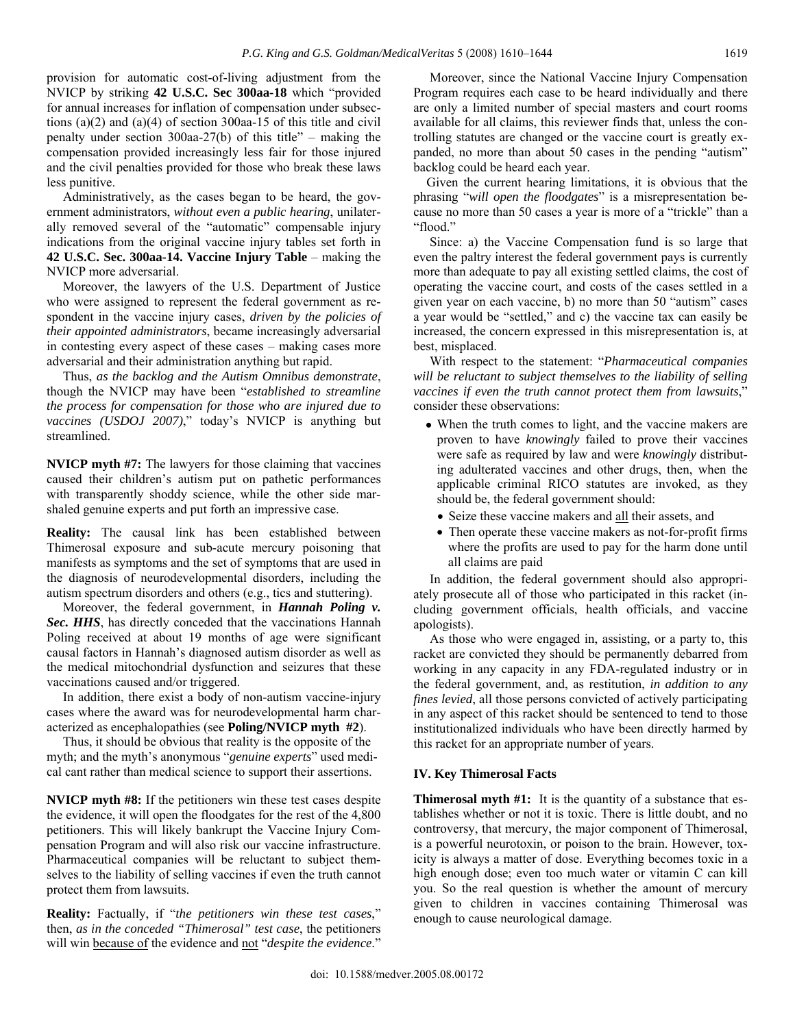provision for automatic cost-of-living adjustment from the NVICP by striking **42 U.S.C. Sec 300aa-18** which "provided for annual increases for inflation of compensation under subsections (a)(2) and (a)(4) of section 300aa-15 of this title and civil penalty under section 300aa-27(b) of this title" – making the compensation provided increasingly less fair for those injured and the civil penalties provided for those who break these laws less punitive.

 Administratively, as the cases began to be heard, the government administrators, *without even a public hearing*, unilaterally removed several of the "automatic" compensable injury indications from the original vaccine injury tables set forth in **42 U.S.C. Sec. 300aa-14. Vaccine Injury Table** – making the NVICP more adversarial.

 Moreover, the lawyers of the U.S. Department of Justice who were assigned to represent the federal government as respondent in the vaccine injury cases, *driven by the policies of their appointed administrators*, became increasingly adversarial in contesting every aspect of these cases – making cases more adversarial and their administration anything but rapid.

 Thus, *as the backlog and the Autism Omnibus demonstrate*, though the NVICP may have been "*established to streamline the process for compensation for those who are injured due to vaccines (USDOJ 2007)*," today's NVICP is anything but streamlined.

**NVICP myth #7:** The lawyers for those claiming that vaccines caused their children's autism put on pathetic performances with transparently shoddy science, while the other side marshaled genuine experts and put forth an impressive case.

**Reality:** The causal link has been established between Thimerosal exposure and sub-acute mercury poisoning that manifests as symptoms and the set of symptoms that are used in the diagnosis of neurodevelopmental disorders, including the autism spectrum disorders and others (e.g., tics and stuttering).

 Moreover, the federal government, in *Hannah Poling v. Sec. HHS*, has directly conceded that the vaccinations Hannah Poling received at about 19 months of age were significant causal factors in Hannah's diagnosed autism disorder as well as the medical mitochondrial dysfunction and seizures that these vaccinations caused and/or triggered.

 In addition, there exist a body of non-autism vaccine-injury cases where the award was for neurodevelopmental harm characterized as encephalopathies (see **Poling/NVICP myth #2**).

 Thus, it should be obvious that reality is the opposite of the myth; and the myth's anonymous "*genuine experts*" used medical cant rather than medical science to support their assertions.

**NVICP myth #8:** If the petitioners win these test cases despite the evidence, it will open the floodgates for the rest of the 4,800 petitioners. This will likely bankrupt the Vaccine Injury Compensation Program and will also risk our vaccine infrastructure. Pharmaceutical companies will be reluctant to subject themselves to the liability of selling vaccines if even the truth cannot protect them from lawsuits.

**Reality:** Factually, if "*the petitioners win these test cases*," then, *as in the conceded "Thimerosal" test case*, the petitioners will win because of the evidence and not "*despite the evidence*."

 Moreover, since the National Vaccine Injury Compensation Program requires each case to be heard individually and there are only a limited number of special masters and court rooms available for all claims, this reviewer finds that, unless the controlling statutes are changed or the vaccine court is greatly expanded, no more than about 50 cases in the pending "autism" backlog could be heard each year.

 Given the current hearing limitations, it is obvious that the phrasing "*will open the floodgates*" is a misrepresentation because no more than 50 cases a year is more of a "trickle" than a "flood."

 Since: a) the Vaccine Compensation fund is so large that even the paltry interest the federal government pays is currently more than adequate to pay all existing settled claims, the cost of operating the vaccine court, and costs of the cases settled in a given year on each vaccine, b) no more than 50 "autism" cases a year would be "settled," and c) the vaccine tax can easily be increased, the concern expressed in this misrepresentation is, at best, misplaced.

 With respect to the statement: "*Pharmaceutical companies will be reluctant to subject themselves to the liability of selling*  vaccines if even the truth cannot protect them from lawsuits,' consider these observations:

- When the truth comes to light, and the vaccine makers are proven to have *knowingly* failed to prove their vaccines were safe as required by law and were *knowingly* distributing adulterated vaccines and other drugs, then, when the applicable criminal RICO statutes are invoked, as they should be, the federal government should:
	- Seize these vaccine makers and all their assets, and
	- Then operate these vaccine makers as not-for-profit firms where the profits are used to pay for the harm done until all claims are paid

 In addition, the federal government should also appropriately prosecute all of those who participated in this racket (including government officials, health officials, and vaccine apologists).

 As those who were engaged in, assisting, or a party to, this racket are convicted they should be permanently debarred from working in any capacity in any FDA-regulated industry or in the federal government, and, as restitution, *in addition to any fines levied*, all those persons convicted of actively participating in any aspect of this racket should be sentenced to tend to those institutionalized individuals who have been directly harmed by this racket for an appropriate number of years.

#### **IV. Key Thimerosal Facts**

**Thimerosal myth #1:** It is the quantity of a substance that establishes whether or not it is toxic. There is little doubt, and no controversy, that mercury, the major component of Thimerosal, is a powerful neurotoxin, or poison to the brain. However, toxicity is always a matter of dose. Everything becomes toxic in a high enough dose; even too much water or vitamin C can kill you. So the real question is whether the amount of mercury given to children in vaccines containing Thimerosal was enough to cause neurological damage.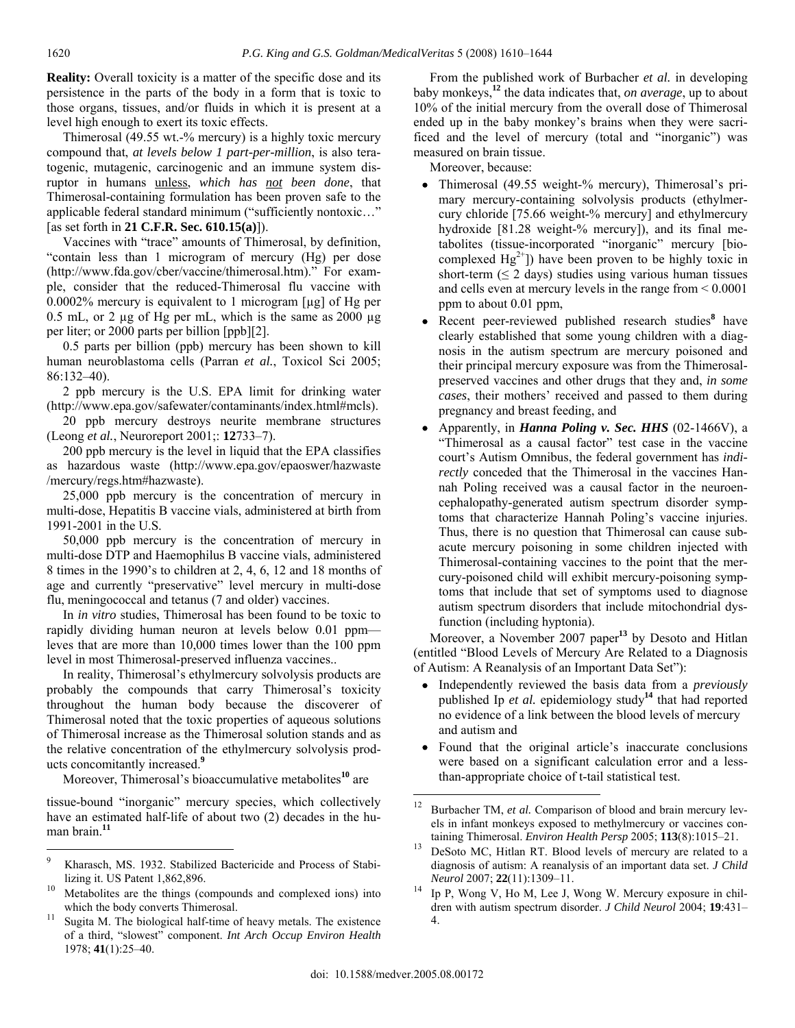**Reality:** Overall toxicity is a matter of the specific dose and its persistence in the parts of the body in a form that is toxic to those organs, tissues, and/or fluids in which it is present at a level high enough to exert its toxic effects.

 Thimerosal (49.55 wt.-% mercury) is a highly toxic mercury compound that, *at levels below 1 part-per-million*, is also teratogenic, mutagenic, carcinogenic and an immune system disruptor in humans unless, *which has not been done*, that Thimerosal-containing formulation has been proven safe to the applicable federal standard minimum ("sufficiently nontoxic…" [as set forth in **21 C.F.R. Sec. 610.15(a)**]).

 Vaccines with "trace" amounts of Thimerosal, by definition, "contain less than 1 microgram of mercury (Hg) per dose (http://www.fda.gov/cber/vaccine/thimerosal.htm)." For example, consider that the reduced-Thimerosal flu vaccine with 0.0002% mercury is equivalent to 1 microgram [µg] of Hg per 0.5 mL, or 2  $\mu$ g of Hg per mL, which is the same as 2000  $\mu$ g per liter; or 2000 parts per billion [ppb][2].

 0.5 parts per billion (ppb) mercury has been shown to kill human neuroblastoma cells (Parran *et al.*, Toxicol Sci 2005; 86:132–40).

 2 ppb mercury is the U.S. EPA limit for drinking water (http://www.epa.gov/safewater/contaminants/index.html#mcls).

 20 ppb mercury destroys neurite membrane structures (Leong *et al.*, Neuroreport 2001;: **12**733–7).

 200 ppb mercury is the level in liquid that the EPA classifies as hazardous waste (http://www.epa.gov/epaoswer/hazwaste /mercury/regs.htm#hazwaste).

 25,000 ppb mercury is the concentration of mercury in multi-dose, Hepatitis B vaccine vials, administered at birth from 1991-2001 in the U.S.

 50,000 ppb mercury is the concentration of mercury in multi-dose DTP and Haemophilus B vaccine vials, administered 8 times in the 1990's to children at 2, 4, 6, 12 and 18 months of age and currently "preservative" level mercury in multi-dose flu, meningococcal and tetanus (7 and older) vaccines.

 In *in vitro* studies, Thimerosal has been found to be toxic to rapidly dividing human neuron at levels below 0.01 ppm leves that are more than 10,000 times lower than the 100 ppm level in most Thimerosal-preserved influenza vaccines..

 In reality, Thimerosal's ethylmercury solvolysis products are probably the compounds that carry Thimerosal's toxicity throughout the human body because the discoverer of Thimerosal noted that the toxic properties of aqueous solutions of Thimerosal increase as the Thimerosal solution stands and as the relative concentration of the ethylmercury solvolysis products concomitantly increased.**<sup>9</sup>**

Moreover, Thimerosal's bioaccumulative metabolites**<sup>10</sup>** are

tissue-bound "inorganic" mercury species, which collectively have an estimated half-life of about two (2) decades in the human brain.**<sup>11</sup>**

 $\overline{a}$ 

 From the published work of Burbacher *et al.* in developing baby monkeys,**<sup>12</sup>** the data indicates that, *on average*, up to about 10% of the initial mercury from the overall dose of Thimerosal ended up in the baby monkey's brains when they were sacrificed and the level of mercury (total and "inorganic") was measured on brain tissue.

Moreover, because:

- Thimerosal (49.55 weight-% mercury), Thimerosal's primary mercury-containing solvolysis products (ethylmercury chloride [75.66 weight-% mercury] and ethylmercury hydroxide [81.28 weight-% mercury]), and its final metabolites (tissue-incorporated "inorganic" mercury [biocomplexed  $Hg^{2+}$ ) have been proven to be highly toxic in short-term  $(52 \text{ days})$  studies using various human tissues and cells even at mercury levels in the range from < 0.0001 ppm to about 0.01 ppm,
- Recent peer-reviewed published research studies**<sup>8</sup>** have clearly established that some young children with a diagnosis in the autism spectrum are mercury poisoned and their principal mercury exposure was from the Thimerosalpreserved vaccines and other drugs that they and, *in some cases*, their mothers' received and passed to them during pregnancy and breast feeding, and
- Apparently, in *Hanna Poling v. Sec. HHS* (02-1466V), a "Thimerosal as a causal factor" test case in the vaccine court's Autism Omnibus, the federal government has *indirectly* conceded that the Thimerosal in the vaccines Hannah Poling received was a causal factor in the neuroencephalopathy-generated autism spectrum disorder symptoms that characterize Hannah Poling's vaccine injuries. Thus, there is no question that Thimerosal can cause subacute mercury poisoning in some children injected with Thimerosal-containing vaccines to the point that the mercury-poisoned child will exhibit mercury-poisoning symptoms that include that set of symptoms used to diagnose autism spectrum disorders that include mitochondrial dysfunction (including hyptonia).

 Moreover, a November 2007 paper**<sup>13</sup>** by Desoto and Hitlan (entitled "Blood Levels of Mercury Are Related to a Diagnosis of Autism: A Reanalysis of an Important Data Set"):

- Independently reviewed the basis data from a *previously* published Ip *et al.* epidemiology study**<sup>14</sup>** that had reported no evidence of a link between the blood levels of mercury and autism and
- Found that the original article's inaccurate conclusions were based on a significant calculation error and a lessthan-appropriate choice of t-tail statistical test.

<sup>9</sup> Kharasch, MS. 1932. Stabilized Bactericide and Process of Stabilizing it. US Patent 1,862,896.<br><sup>10</sup> Metabolites are the things (compounds and complexed ions) into

which the body converts Thimerosal.<br><sup>11</sup> Sugita M. The biological half-time of heavy metals. The existence

of a third, "slowest" component. *Int Arch Occup Environ Health* 1978; **41**(1):25–40.

Burbacher TM, et al. Comparison of blood and brain mercury levels in infant monkeys exposed to methylmercury or vaccines con-

taining Thimerosal. *Environ Health Persp* 2005; **113**(8):1015–21. 13 DeSoto MC, Hitlan RT. Blood levels of mercury are related to a diagnosis of autism: A reanalysis of an important data set. *J Child* 

*Neurol* 2007; **22**(11):1309–11.<br>Ip P, Wong V, Ho M, Lee J, Wong W. Mercury exposure in children with autism spectrum disorder. *J Child Neurol* 2004; **19**:431– 4.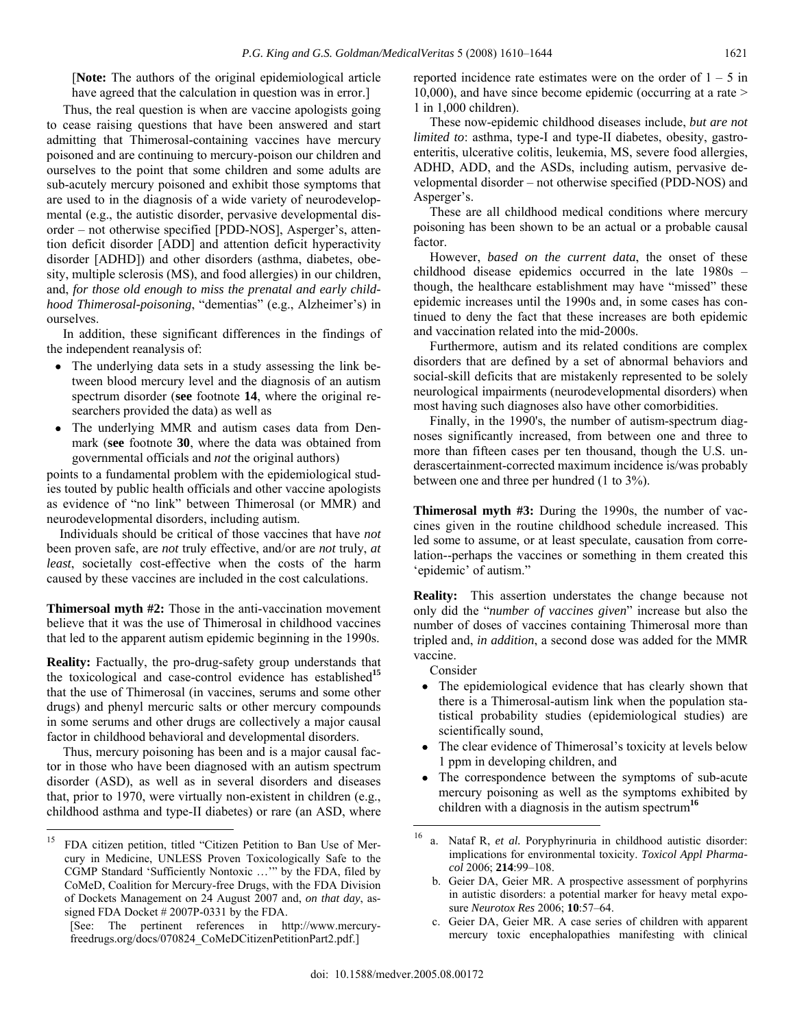[**Note:** The authors of the original epidemiological article have agreed that the calculation in question was in error.]

 Thus, the real question is when are vaccine apologists going to cease raising questions that have been answered and start admitting that Thimerosal-containing vaccines have mercury poisoned and are continuing to mercury-poison our children and ourselves to the point that some children and some adults are sub-acutely mercury poisoned and exhibit those symptoms that are used to in the diagnosis of a wide variety of neurodevelopmental (e.g., the autistic disorder, pervasive developmental disorder – not otherwise specified [PDD-NOS], Asperger's, attention deficit disorder [ADD] and attention deficit hyperactivity disorder [ADHD]) and other disorders (asthma, diabetes, obesity, multiple sclerosis (MS), and food allergies) in our children, and, *for those old enough to miss the prenatal and early childhood Thimerosal-poisoning*, "dementias" (e.g., Alzheimer's) in ourselves.

 In addition, these significant differences in the findings of the independent reanalysis of:

- The underlying data sets in a study assessing the link between blood mercury level and the diagnosis of an autism spectrum disorder (**see** footnote **14**, where the original researchers provided the data) as well as
- The underlying MMR and autism cases data from Denmark (**see** footnote **30**, where the data was obtained from governmental officials and *not* the original authors)

points to a fundamental problem with the epidemiological studies touted by public health officials and other vaccine apologists as evidence of "no link" between Thimerosal (or MMR) and neurodevelopmental disorders, including autism.

 Individuals should be critical of those vaccines that have *not* been proven safe, are *not* truly effective, and/or are *not* truly, *at least*, societally cost-effective when the costs of the harm caused by these vaccines are included in the cost calculations.

**Thimersoal myth #2:** Those in the anti-vaccination movement believe that it was the use of Thimerosal in childhood vaccines that led to the apparent autism epidemic beginning in the 1990s.

**Reality:** Factually, the pro-drug-safety group understands that the toxicological and case-control evidence has established**<sup>15</sup>** that the use of Thimerosal (in vaccines, serums and some other drugs) and phenyl mercuric salts or other mercury compounds in some serums and other drugs are collectively a major causal factor in childhood behavioral and developmental disorders.

 Thus, mercury poisoning has been and is a major causal factor in those who have been diagnosed with an autism spectrum disorder (ASD), as well as in several disorders and diseases that, prior to 1970, were virtually non-existent in children (e.g., childhood asthma and type-II diabetes) or rare (an ASD, where

 $\overline{a}$ 

reported incidence rate estimates were on the order of  $1 - 5$  in 10,000), and have since become epidemic (occurring at a rate > 1 in 1,000 children).

 These now-epidemic childhood diseases include, *but are not limited to*: asthma, type-I and type-II diabetes, obesity, gastroenteritis, ulcerative colitis, leukemia, MS, severe food allergies, ADHD, ADD, and the ASDs, including autism, pervasive developmental disorder – not otherwise specified (PDD-NOS) and Asperger's.

 These are all childhood medical conditions where mercury poisoning has been shown to be an actual or a probable causal factor.

 However, *based on the current data*, the onset of these childhood disease epidemics occurred in the late 1980s – though, the healthcare establishment may have "missed" these epidemic increases until the 1990s and, in some cases has continued to deny the fact that these increases are both epidemic and vaccination related into the mid-2000s.

 Furthermore, autism and its related conditions are complex disorders that are defined by a set of abnormal behaviors and social-skill deficits that are mistakenly represented to be solely neurological impairments (neurodevelopmental disorders) when most having such diagnoses also have other comorbidities.

 Finally, in the 1990's, the number of autism-spectrum diagnoses significantly increased, from between one and three to more than fifteen cases per ten thousand, though the U.S. underascertainment-corrected maximum incidence is/was probably between one and three per hundred (1 to 3%).

**Thimerosal myth #3:** During the 1990s, the number of vaccines given in the routine childhood schedule increased. This led some to assume, or at least speculate, causation from correlation--perhaps the vaccines or something in them created this 'epidemic' of autism."

**Reality:** This assertion understates the change because not only did the "*number of vaccines given*" increase but also the number of doses of vaccines containing Thimerosal more than tripled and, *in addition*, a second dose was added for the MMR vaccine.

Consider

- The epidemiological evidence that has clearly shown that there is a Thimerosal-autism link when the population statistical probability studies (epidemiological studies) are scientifically sound,
- The clear evidence of Thimerosal's toxicity at levels below 1 ppm in developing children, and
- The correspondence between the symptoms of sub-acute mercury poisoning as well as the symptoms exhibited by children with a diagnosis in the autism spectrum**<sup>16</sup>**

<sup>&</sup>lt;sup>15</sup> FDA citizen petition, titled "Citizen Petition to Ban Use of Mercury in Medicine, UNLESS Proven Toxicologically Safe to the CGMP Standard 'Sufficiently Nontoxic …'" by the FDA, filed by CoMeD, Coalition for Mercury-free Drugs, with the FDA Division of Dockets Management on 24 August 2007 and, *on that day*, assigned FDA Docket # 2007P-0331 by the FDA.

<sup>[</sup>See: The pertinent references in http://www.mercuryfreedrugs.org/docs/070824\_CoMeDCitizenPetitionPart2.pdf.]

<sup>16</sup> a. Nataf R, *et al.* Poryphyrinuria in childhood autistic disorder: implications for environmental toxicity. *Toxicol Appl Pharmacol* 2006; **214**:99–108.

b. Geier DA, Geier MR. A prospective assessment of porphyrins in autistic disorders: a potential marker for heavy metal exposure *Neurotox Res* 2006; **10**:57–64.

c. Geier DA, Geier MR. A case series of children with apparent mercury toxic encephalopathies manifesting with clinical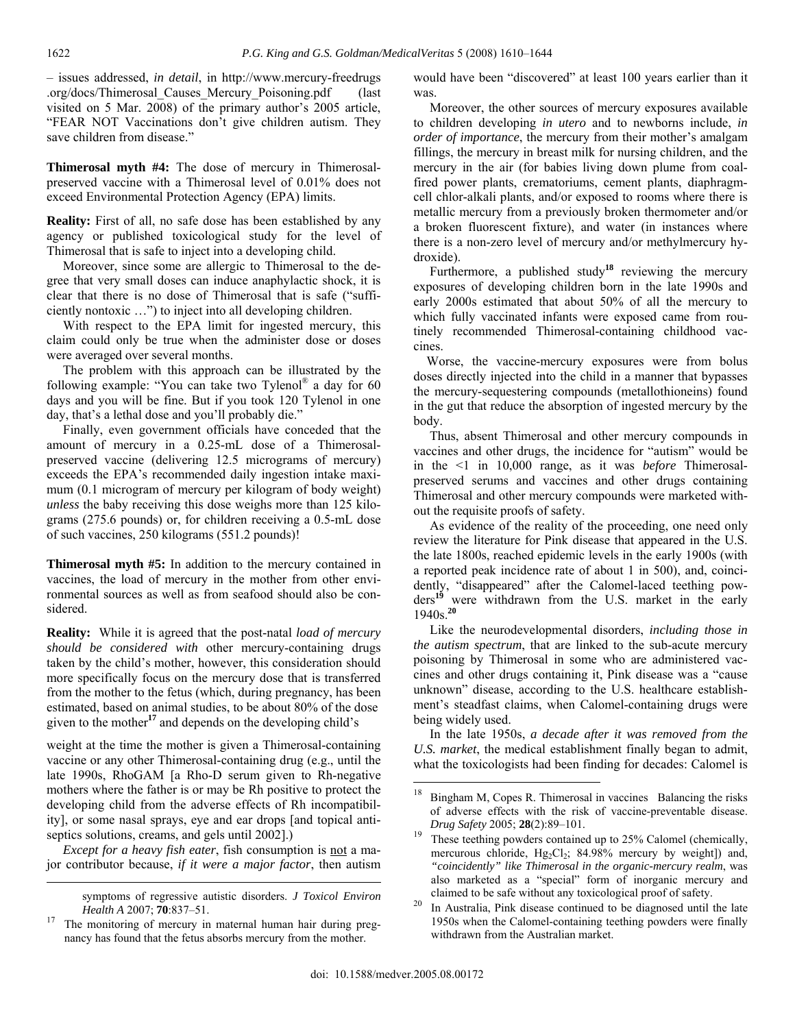– issues addressed, *in detail*, in http://www.mercury-freedrugs .org/docs/Thimerosal\_Causes\_Mercury\_Poisoning.pdf (last visited on 5 Mar. 2008) of the primary author's 2005 article, "FEAR NOT Vaccinations don't give children autism. They save children from disease."

**Thimerosal myth #4:** The dose of mercury in Thimerosalpreserved vaccine with a Thimerosal level of 0.01% does not exceed Environmental Protection Agency (EPA) limits.

**Reality:** First of all, no safe dose has been established by any agency or published toxicological study for the level of Thimerosal that is safe to inject into a developing child.

 Moreover, since some are allergic to Thimerosal to the degree that very small doses can induce anaphylactic shock, it is clear that there is no dose of Thimerosal that is safe ("sufficiently nontoxic …") to inject into all developing children.

 With respect to the EPA limit for ingested mercury, this claim could only be true when the administer dose or doses were averaged over several months.

 The problem with this approach can be illustrated by the following example: "You can take two Tylenol<sup>®</sup> a day for 60 days and you will be fine. But if you took 120 Tylenol in one day, that's a lethal dose and you'll probably die."

 Finally, even government officials have conceded that the amount of mercury in a 0.25-mL dose of a Thimerosalpreserved vaccine (delivering 12.5 micrograms of mercury) exceeds the EPA's recommended daily ingestion intake maximum (0.1 microgram of mercury per kilogram of body weight) *unless* the baby receiving this dose weighs more than 125 kilograms (275.6 pounds) or, for children receiving a 0.5-mL dose of such vaccines, 250 kilograms (551.2 pounds)!

**Thimerosal myth #5:** In addition to the mercury contained in vaccines, the load of mercury in the mother from other environmental sources as well as from seafood should also be considered.

**Reality:** While it is agreed that the post-natal *load of mercury should be considered with* other mercury-containing drugs taken by the child's mother, however, this consideration should more specifically focus on the mercury dose that is transferred from the mother to the fetus (which, during pregnancy, has been estimated, based on animal studies, to be about 80% of the dose given to the mother**<sup>17</sup>** and depends on the developing child's

weight at the time the mother is given a Thimerosal-containing vaccine or any other Thimerosal-containing drug (e.g., until the late 1990s, RhoGAM [a Rho-D serum given to Rh-negative mothers where the father is or may be Rh positive to protect the developing child from the adverse effects of Rh incompatibility], or some nasal sprays, eye and ear drops [and topical antiseptics solutions, creams, and gels until 2002].)

*Except for a heavy fish eater*, fish consumption is not a major contributor because, *if it were a major factor*, then autism would have been "discovered" at least 100 years earlier than it was.

 Moreover, the other sources of mercury exposures available to children developing *in utero* and to newborns include, *in order of importance*, the mercury from their mother's amalgam fillings, the mercury in breast milk for nursing children, and the mercury in the air (for babies living down plume from coalfired power plants, crematoriums, cement plants, diaphragmcell chlor-alkali plants, and/or exposed to rooms where there is metallic mercury from a previously broken thermometer and/or a broken fluorescent fixture), and water (in instances where there is a non-zero level of mercury and/or methylmercury hydroxide).

 Furthermore, a published study**<sup>18</sup>** reviewing the mercury exposures of developing children born in the late 1990s and early 2000s estimated that about 50% of all the mercury to which fully vaccinated infants were exposed came from routinely recommended Thimerosal-containing childhood vaccines.

 Worse, the vaccine-mercury exposures were from bolus doses directly injected into the child in a manner that bypasses the mercury-sequestering compounds (metallothioneins) found in the gut that reduce the absorption of ingested mercury by the body.

 Thus, absent Thimerosal and other mercury compounds in vaccines and other drugs, the incidence for "autism" would be in the <1 in 10,000 range, as it was *before* Thimerosalpreserved serums and vaccines and other drugs containing Thimerosal and other mercury compounds were marketed without the requisite proofs of safety.

 As evidence of the reality of the proceeding, one need only review the literature for Pink disease that appeared in the U.S. the late 1800s, reached epidemic levels in the early 1900s (with a reported peak incidence rate of about 1 in 500), and, coincidently, "disappeared" after the Calomel-laced teething powders**<sup>19</sup>** were withdrawn from the U.S. market in the early 1940s.**<sup>20</sup>**

 Like the neurodevelopmental disorders, *including those in the autism spectrum*, that are linked to the sub-acute mercury poisoning by Thimerosal in some who are administered vaccines and other drugs containing it, Pink disease was a "cause unknown" disease, according to the U.S. healthcare establishment's steadfast claims, when Calomel-containing drugs were being widely used.

 In the late 1950s, *a decade after it was removed from the U.S. market*, the medical establishment finally began to admit, what the toxicologists had been finding for decades: Calomel is

symptoms of regressive autistic disorders. *J Toxicol Environ Health A* 2007; **70**:837–51.<br><sup>17</sup> The monitoring of mercury in maternal human hair during preg-

nancy has found that the fetus absorbs mercury from the mother.

 $18\,$ Bingham M, Copes R. Thimerosal in vaccines Balancing the risks of adverse effects with the risk of vaccine-preventable disease.

*Drug Safety* 2005; **28**(2):89–101.<br>These teething powders contained up to 25% Calomel (chemically, mercurous chloride,  $Hg_2Cl_2$ ; 84.98% mercury by weight]) and, *"coincidently" like Thimerosal in the organic-mercury realm*, was also marketed as a "special" form of inorganic mercury and

claimed to be safe without any toxicological proof of safety.<br><sup>20</sup> In Australia, Pink disease continued to be diagnosed until the late 1950s when the Calomel-containing teething powders were finally withdrawn from the Australian market.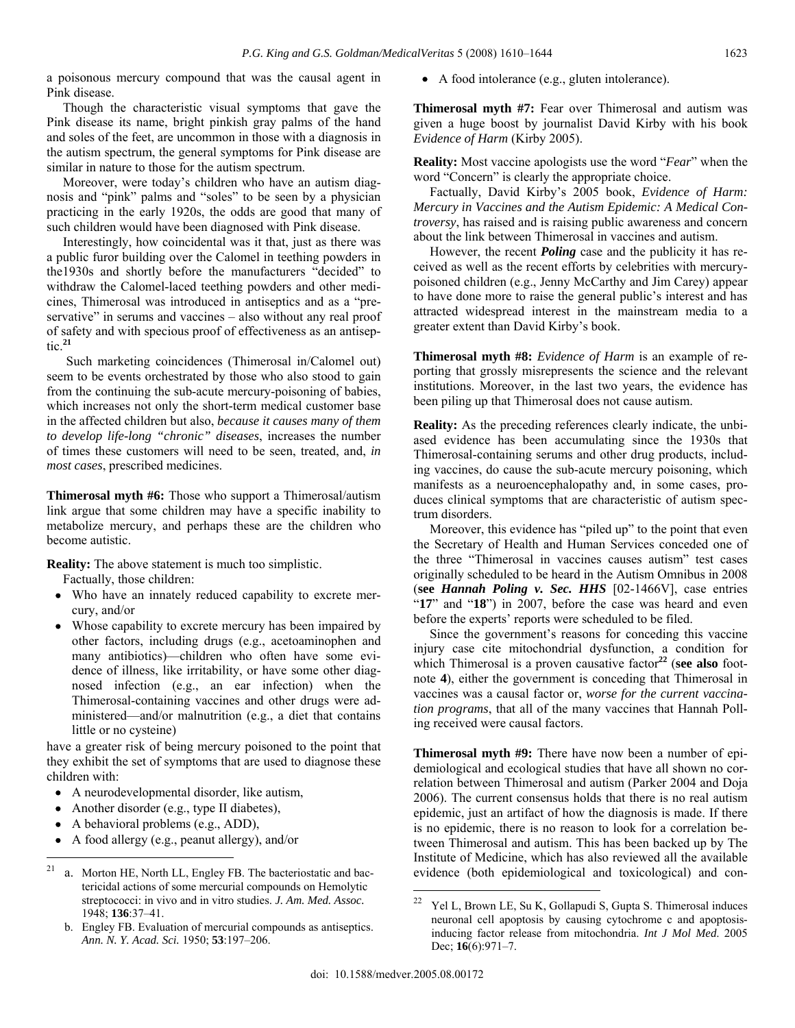a poisonous mercury compound that was the causal agent in Pink disease.

 Though the characteristic visual symptoms that gave the Pink disease its name, bright pinkish gray palms of the hand and soles of the feet, are uncommon in those with a diagnosis in the autism spectrum, the general symptoms for Pink disease are similar in nature to those for the autism spectrum.

 Moreover, were today's children who have an autism diagnosis and "pink" palms and "soles" to be seen by a physician practicing in the early 1920s, the odds are good that many of such children would have been diagnosed with Pink disease.

 Interestingly, how coincidental was it that, just as there was a public furor building over the Calomel in teething powders in the1930s and shortly before the manufacturers "decided" to withdraw the Calomel-laced teething powders and other medicines, Thimerosal was introduced in antiseptics and as a "preservative" in serums and vaccines – also without any real proof of safety and with specious proof of effectiveness as an antiseptic.**<sup>21</sup>**

 Such marketing coincidences (Thimerosal in/Calomel out) seem to be events orchestrated by those who also stood to gain from the continuing the sub-acute mercury-poisoning of babies, which increases not only the short-term medical customer base in the affected children but also, *because it causes many of them to develop life-long "chronic" diseases*, increases the number of times these customers will need to be seen, treated, and, *in most cases*, prescribed medicines.

**Thimerosal myth #6:** Those who support a Thimerosal/autism link argue that some children may have a specific inability to metabolize mercury, and perhaps these are the children who become autistic.

**Reality:** The above statement is much too simplistic.

Factually, those children:

- Who have an innately reduced capability to excrete mercury, and/or
- Whose capability to excrete mercury has been impaired by other factors, including drugs (e.g., acetoaminophen and many antibiotics)—children who often have some evidence of illness, like irritability, or have some other diagnosed infection (e.g., an ear infection) when the Thimerosal-containing vaccines and other drugs were administered—and/or malnutrition (e.g., a diet that contains little or no cysteine)

have a greater risk of being mercury poisoned to the point that they exhibit the set of symptoms that are used to diagnose these children with:

- A neurodevelopmental disorder, like autism,
- Another disorder (e.g., type II diabetes),
- A behavioral problems (e.g., ADD),
- A food allergy (e.g., peanut allergy), and/or

• A food intolerance (e.g., gluten intolerance).

**Thimerosal myth #7:** Fear over Thimerosal and autism was given a huge boost by journalist David Kirby with his book *Evidence of Harm* (Kirby 2005).

**Reality:** Most vaccine apologists use the word "*Fear*" when the word "Concern" is clearly the appropriate choice.

 Factually, David Kirby's 2005 book, *Evidence of Harm: Mercury in Vaccines and the Autism Epidemic: A Medical Controversy*, has raised and is raising public awareness and concern about the link between Thimerosal in vaccines and autism.

 However, the recent *Poling* case and the publicity it has received as well as the recent efforts by celebrities with mercurypoisoned children (e.g., Jenny McCarthy and Jim Carey) appear to have done more to raise the general public's interest and has attracted widespread interest in the mainstream media to a greater extent than David Kirby's book.

**Thimerosal myth #8:** *Evidence of Harm* is an example of reporting that grossly misrepresents the science and the relevant institutions. Moreover, in the last two years, the evidence has been piling up that Thimerosal does not cause autism.

**Reality:** As the preceding references clearly indicate, the unbiased evidence has been accumulating since the 1930s that Thimerosal-containing serums and other drug products, including vaccines, do cause the sub-acute mercury poisoning, which manifests as a neuroencephalopathy and, in some cases, produces clinical symptoms that are characteristic of autism spectrum disorders.

 Moreover, this evidence has "piled up" to the point that even the Secretary of Health and Human Services conceded one of the three "Thimerosal in vaccines causes autism" test cases originally scheduled to be heard in the Autism Omnibus in 2008 (**see** *Hannah Poling v. Sec. HHS* [02-1466V], case entries "**17**" and "**18**") in 2007, before the case was heard and even before the experts' reports were scheduled to be filed.

 Since the government's reasons for conceding this vaccine injury case cite mitochondrial dysfunction, a condition for which Thimerosal is a proven causative factor**<sup>22</sup>** (**see also** footnote **4**), either the government is conceding that Thimerosal in vaccines was a causal factor or, *worse for the current vaccination programs*, that all of the many vaccines that Hannah Polling received were causal factors.

**Thimerosal myth #9:** There have now been a number of epidemiological and ecological studies that have all shown no correlation between Thimerosal and autism (Parker 2004 and Doja 2006). The current consensus holds that there is no real autism epidemic, just an artifact of how the diagnosis is made. If there is no epidemic, there is no reason to look for a correlation between Thimerosal and autism. This has been backed up by The Institute of Medicine, which has also reviewed all the available evidence (both epidemiological and toxicological) and con-

<sup>21</sup> a. Morton HE, North LL, Engley FB. The bacteriostatic and bactericidal actions of some mercurial compounds on Hemolytic streptococci: in vivo and in vitro studies. *J. Am. Med. Assoc.* 1948; **136**:37–41.

b. Engley FB. Evaluation of mercurial compounds as antiseptics. *Ann. N. Y. Acad. Sci.* 1950; **53**:197–206.

<sup>&</sup>lt;sup>22</sup> Yel L, Brown LE, Su K, Gollapudi S, Gupta S. Thimerosal induces neuronal cell apoptosis by causing cytochrome c and apoptosisinducing factor release from mitochondria. *Int J Mol Med*. 2005 Dec; **16**(6):971–7.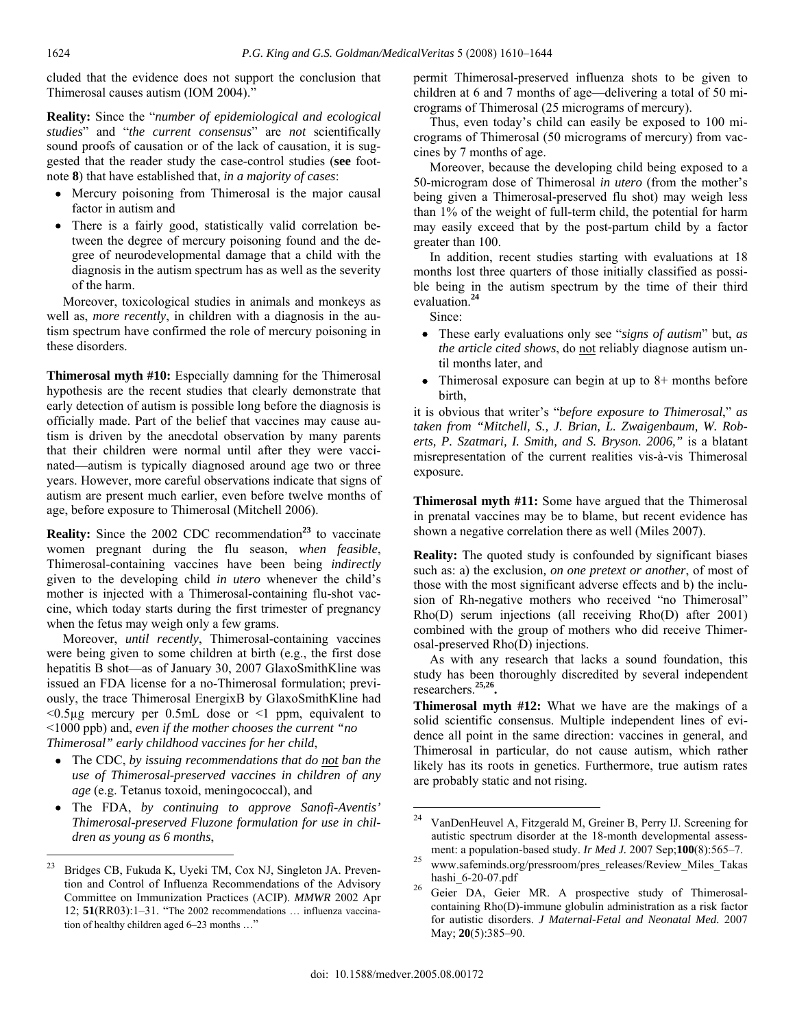cluded that the evidence does not support the conclusion that Thimerosal causes autism (IOM 2004)."

**Reality:** Since the "*number of epidemiological and ecological studies*" and "*the current consensus*" are *not* scientifically sound proofs of causation or of the lack of causation, it is suggested that the reader study the case-control studies (**see** footnote **8**) that have established that, *in a majority of cases*:

- Mercury poisoning from Thimerosal is the major causal factor in autism and
- There is a fairly good, statistically valid correlation between the degree of mercury poisoning found and the degree of neurodevelopmental damage that a child with the diagnosis in the autism spectrum has as well as the severity of the harm.

 Moreover, toxicological studies in animals and monkeys as well as, *more recently*, in children with a diagnosis in the autism spectrum have confirmed the role of mercury poisoning in these disorders.

**Thimerosal myth #10:** Especially damning for the Thimerosal hypothesis are the recent studies that clearly demonstrate that early detection of autism is possible long before the diagnosis is officially made. Part of the belief that vaccines may cause autism is driven by the anecdotal observation by many parents that their children were normal until after they were vaccinated—autism is typically diagnosed around age two or three years. However, more careful observations indicate that signs of autism are present much earlier, even before twelve months of age, before exposure to Thimerosal (Mitchell 2006).

**Reality:** Since the 2002 CDC recommendation<sup>23</sup> to vaccinate women pregnant during the flu season, *when feasible*, Thimerosal-containing vaccines have been being *indirectly* given to the developing child *in utero* whenever the child's mother is injected with a Thimerosal-containing flu-shot vaccine, which today starts during the first trimester of pregnancy when the fetus may weigh only a few grams.

 Moreover, *until recently*, Thimerosal-containing vaccines were being given to some children at birth (e.g., the first dose hepatitis B shot—as of January 30, 2007 GlaxoSmithKline was issued an FDA license for a no-Thimerosal formulation; previously, the trace Thimerosal EnergixB by GlaxoSmithKline had  $<$ 0.5 $\mu$ g mercury per 0.5mL dose or  $<$ 1 ppm, equivalent to <1000 ppb) and, *even if the mother chooses the current "no Thimerosal" early childhood vaccines for her child*,

- The CDC, *by issuing recommendations that do not ban the use of Thimerosal-preserved vaccines in children of any age* (e.g. Tetanus toxoid, meningococcal), and
- The FDA, *by continuing to approve Sanofi-Aventis' Thimerosal-preserved Fluzone formulation for use in children as young as 6 months*,

permit Thimerosal-preserved influenza shots to be given to children at 6 and 7 months of age—delivering a total of 50 micrograms of Thimerosal (25 micrograms of mercury).

 Thus, even today's child can easily be exposed to 100 micrograms of Thimerosal (50 micrograms of mercury) from vaccines by 7 months of age.

 Moreover, because the developing child being exposed to a 50-microgram dose of Thimerosal *in utero* (from the mother's being given a Thimerosal-preserved flu shot) may weigh less than 1% of the weight of full-term child, the potential for harm may easily exceed that by the post-partum child by a factor greater than 100.

 In addition, recent studies starting with evaluations at 18 months lost three quarters of those initially classified as possible being in the autism spectrum by the time of their third evaluation.**<sup>24</sup>**

Since:

- These early evaluations only see "*signs of autism*" but, *as the article cited shows*, do not reliably diagnose autism until months later, and
- Thimerosal exposure can begin at up to  $8+$  months before birth,

it is obvious that writer's "*before exposure to Thimerosal*," *as taken from "Mitchell, S., J. Brian, L. Zwaigenbaum, W. Roberts, P. Szatmari, I. Smith, and S. Bryson. 2006,"* is a blatant misrepresentation of the current realities vis-à-vis Thimerosal exposure.

**Thimerosal myth #11:** Some have argued that the Thimerosal in prenatal vaccines may be to blame, but recent evidence has shown a negative correlation there as well (Miles 2007).

**Reality:** The quoted study is confounded by significant biases such as: a) the exclusion*, on one pretext or another*, of most of those with the most significant adverse effects and b) the inclusion of Rh-negative mothers who received "no Thimerosal" Rho(D) serum injections (all receiving Rho(D) after 2001) combined with the group of mothers who did receive Thimerosal-preserved Rho(D) injections.

 As with any research that lacks a sound foundation, this study has been thoroughly discredited by several independent researchers.**25,26.**

**Thimerosal myth #12:** What we have are the makings of a solid scientific consensus. Multiple independent lines of evidence all point in the same direction: vaccines in general, and Thimerosal in particular, do not cause autism, which rather likely has its roots in genetics. Furthermore, true autism rates are probably static and not rising.

 $\overline{a}$ 

<sup>23</sup> Bridges CB, Fukuda K, Uyeki TM, Cox NJ, Singleton JA. Prevention and Control of Influenza Recommendations of the Advisory Committee on Immunization Practices (ACIP). *MMWR* 2002 Apr 12; **51**(RR03):1–31. "The 2002 recommendations … influenza vaccination of healthy children aged 6–23 months …"

<sup>24</sup> VanDenHeuvel A, Fitzgerald M, Greiner B, Perry IJ. Screening for autistic spectrum disorder at the 18-month developmental assess-

ment: a population-based study. *Ir Med J.* 2007 Sep;100(8):565–7.<br><sup>25</sup> www.safeminds.org/pressroom/pres\_releases/Review\_Miles\_Takas hashi\_6-20-07.pdf<br><sup>26</sup> Geier DA, Geier MR. A prospective study of Thimerosal-

containing Rho(D)-immune globulin administration as a risk factor for autistic disorders. *J Maternal-Fetal and Neonatal Med.* 2007 May; **20**(5):385–90.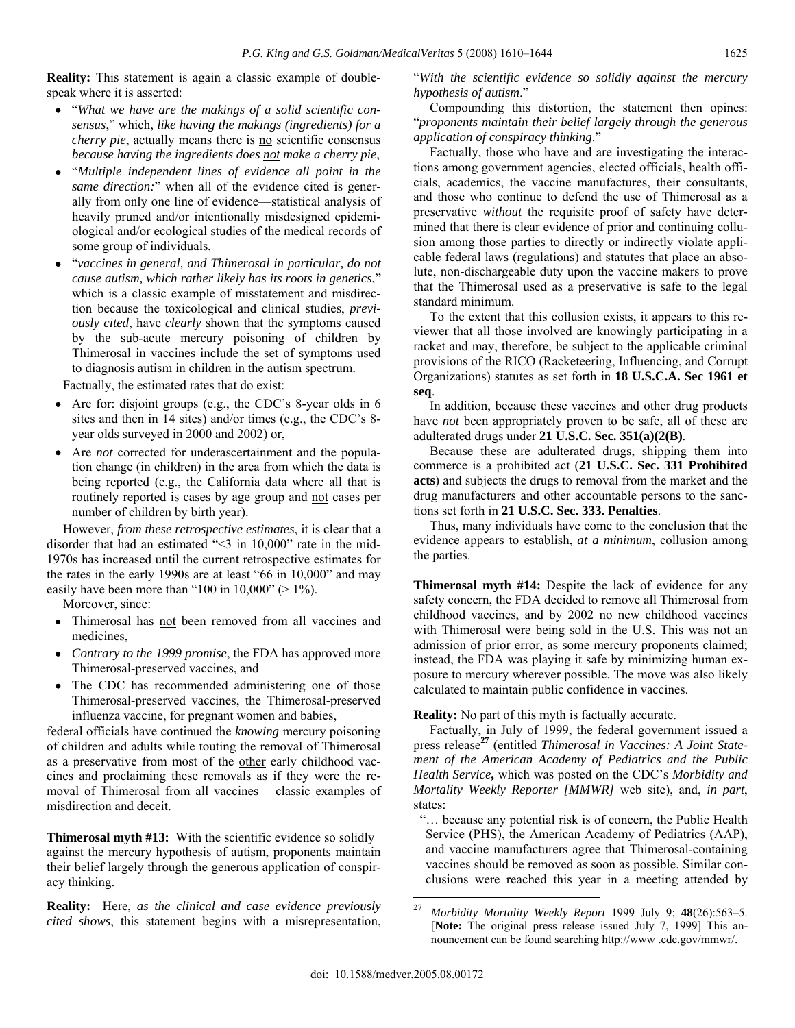**Reality:** This statement is again a classic example of doublespeak where it is asserted:

- "*What we have are the makings of a solid scientific consensus*," which, *like having the makings (ingredients) for a cherry pie*, actually means there is no scientific consensus *because having the ingredients does not make a cherry pie*,
- "*Multiple independent lines of evidence all point in the same direction:*" when all of the evidence cited is generally from only one line of evidence—statistical analysis of heavily pruned and/or intentionally misdesigned epidemiological and/or ecological studies of the medical records of some group of individuals,
- "*vaccines in general, and Thimerosal in particular, do not cause autism, which rather likely has its roots in genetics*," which is a classic example of misstatement and misdirection because the toxicological and clinical studies, *previously cited*, have *clearly* shown that the symptoms caused by the sub-acute mercury poisoning of children by Thimerosal in vaccines include the set of symptoms used to diagnosis autism in children in the autism spectrum.

Factually, the estimated rates that do exist:

- Are for: disjoint groups (e.g., the CDC's 8-year olds in 6 sites and then in 14 sites) and/or times (e.g., the CDC's 8 year olds surveyed in 2000 and 2002) or,
- Are *not* corrected for underascertainment and the population change (in children) in the area from which the data is being reported (e.g., the California data where all that is routinely reported is cases by age group and not cases per number of children by birth year).

 However, *from these retrospective estimates*, it is clear that a disorder that had an estimated "<3 in 10,000" rate in the mid-1970s has increased until the current retrospective estimates for the rates in the early 1990s are at least "66 in 10,000" and may easily have been more than "100 in  $10,000$ " ( $> 1\%$ ).

Moreover, since:

- Thimerosal has not been removed from all vaccines and medicines,
- *Contrary to the 1999 promise*, the FDA has approved more Thimerosal-preserved vaccines, and
- The CDC has recommended administering one of those Thimerosal-preserved vaccines, the Thimerosal-preserved influenza vaccine, for pregnant women and babies,

federal officials have continued the *knowing* mercury poisoning of children and adults while touting the removal of Thimerosal as a preservative from most of the other early childhood vaccines and proclaiming these removals as if they were the removal of Thimerosal from all vaccines – classic examples of misdirection and deceit.

**Thimerosal myth #13:** With the scientific evidence so solidly against the mercury hypothesis of autism, proponents maintain their belief largely through the generous application of conspiracy thinking.

**Reality:** Here, *as the clinical and case evidence previously cited shows*, this statement begins with a misrepresentation,

"*With the scientific evidence so solidly against the mercury hypothesis of autism*."

 Compounding this distortion, the statement then opines: "*proponents maintain their belief largely through the generous application of conspiracy thinking*."

 Factually, those who have and are investigating the interactions among government agencies, elected officials, health officials, academics, the vaccine manufactures, their consultants, and those who continue to defend the use of Thimerosal as a preservative *without* the requisite proof of safety have determined that there is clear evidence of prior and continuing collusion among those parties to directly or indirectly violate applicable federal laws (regulations) and statutes that place an absolute, non-dischargeable duty upon the vaccine makers to prove that the Thimerosal used as a preservative is safe to the legal standard minimum.

 To the extent that this collusion exists, it appears to this reviewer that all those involved are knowingly participating in a racket and may, therefore, be subject to the applicable criminal provisions of the RICO (Racketeering, Influencing, and Corrupt Organizations) statutes as set forth in **18 U.S.C.A. Sec 1961 et seq**.

 In addition, because these vaccines and other drug products have *not* been appropriately proven to be safe, all of these are adulterated drugs under **21 U.S.C. Sec. 351(a)(2(B)**.

 Because these are adulterated drugs, shipping them into commerce is a prohibited act (**21 U.S.C. Sec. 331 Prohibited acts**) and subjects the drugs to removal from the market and the drug manufacturers and other accountable persons to the sanctions set forth in **21 U.S.C. Sec. 333. Penalties**.

 Thus, many individuals have come to the conclusion that the evidence appears to establish, *at a minimum*, collusion among the parties.

**Thimerosal myth #14:** Despite the lack of evidence for any safety concern, the FDA decided to remove all Thimerosal from childhood vaccines, and by 2002 no new childhood vaccines with Thimerosal were being sold in the U.S. This was not an admission of prior error, as some mercury proponents claimed; instead, the FDA was playing it safe by minimizing human exposure to mercury wherever possible. The move was also likely calculated to maintain public confidence in vaccines.

## **Reality:** No part of this myth is factually accurate.

 Factually, in July of 1999, the federal government issued a press release**<sup>27</sup>** (entitled *Thimerosal in Vaccines: A Joint Statement of the American Academy of Pediatrics and the Public Health Service***,** which was posted on the CDC's *Morbidity and Mortality Weekly Reporter [MMWR]* web site), and, *in part*, states:

 "… because any potential risk is of concern, the Public Health Service (PHS), the American Academy of Pediatrics (AAP), and vaccine manufacturers agree that Thimerosal-containing vaccines should be removed as soon as possible. Similar conclusions were reached this year in a meeting attended by

<sup>27</sup> 27 *Morbidity Mortality Weekly Report* 1999 July 9; **48**(26):563–5. [**Note:** The original press release issued July 7, 1999] This announcement can be found searching http://www .cdc.gov/mmwr/.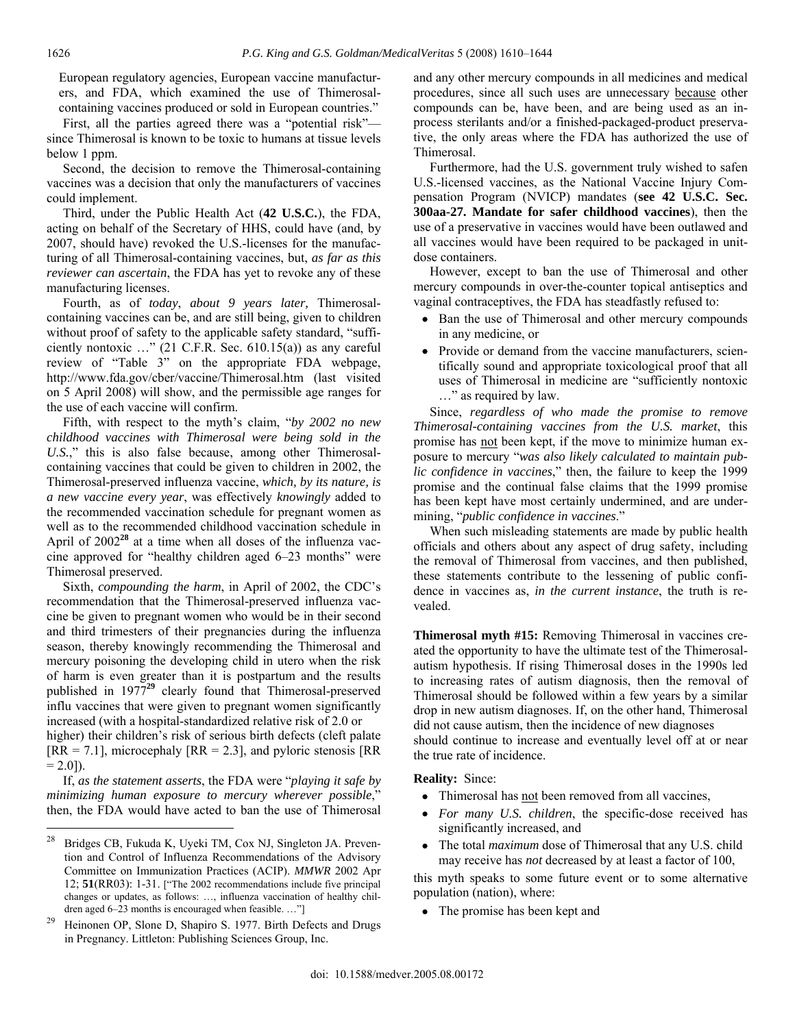European regulatory agencies, European vaccine manufacturers, and FDA, which examined the use of Thimerosalcontaining vaccines produced or sold in European countries."

 First, all the parties agreed there was a "potential risk" since Thimerosal is known to be toxic to humans at tissue levels below 1 ppm.

 Second, the decision to remove the Thimerosal-containing vaccines was a decision that only the manufacturers of vaccines could implement.

 Third, under the Public Health Act (**42 U.S.C.**), the FDA, acting on behalf of the Secretary of HHS, could have (and, by 2007, should have) revoked the U.S.-licenses for the manufacturing of all Thimerosal-containing vaccines, but, *as far as this reviewer can ascertain*, the FDA has yet to revoke any of these manufacturing licenses.

 Fourth, as of *today*, *about 9 years later,* Thimerosalcontaining vaccines can be, and are still being, given to children without proof of safety to the applicable safety standard, "sufficiently nontoxic  $\ldots$ " (21 C.F.R. Sec. 610.15(a)) as any careful review of "Table 3" on the appropriate FDA webpage, http://www.fda.gov/cber/vaccine/Thimerosal.htm (last visited on 5 April 2008) will show, and the permissible age ranges for the use of each vaccine will confirm.

 Fifth, with respect to the myth's claim, "*by 2002 no new childhood vaccines with Thimerosal were being sold in the U.S.*," this is also false because, among other Thimerosalcontaining vaccines that could be given to children in 2002, the Thimerosal-preserved influenza vaccine, *which, by its nature, is a new vaccine every year*, was effectively *knowingly* added to the recommended vaccination schedule for pregnant women as well as to the recommended childhood vaccination schedule in April of 2002**<sup>28</sup>** at a time when all doses of the influenza vaccine approved for "healthy children aged 6–23 months" were Thimerosal preserved.

 Sixth, *compounding the harm*, in April of 2002, the CDC's recommendation that the Thimerosal-preserved influenza vaccine be given to pregnant women who would be in their second and third trimesters of their pregnancies during the influenza season, thereby knowingly recommending the Thimerosal and mercury poisoning the developing child in utero when the risk of harm is even greater than it is postpartum and the results published in 1977**<sup>29</sup>** clearly found that Thimerosal-preserved influ vaccines that were given to pregnant women significantly increased (with a hospital-standardized relative risk of 2.0 or

higher) their children's risk of serious birth defects (cleft palate  $[RR = 7.1]$ , microcephaly  $[RR = 2.3]$ , and pyloric stenosis  $[RR = 7.1]$  $= 2.0$ ]).

 If, *as the statement asserts*, the FDA were "*playing it safe by minimizing human exposure to mercury wherever possible*," then, the FDA would have acted to ban the use of Thimerosal and any other mercury compounds in all medicines and medical procedures, since all such uses are unnecessary because other compounds can be, have been, and are being used as an inprocess sterilants and/or a finished-packaged-product preservative, the only areas where the FDA has authorized the use of Thimerosal.

 Furthermore, had the U.S. government truly wished to safen U.S.-licensed vaccines, as the National Vaccine Injury Compensation Program (NVICP) mandates (**see 42 U.S.C. Sec. 300aa-27. Mandate for safer childhood vaccines**), then the use of a preservative in vaccines would have been outlawed and all vaccines would have been required to be packaged in unitdose containers.

 However, except to ban the use of Thimerosal and other mercury compounds in over-the-counter topical antiseptics and vaginal contraceptives, the FDA has steadfastly refused to:

- Ban the use of Thimerosal and other mercury compounds in any medicine, or
- Provide or demand from the vaccine manufacturers, scientifically sound and appropriate toxicological proof that all uses of Thimerosal in medicine are "sufficiently nontoxic …" as required by law.

 Since, *regardless of who made the promise to remove Thimerosal-containing vaccines from the U.S. market*, this promise has not been kept, if the move to minimize human exposure to mercury "*was also likely calculated to maintain public confidence in vaccines*," then, the failure to keep the 1999 promise and the continual false claims that the 1999 promise has been kept have most certainly undermined, and are undermining, "*public confidence in vaccines*."

 When such misleading statements are made by public health officials and others about any aspect of drug safety, including the removal of Thimerosal from vaccines, and then published, these statements contribute to the lessening of public confidence in vaccines as, *in the current instance*, the truth is revealed.

**Thimerosal myth #15:** Removing Thimerosal in vaccines created the opportunity to have the ultimate test of the Thimerosalautism hypothesis. If rising Thimerosal doses in the 1990s led to increasing rates of autism diagnosis, then the removal of Thimerosal should be followed within a few years by a similar drop in new autism diagnoses. If, on the other hand, Thimerosal did not cause autism, then the incidence of new diagnoses should continue to increase and eventually level off at or near the true rate of incidence.

**Reality:** Since:

- Thimerosal has not been removed from all vaccines,
- *For many U.S. children*, the specific-dose received has significantly increased, and
- The total *maximum* dose of Thimerosal that any U.S. child may receive has *not* decreased by at least a factor of 100,

this myth speaks to some future event or to some alternative population (nation), where:

• The promise has been kept and

<sup>28</sup> Bridges CB, Fukuda K, Uyeki TM, Cox NJ, Singleton JA. Prevention and Control of Influenza Recommendations of the Advisory Committee on Immunization Practices (ACIP). *MMWR* 2002 Apr 12; **51**(RR03): 1-31. ["The 2002 recommendations include five principal changes or updates, as follows: …, influenza vaccination of healthy children aged 6–23 months is encouraged when feasible. …"]

<sup>29</sup>Heinonen OP, Slone D, Shapiro S. 1977. Birth Defects and Drugs in Pregnancy. Littleton: Publishing Sciences Group, Inc.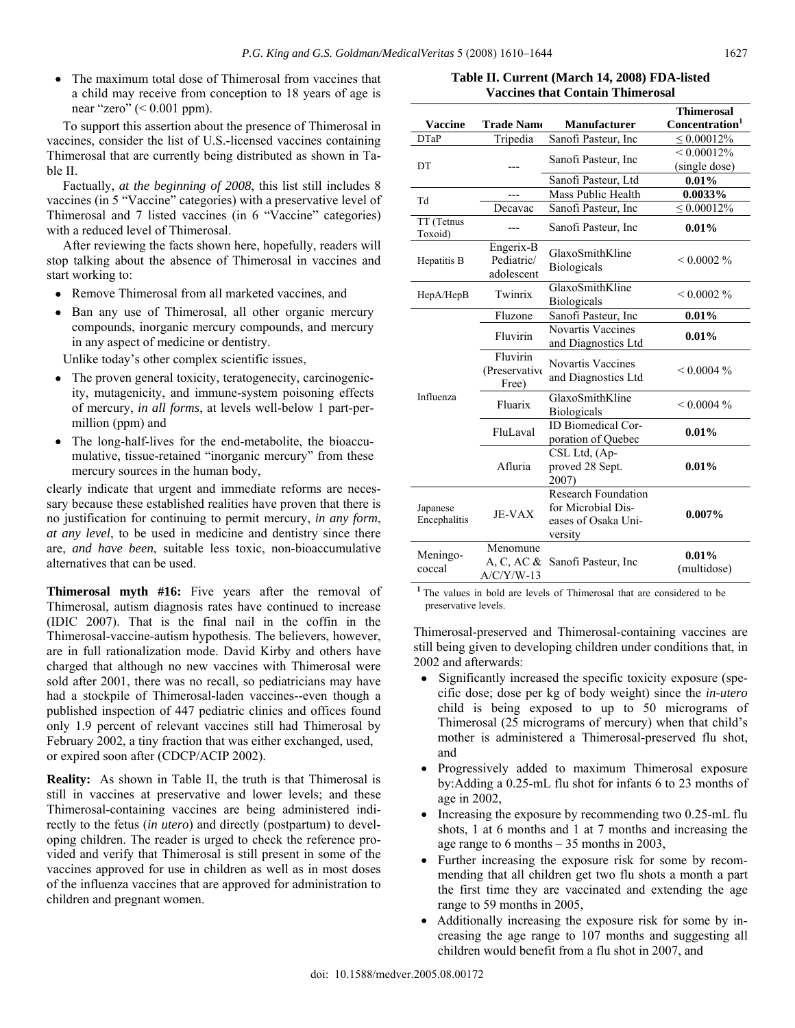• The maximum total dose of Thimerosal from vaccines that a child may receive from conception to 18 years of age is near "zero"  $( $0.001$  ppm).$ 

 To support this assertion about the presence of Thimerosal in vaccines, consider the list of U.S.-licensed vaccines containing Thimerosal that are currently being distributed as shown in Table II.

 Factually, *at the beginning of 2008*, this list still includes 8 vaccines (in 5 "Vaccine" categories) with a preservative level of Thimerosal and 7 listed vaccines (in 6 "Vaccine" categories) with a reduced level of Thimerosal.

 After reviewing the facts shown here, hopefully, readers will stop talking about the absence of Thimerosal in vaccines and start working to:

- Remove Thimerosal from all marketed vaccines, and
- Ban any use of Thimerosal, all other organic mercury compounds, inorganic mercury compounds, and mercury in any aspect of medicine or dentistry.

Unlike today's other complex scientific issues,

- The proven general toxicity, teratogenecity, carcinogenicity, mutagenicity, and immune-system poisoning effects of mercury, *in all forms*, at levels well-below 1 part-permillion (ppm) and
- The long-half-lives for the end-metabolite, the bioaccumulative, tissue-retained "inorganic mercury" from these mercury sources in the human body,

clearly indicate that urgent and immediate reforms are necessary because these established realities have proven that there is no justification for continuing to permit mercury, *in any form*, *at any level*, to be used in medicine and dentistry since there are, *and have been*, suitable less toxic, non-bioaccumulative alternatives that can be used.

**Thimerosal myth #16:** Five years after the removal of Thimerosal, autism diagnosis rates have continued to increase (IDIC 2007). That is the final nail in the coffin in the Thimerosal-vaccine-autism hypothesis. The believers, however, are in full rationalization mode. David Kirby and others have charged that although no new vaccines with Thimerosal were sold after 2001, there was no recall, so pediatricians may have had a stockpile of Thimerosal-laden vaccines--even though a published inspection of 447 pediatric clinics and offices found only 1.9 percent of relevant vaccines still had Thimerosal by February 2002, a tiny fraction that was either exchanged, used, or expired soon after (CDCP/ACIP 2002).

**Reality:** As shown in Table II, the truth is that Thimerosal is still in vaccines at preservative and lower levels; and these Thimerosal-containing vaccines are being administered indirectly to the fetus (*in utero*) and directly (postpartum) to developing children. The reader is urged to check the reference provided and verify that Thimerosal is still present in some of the vaccines approved for use in children as well as in most doses of the influenza vaccines that are approved for administration to children and pregnant women.

**Table II. Current (March 14, 2008) FDA-listed Vaccines that Contain Thimerosal** 

|                          |                                          |                                                                                    | <b>Thimerosal</b>          |
|--------------------------|------------------------------------------|------------------------------------------------------------------------------------|----------------------------|
| <b>Vaccine</b>           | <b>Trade Name</b>                        | <b>Manufacturer</b>                                                                | Concentration <sup>1</sup> |
| <b>DTaP</b>              | Tripedia                                 | Sanofi Pasteur, Inc.                                                               | $\leq 0.00012\%$           |
|                          |                                          |                                                                                    | ${}_{0.00012\%}$           |
| DT                       |                                          | Sanofi Pasteur, Inc                                                                | (single dose)              |
|                          |                                          | Sanofi Pasteur, Ltd                                                                | 0.01%                      |
| Td                       |                                          | Mass Public Health                                                                 | 0.0033%                    |
|                          | Decavac                                  | Sanofi Pasteur, Inc                                                                | $\leq 0.00012\%$           |
| TT (Tetnus<br>Toxoid)    |                                          | Sanofi Pasteur, Inc                                                                | $0.01\%$                   |
| Hepatitis B              | Engerix-B<br>Pediatric/<br>adolescent    | GlaxoSmithKline<br><b>Biologicals</b>                                              | $< 0.0002 \%$              |
| HepA/HepB                | Twinrix                                  | GlaxoSmithKline<br><b>Biologicals</b>                                              | $< 0.0002 \%$              |
|                          | Fluzone                                  | Sanofi Pasteur, Inc                                                                | 0.01%                      |
| Influenza                | Fluvirin                                 | <b>Novartis Vaccines</b><br>and Diagnostics Ltd                                    | $0.01\%$                   |
|                          | Fluvirin<br>(Preservative<br>Free)       | <b>Novartis Vaccines</b><br>and Diagnostics Ltd                                    | $< 0.0004 \%$              |
|                          | Fluarix                                  | GlaxoSmithKline<br><b>Biologicals</b>                                              | $< 0.0004 \%$              |
|                          | FluLaval                                 | ID Biomedical Cor-<br>poration of Quebec                                           | 0.01%                      |
|                          | Afluria                                  | CSL Ltd, (Ap-<br>proved 28 Sept.<br>2007)                                          | $0.01\%$                   |
| Japanese<br>Encephalitis | <b>JE-VAX</b>                            | <b>Research Foundation</b><br>for Microbial Dis-<br>eases of Osaka Uni-<br>versity | $0.007\%$                  |
| Meningo-<br>coccal       | Menomune<br>A, C, AC $&$<br>$A/C/Y/W-13$ | Sanofi Pasteur, Inc.                                                               | 0.01%<br>(multidose)       |

**<sup>1</sup>** The values in bold are levels of Thimerosal that are considered to be preservative levels.

Thimerosal-preserved and Thimerosal-containing vaccines are still being given to developing children under conditions that, in 2002 and afterwards:

- Significantly increased the specific toxicity exposure (specific dose; dose per kg of body weight) since the *in-utero* child is being exposed to up to 50 micrograms of Thimerosal (25 micrograms of mercury) when that child's mother is administered a Thimerosal-preserved flu shot, and
- Progressively added to maximum Thimerosal exposure by:Adding a 0.25-mL flu shot for infants 6 to 23 months of age in 2002,
- Increasing the exposure by recommending two 0.25-mL flu shots, 1 at 6 months and 1 at 7 months and increasing the age range to 6 months – 35 months in 2003,
- Further increasing the exposure risk for some by recommending that all children get two flu shots a month a part the first time they are vaccinated and extending the age range to 59 months in 2005,
- Additionally increasing the exposure risk for some by increasing the age range to 107 months and suggesting all children would benefit from a flu shot in 2007, and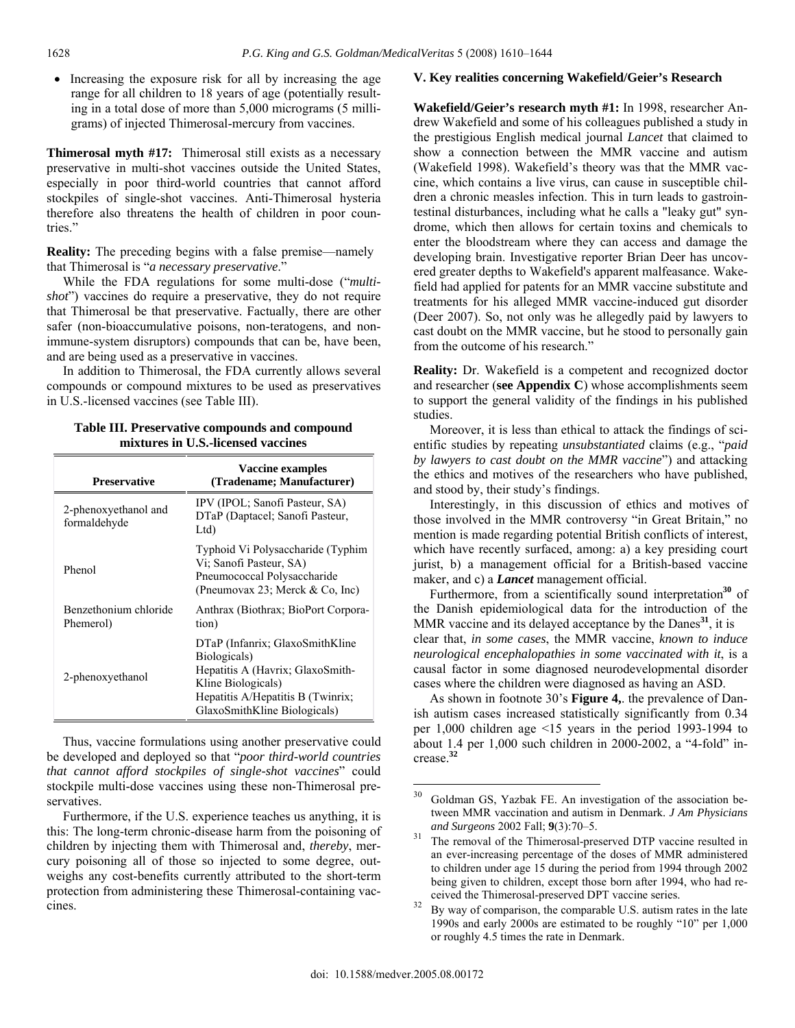• Increasing the exposure risk for all by increasing the age range for all children to 18 years of age (potentially resulting in a total dose of more than 5,000 micrograms (5 milligrams) of injected Thimerosal-mercury from vaccines.

**Thimerosal myth #17:** Thimerosal still exists as a necessary preservative in multi-shot vaccines outside the United States, especially in poor third-world countries that cannot afford stockpiles of single-shot vaccines. Anti-Thimerosal hysteria therefore also threatens the health of children in poor countries."

**Reality:** The preceding begins with a false premise—namely that Thimerosal is "*a necessary preservative*."

 While the FDA regulations for some multi-dose ("*multishot*") vaccines do require a preservative, they do not require that Thimerosal be that preservative. Factually, there are other safer (non-bioaccumulative poisons, non-teratogens, and nonimmune-system disruptors) compounds that can be, have been, and are being used as a preservative in vaccines.

 In addition to Thimerosal, the FDA currently allows several compounds or compound mixtures to be used as preservatives in U.S.-licensed vaccines (see Table III).

## **Table III. Preservative compounds and compound mixtures in U.S.-licensed vaccines**

| <b>Preservative</b>                  | <b>Vaccine examples</b><br>(Tradename; Manufacturer)                                                                                                                           |
|--------------------------------------|--------------------------------------------------------------------------------------------------------------------------------------------------------------------------------|
| 2-phenoxyethanol and<br>formaldehyde | IPV (IPOL; Sanofi Pasteur, SA)<br>DTaP (Daptacel; Sanofi Pasteur,<br>Ltd)                                                                                                      |
| Phenol                               | Typhoid Vi Polysaccharide (Typhim<br>Vi; Sanofi Pasteur, SA)<br>Pneumococcal Polysaccharide<br>(Pneumovax 23; Merck & Co, Inc)                                                 |
| Benzethonium chloride<br>Phemerol)   | Anthrax (Biothrax; BioPort Corpora-<br>tion)                                                                                                                                   |
| 2-phenoxyethanol                     | DTaP (Infanrix: GlaxoSmithKline<br>Biologicals)<br>Hepatitis A (Havrix; GlaxoSmith-<br>Kline Biologicals)<br>Hepatitis A/Hepatitis B (Twinrix;<br>GlaxoSmithKline Biologicals) |

 Thus, vaccine formulations using another preservative could be developed and deployed so that "*poor third-world countries that cannot afford stockpiles of single-shot vaccines*" could stockpile multi-dose vaccines using these non-Thimerosal preservatives.

 Furthermore, if the U.S. experience teaches us anything, it is this: The long-term chronic-disease harm from the poisoning of children by injecting them with Thimerosal and, *thereby*, mercury poisoning all of those so injected to some degree, outweighs any cost-benefits currently attributed to the short-term protection from administering these Thimerosal-containing vaccines.

## **V. Key realities concerning Wakefield/Geier's Research**

**Wakefield/Geier's research myth #1:** In 1998, researcher Andrew Wakefield and some of his colleagues published a study in the prestigious English medical journal *Lancet* that claimed to show a connection between the MMR vaccine and autism (Wakefield 1998). Wakefield's theory was that the MMR vaccine, which contains a live virus, can cause in susceptible children a chronic measles infection. This in turn leads to gastrointestinal disturbances, including what he calls a "leaky gut" syndrome, which then allows for certain toxins and chemicals to enter the bloodstream where they can access and damage the developing brain. Investigative reporter Brian Deer has uncovered greater depths to Wakefield's apparent malfeasance. Wakefield had applied for patents for an MMR vaccine substitute and treatments for his alleged MMR vaccine-induced gut disorder (Deer 2007). So, not only was he allegedly paid by lawyers to cast doubt on the MMR vaccine, but he stood to personally gain from the outcome of his research."

**Reality:** Dr. Wakefield is a competent and recognized doctor and researcher (**see Appendix C**) whose accomplishments seem to support the general validity of the findings in his published studies.

 Moreover, it is less than ethical to attack the findings of scientific studies by repeating *unsubstantiated* claims (e.g., "*paid by lawyers to cast doubt on the MMR vaccine*") and attacking the ethics and motives of the researchers who have published, and stood by, their study's findings.

 Interestingly, in this discussion of ethics and motives of those involved in the MMR controversy "in Great Britain," no mention is made regarding potential British conflicts of interest, which have recently surfaced, among: a) a key presiding court jurist, b) a management official for a British-based vaccine maker, and c) a *Lancet* management official.

Furthermore, from a scientifically sound interpretation<sup>30</sup> of the Danish epidemiological data for the introduction of the MMR vaccine and its delayed acceptance by the Danes**<sup>31</sup>**, it is clear that, *in some cases*, the MMR vaccine, *known to induce neurological encephalopathies in some vaccinated with it*, is a causal factor in some diagnosed neurodevelopmental disorder cases where the children were diagnosed as having an ASD.

 As shown in footnote 30's **Figure 4,**. the prevalence of Danish autism cases increased statistically significantly from 0.34 per 1,000 children age <15 years in the period 1993-1994 to about 1.4 per 1,000 such children in 2000-2002, a "4-fold" increase.**<sup>32</sup>**

<sup>30</sup> Goldman GS, Yazbak FE. An investigation of the association between MMR vaccination and autism in Denmark. *J Am Physicians* 

*and Surgeons* 2002 Fall; **9**(3):70–5.<br><sup>31</sup> The removal of the Thimerosal-preserved DTP vaccine resulted in an ever-increasing percentage of the doses of MMR administered to children under age 15 during the period from 1994 through 2002 being given to children, except those born after 1994, who had received the Thimerosal-preserved DPT vaccine series. 32 By way of comparison, the comparable U.S. autism rates in the late

<sup>1990</sup>s and early 2000s are estimated to be roughly "10" per 1,000 or roughly 4.5 times the rate in Denmark.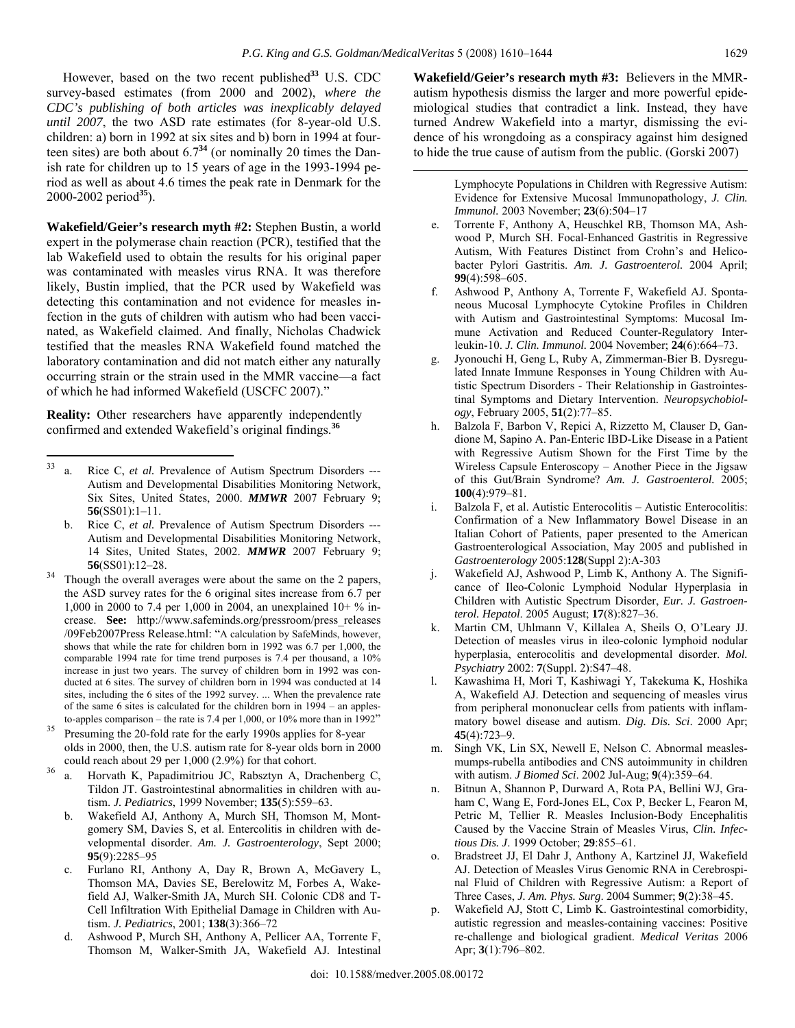However, based on the two recent published**<sup>33</sup>** U.S. CDC survey-based estimates (from 2000 and 2002), *where the CDC's publishing of both articles was inexplicably delayed until 2007*, the two ASD rate estimates (for 8-year-old U.S. children: a) born in 1992 at six sites and b) born in 1994 at fourteen sites) are both about  $6.7<sup>34</sup>$  (or nominally 20 times the Danish rate for children up to 15 years of age in the 1993-1994 period as well as about 4.6 times the peak rate in Denmark for the 2000-2002 period**<sup>35</sup>**).

**Wakefield/Geier's research myth #2:** Stephen Bustin, a world expert in the polymerase chain reaction (PCR), testified that the lab Wakefield used to obtain the results for his original paper was contaminated with measles virus RNA. It was therefore likely, Bustin implied, that the PCR used by Wakefield was detecting this contamination and not evidence for measles infection in the guts of children with autism who had been vaccinated, as Wakefield claimed. And finally, Nicholas Chadwick testified that the measles RNA Wakefield found matched the laboratory contamination and did not match either any naturally occurring strain or the strain used in the MMR vaccine—a fact of which he had informed Wakefield (USCFC 2007)."

**Reality:** Other researchers have apparently independently confirmed and extended Wakefield's original findings.**<sup>36</sup>**

 $\overline{a}$ 

- c. Furlano RI, Anthony A, Day R, Brown A, McGavery L, Thomson MA, Davies SE, Berelowitz M, Forbes A, Wakefield AJ, Walker-Smith JA, Murch SH. Colonic CD8 and T-Cell Infiltration With Epithelial Damage in Children with Autism. *J. Pediatrics*, 2001; **138**(3):366–72
- d. Ashwood P, Murch SH, Anthony A, Pellicer AA, Torrente F, Thomson M, Walker-Smith JA, Wakefield AJ. Intestinal

**Wakefield/Geier's research myth #3:** Believers in the MMRautism hypothesis dismiss the larger and more powerful epidemiological studies that contradict a link. Instead, they have turned Andrew Wakefield into a martyr, dismissing the evidence of his wrongdoing as a conspiracy against him designed to hide the true cause of autism from the public. (Gorski 2007)

> Lymphocyte Populations in Children with Regressive Autism: Evidence for Extensive Mucosal Immunopathology, *J. Clin. Immunol.* 2003 November; **23**(6):504–17

- e. Torrente F, Anthony A, Heuschkel RB, Thomson MA, Ashwood P, Murch SH. Focal-Enhanced Gastritis in Regressive Autism, With Features Distinct from Crohn's and Helicobacter Pylori Gastritis. *Am. J. Gastroenterol.* 2004 April; **99**(4):598–605.
- f. Ashwood P, Anthony A, Torrente F, Wakefield AJ. Spontaneous Mucosal Lymphocyte Cytokine Profiles in Children with Autism and Gastrointestinal Symptoms: Mucosal Immune Activation and Reduced Counter-Regulatory Interleukin-10. *J. Clin. Immunol.* 2004 November; **24**(6):664–73.
- g. Jyonouchi H, Geng L, Ruby A, Zimmerman-Bier B. Dysregulated Innate Immune Responses in Young Children with Autistic Spectrum Disorders - Their Relationship in Gastrointestinal Symptoms and Dietary Intervention. *Neuropsychobiology*, February 2005, **51**(2):77–85.
- h. Balzola F, Barbon V, Repici A, Rizzetto M, Clauser D, Gandione M, Sapino A. Pan-Enteric IBD-Like Disease in a Patient with Regressive Autism Shown for the First Time by the Wireless Capsule Enteroscopy – Another Piece in the Jigsaw of this Gut/Brain Syndrome? *Am. J. Gastroenterol.* 2005; **100**(4):979–81.
- i. Balzola F, et al. Autistic Enterocolitis Autistic Enterocolitis: Confirmation of a New Inflammatory Bowel Disease in an Italian Cohort of Patients, paper presented to the American Gastroenterological Association, May 2005 and published in *Gastroenterology* 2005:**128**(Suppl 2):A-303
- j. Wakefield AJ, Ashwood P, Limb K, Anthony A. The Significance of Ileo-Colonic Lymphoid Nodular Hyperplasia in Children with Autistic Spectrum Disorder, *Eur. J. Gastroenterol. Hepatol*. 2005 August; **17**(8):827–36.
- k. Martin CM, Uhlmann V, Killalea A, Sheils O, O'Leary JJ. Detection of measles virus in ileo-colonic lymphoid nodular hyperplasia, enterocolitis and developmental disorder. *Mol. Psychiatry* 2002: **7**(Suppl. 2):S47–48.
- l. Kawashima H, Mori T, Kashiwagi Y, Takekuma K, Hoshika A, Wakefield AJ. Detection and sequencing of measles virus from peripheral mononuclear cells from patients with inflammatory bowel disease and autism. *Dig. Dis. Sci*. 2000 Apr; **45**(4):723–9.
- m. Singh VK, Lin SX, Newell E, Nelson C. Abnormal measlesmumps-rubella antibodies and CNS autoimmunity in children with autism. *J Biomed Sci*. 2002 Jul-Aug; **9**(4):359–64.
- n. Bitnun A, Shannon P, Durward A, Rota PA, Bellini WJ, Graham C, Wang E, Ford-Jones EL, Cox P, Becker L, Fearon M, Petric M, Tellier R. Measles Inclusion-Body Encephalitis Caused by the Vaccine Strain of Measles Virus, *Clin. Infectious Dis. J*. 1999 October; **29**:855–61.
- o. Bradstreet JJ, El Dahr J, Anthony A, Kartzinel JJ, Wakefield AJ. Detection of Measles Virus Genomic RNA in Cerebrospinal Fluid of Children with Regressive Autism: a Report of Three Cases, *J. Am. Phys. Surg*. 2004 Summer; **9**(2):38–45.
- Wakefield AJ, Stott C, Limb K. Gastrointestinal comorbidity, autistic regression and measles-containing vaccines: Positive re-challenge and biological gradient. *Medical Veritas* 2006 Apr; **3**(1):796–802.

<sup>33</sup> a. Rice C, *et al.* Prevalence of Autism Spectrum Disorders --- Autism and Developmental Disabilities Monitoring Network, Six Sites, United States, 2000. *MMWR* 2007 February 9; **56**(SS01):1–11.

b. Rice C, *et al.* Prevalence of Autism Spectrum Disorders --- Autism and Developmental Disabilities Monitoring Network, 14 Sites, United States, 2002. *MMWR* 2007 February 9; **56**(SS01):12–28. **36** Though the overall averages were about the same on the 2 papers,

the ASD survey rates for the 6 original sites increase from 6.7 per 1,000 in 2000 to 7.4 per 1,000 in 2004, an unexplained 10+ % increase. **See:** http://www.safeminds.org/pressroom/press\_releases /09Feb2007Press Release.html: "A calculation by SafeMinds, however, shows that while the rate for children born in 1992 was 6.7 per 1,000, the comparable 1994 rate for time trend purposes is 7.4 per thousand, a 10% increase in just two years. The survey of children born in 1992 was conducted at 6 sites. The survey of children born in 1994 was conducted at 14 sites, including the 6 sites of the 1992 survey. ... When the prevalence rate of the same 6 sites is calculated for the children born in 1994 – an apples-

to-apples comparison – the rate is 7.4 per 1,000, or 10% more than in 1992" Presuming the 20-fold rate for the early 1990s applies for 8-year olds in 2000, then, the U.S. autism rate for 8-year olds born in 2000

could reach about 29 per 1,000 (2.9%) for that cohort.<br><sup>36</sup> a. Horvath K, Papadimitriou JC, Rabsztyn A, Drachenberg C, Tildon JT. Gastrointestinal abnormalities in children with autism. *J. Pediatrics*, 1999 November; **135**(5):559–63.

b. Wakefield AJ, Anthony A, Murch SH, Thomson M, Montgomery SM, Davies S, et al. Entercolitis in children with developmental disorder. *Am. J. Gastroenterology*, Sept 2000; **95**(9):2285–95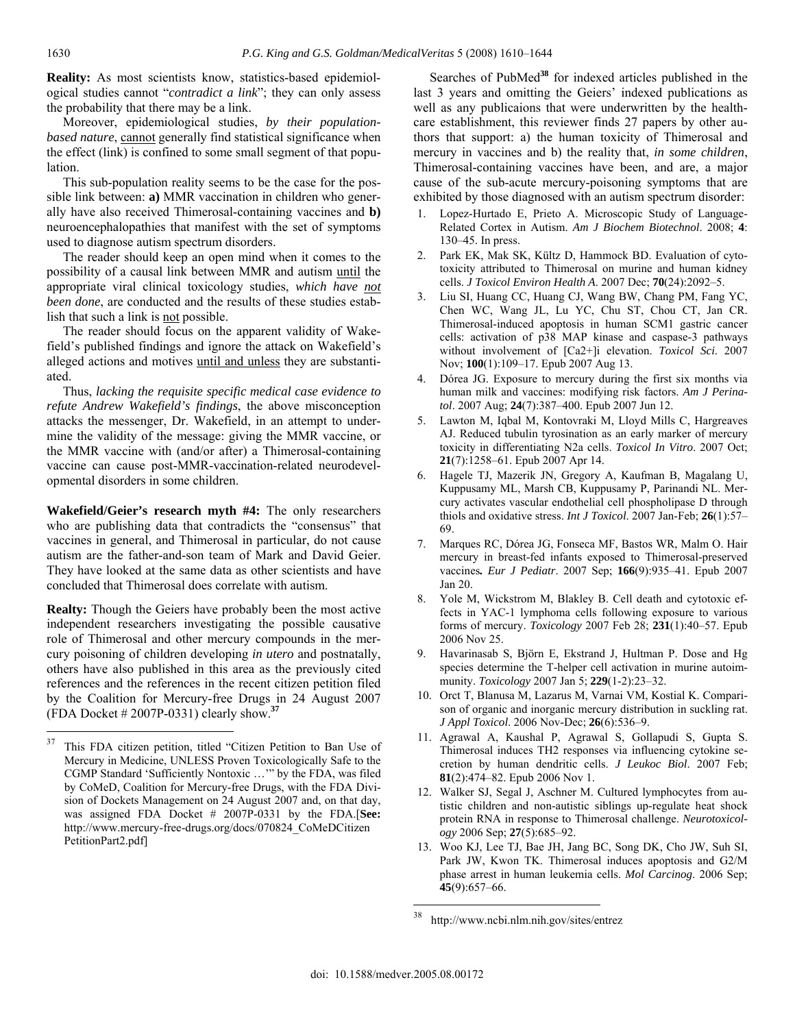**Reality:** As most scientists know, statistics-based epidemiological studies cannot "*contradict a link*"; they can only assess the probability that there may be a link.

 Moreover, epidemiological studies, *by their populationbased nature*, cannot generally find statistical significance when the effect (link) is confined to some small segment of that population.

 This sub-population reality seems to be the case for the possible link between: **a)** MMR vaccination in children who generally have also received Thimerosal-containing vaccines and **b)** neuroencephalopathies that manifest with the set of symptoms used to diagnose autism spectrum disorders.

 The reader should keep an open mind when it comes to the possibility of a causal link between MMR and autism until the appropriate viral clinical toxicology studies, *which have not been done*, are conducted and the results of these studies establish that such a link is not possible.

 The reader should focus on the apparent validity of Wakefield's published findings and ignore the attack on Wakefield's alleged actions and motives until and unless they are substantiated.

 Thus, *lacking the requisite specific medical case evidence to refute Andrew Wakefield's findings*, the above misconception attacks the messenger, Dr. Wakefield, in an attempt to undermine the validity of the message: giving the MMR vaccine, or the MMR vaccine with (and/or after) a Thimerosal-containing vaccine can cause post-MMR-vaccination-related neurodevelopmental disorders in some children.

**Wakefield/Geier's research myth #4:** The only researchers who are publishing data that contradicts the "consensus" that vaccines in general, and Thimerosal in particular, do not cause autism are the father-and-son team of Mark and David Geier. They have looked at the same data as other scientists and have concluded that Thimerosal does correlate with autism.

**Realty:** Though the Geiers have probably been the most active independent researchers investigating the possible causative role of Thimerosal and other mercury compounds in the mercury poisoning of children developing *in utero* and postnatally, others have also published in this area as the previously cited references and the references in the recent citizen petition filed by the Coalition for Mercury-free Drugs in 24 August 2007 (FDA Docket # 2007P-0331) clearly show.**<sup>37</sup>**

 Searches of PubMed**<sup>38</sup>** for indexed articles published in the last 3 years and omitting the Geiers' indexed publications as well as any publicaions that were underwritten by the healthcare establishment, this reviewer finds 27 papers by other authors that support: a) the human toxicity of Thimerosal and mercury in vaccines and b) the reality that, *in some children*, Thimerosal-containing vaccines have been, and are, a major cause of the sub-acute mercury-poisoning symptoms that are exhibited by those diagnosed with an autism spectrum disorder:

- 1. Lopez-Hurtado E, Prieto A. Microscopic Study of Language-Related Cortex in Autism. *Am J Biochem Biotechnol*. 2008; **4**: 130–45. In press.
- 2. Park EK, Mak SK, Kültz D, Hammock BD. Evaluation of cytotoxicity attributed to Thimerosal on murine and human kidney cells. *J Toxicol Environ Health A*. 2007 Dec; **70**(24):2092–5.
- 3. Liu SI, Huang CC, Huang CJ, Wang BW, Chang PM, Fang YC, Chen WC, Wang JL, Lu YC, Chu ST, Chou CT, Jan CR. Thimerosal-induced apoptosis in human SCM1 gastric cancer cells: activation of p38 MAP kinase and caspase-3 pathways without involvement of [Ca2+]i elevation. *Toxicol Sci*. 2007 Nov; **100**(1):109–17. Epub 2007 Aug 13.
- 4. Dórea JG. Exposure to mercury during the first six months via human milk and vaccines: modifying risk factors. *Am J Perinatol*. 2007 Aug; **24**(7):387–400. Epub 2007 Jun 12.
- 5. Lawton M, Iqbal M, Kontovraki M, Lloyd Mills C, Hargreaves AJ. Reduced tubulin tyrosination as an early marker of mercury toxicity in differentiating N2a cells. *Toxicol In Vitro*. 2007 Oct; **21**(7):1258–61. Epub 2007 Apr 14.
- 6. Hagele TJ, Mazerik JN, Gregory A, Kaufman B, Magalang U, Kuppusamy ML, Marsh CB, Kuppusamy P, Parinandi NL. Mercury activates vascular endothelial cell phospholipase D through thiols and oxidative stress. *Int J Toxicol*. 2007 Jan-Feb; **26**(1):57– 69.
- 7. Marques RC, Dórea JG, Fonseca MF, Bastos WR, Malm O. Hair mercury in breast-fed infants exposed to Thimerosal-preserved vaccines*. Eur J Pediatr*. 2007 Sep; **166**(9):935–41. Epub 2007 Jan 20.
- 8. Yole M, Wickstrom M, Blakley B. Cell death and cytotoxic effects in YAC-1 lymphoma cells following exposure to various forms of mercury. *Toxicology* 2007 Feb 28; **231**(1):40–57. Epub 2006 Nov 25.
- 9. Havarinasab S, Björn E, Ekstrand J, Hultman P. Dose and Hg species determine the T-helper cell activation in murine autoimmunity. *Toxicology* 2007 Jan 5; **229**(1-2):23–32.
- 10. Orct T, Blanusa M, Lazarus M, Varnai VM, Kostial K. Comparison of organic and inorganic mercury distribution in suckling rat. *J Appl Toxicol*. 2006 Nov-Dec; **26**(6):536–9.
- 11. Agrawal A, Kaushal P, Agrawal S, Gollapudi S, Gupta S. Thimerosal induces TH2 responses via influencing cytokine secretion by human dendritic cells. *J Leukoc Biol*. 2007 Feb; **81**(2):474–82. Epub 2006 Nov 1.
- 12. Walker SJ, Segal J, Aschner M. Cultured lymphocytes from autistic children and non-autistic siblings up-regulate heat shock protein RNA in response to Thimerosal challenge. *Neurotoxicology* 2006 Sep; **27**(5):685–92.
- 13. Woo KJ, Lee TJ, Bae JH, Jang BC, Song DK, Cho JW, Suh SI, Park JW, Kwon TK. Thimerosal induces apoptosis and G2/M phase arrest in human leukemia cells. *Mol Carcinog*. 2006 Sep; **45**(9):657–66.

<sup>37</sup> 37 This FDA citizen petition, titled "Citizen Petition to Ban Use of Mercury in Medicine, UNLESS Proven Toxicologically Safe to the CGMP Standard 'Sufficiently Nontoxic …'" by the FDA, was filed by CoMeD, Coalition for Mercury-free Drugs, with the FDA Division of Dockets Management on 24 August 2007 and, on that day, was assigned FDA Docket # 2007P-0331 by the FDA.[**See:** http://www.mercury-free-drugs.org/docs/070824\_CoMeDCitizen PetitionPart2.pdf]

<sup>38</sup> http://www.ncbi.nlm.nih.gov/sites/entrez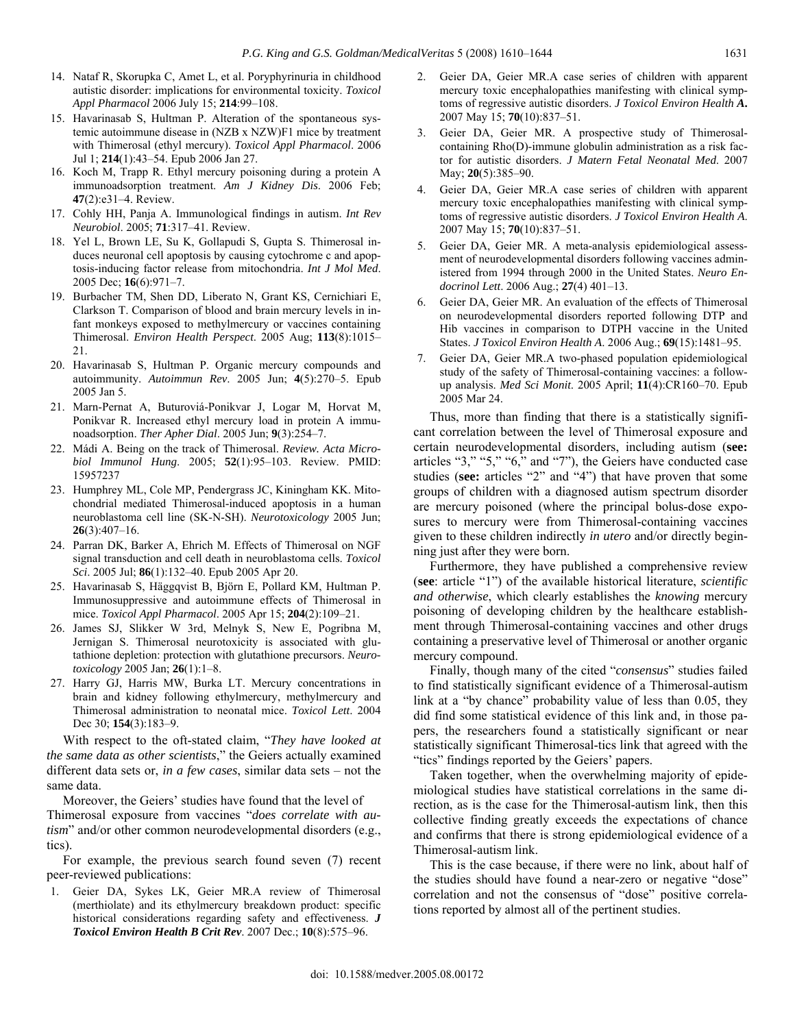- 14. Nataf R, Skorupka C, Amet L, et al. Poryphyrinuria in childhood autistic disorder: implications for environmental toxicity. *Toxicol Appl Pharmacol* 2006 July 15; **214**:99–108.
- 15. Havarinasab S, Hultman P. Alteration of the spontaneous systemic autoimmune disease in (NZB x NZW)F1 mice by treatment with Thimerosal (ethyl mercury). *Toxicol Appl Pharmacol*. 2006 Jul 1; **214**(1):43–54. Epub 2006 Jan 27.
- 16. Koch M, Trapp R. Ethyl mercury poisoning during a protein A immunoadsorption treatment. *Am J Kidney Dis*. 2006 Feb; **47**(2):e31–4. Review.
- 17. Cohly HH, Panja A. Immunological findings in autism. *Int Rev Neurobiol*. 2005; **71**:317–41. Review.
- 18. Yel L, Brown LE, Su K, Gollapudi S, Gupta S. Thimerosal induces neuronal cell apoptosis by causing cytochrome c and apoptosis-inducing factor release from mitochondria. *Int J Mol Med*. 2005 Dec; **16**(6):971–7.
- 19. Burbacher TM, Shen DD, Liberato N, Grant KS, Cernichiari E, Clarkson T. Comparison of blood and brain mercury levels in infant monkeys exposed to methylmercury or vaccines containing Thimerosal. *Environ Health Perspect*. 2005 Aug; **113**(8):1015– 21.
- 20. Havarinasab S, Hultman P. Organic mercury compounds and autoimmunity. *Autoimmun Rev*. 2005 Jun; **4**(5):270–5. Epub 2005 Jan 5.
- 21. Marn-Pernat A, Buturoviá-Ponikvar J, Logar M, Horvat M, Ponikvar R. Increased ethyl mercury load in protein A immunoadsorption. *Ther Apher Dial*. 2005 Jun; **9**(3):254–7.
- 22. Mádi A. Being on the track of Thimerosal. *Review. Acta Microbiol Immunol Hung*. 2005; **52**(1):95–103. Review. PMID: 15957237
- 23. Humphrey ML, Cole MP, Pendergrass JC, Kiningham KK. Mitochondrial mediated Thimerosal-induced apoptosis in a human neuroblastoma cell line (SK-N-SH). *Neurotoxicology* 2005 Jun; **26**(3):407–16.
- 24. Parran DK, Barker A, Ehrich M. Effects of Thimerosal on NGF signal transduction and cell death in neuroblastoma cells. *Toxicol Sci*. 2005 Jul; **86**(1):132–40. Epub 2005 Apr 20.
- 25. Havarinasab S, Häggqvist B, Björn E, Pollard KM, Hultman P. Immunosuppressive and autoimmune effects of Thimerosal in mice. *Toxicol Appl Pharmacol*. 2005 Apr 15; **204**(2):109–21.
- 26. James SJ, Slikker W 3rd, Melnyk S, New E, Pogribna M, Jernigan S. Thimerosal neurotoxicity is associated with glutathione depletion: protection with glutathione precursors. *Neurotoxicology* 2005 Jan; **26**(1):1–8.
- 27. Harry GJ, Harris MW, Burka LT. Mercury concentrations in brain and kidney following ethylmercury, methylmercury and Thimerosal administration to neonatal mice. *Toxicol Lett*. 2004 Dec 30; **154**(3):183–9.

 With respect to the oft-stated claim, "*They have looked at the same data as other scientists*," the Geiers actually examined different data sets or, *in a few cases*, similar data sets – not the same data.

 Moreover, the Geiers' studies have found that the level of Thimerosal exposure from vaccines "*does correlate with autism*" and/or other common neurodevelopmental disorders (e.g., tics).

 For example, the previous search found seven (7) recent peer-reviewed publications:

1. Geier DA, Sykes LK, Geier MR.A review of Thimerosal (merthiolate) and its ethylmercury breakdown product: specific historical considerations regarding safety and effectiveness. *J Toxicol Environ Health B Crit Rev*. 2007 Dec.; **10**(8):575–96.

- 2. Geier DA, Geier MR.A case series of children with apparent mercury toxic encephalopathies manifesting with clinical symptoms of regressive autistic disorders. *J Toxicol Environ Health A***.** 2007 May 15; **70**(10):837–51.
- Geier DA, Geier MR. A prospective study of Thimerosalcontaining Rho(D)-immune globulin administration as a risk factor for autistic disorders. *J Matern Fetal Neonatal Med*. 2007 May; **20**(5):385–90.
- 4. Geier DA, Geier MR.A case series of children with apparent mercury toxic encephalopathies manifesting with clinical symptoms of regressive autistic disorders. *J Toxicol Environ Health A*. 2007 May 15; **70**(10):837–51.
- 5. Geier DA, Geier MR. A meta-analysis epidemiological assessment of neurodevelopmental disorders following vaccines administered from 1994 through 2000 in the United States. *Neuro Endocrinol Lett*. 2006 Aug.; **27**(4) 401–13.
- 6. Geier DA, Geier MR. An evaluation of the effects of Thimerosal on neurodevelopmental disorders reported following DTP and Hib vaccines in comparison to DTPH vaccine in the United States. *J Toxicol Environ Health A*. 2006 Aug.; **69**(15):1481–95.
- 7. Geier DA, Geier MR.A two-phased population epidemiological study of the safety of Thimerosal-containing vaccines: a followup analysis. *Med Sci Monit*. 2005 April; **11**(4):CR160–70. Epub 2005 Mar 24.

 Thus, more than finding that there is a statistically significant correlation between the level of Thimerosal exposure and certain neurodevelopmental disorders, including autism (**see:** articles "3," "5," "6," and "7"), the Geiers have conducted case studies (**see:** articles "2" and "4") that have proven that some groups of children with a diagnosed autism spectrum disorder are mercury poisoned (where the principal bolus-dose exposures to mercury were from Thimerosal-containing vaccines given to these children indirectly *in utero* and/or directly beginning just after they were born.

 Furthermore, they have published a comprehensive review (**see**: article "1") of the available historical literature, *scientific and otherwise*, which clearly establishes the *knowing* mercury poisoning of developing children by the healthcare establishment through Thimerosal-containing vaccines and other drugs containing a preservative level of Thimerosal or another organic mercury compound.

 Finally, though many of the cited "*consensus*" studies failed to find statistically significant evidence of a Thimerosal-autism link at a "by chance" probability value of less than 0.05, they did find some statistical evidence of this link and, in those papers, the researchers found a statistically significant or near statistically significant Thimerosal-tics link that agreed with the "tics" findings reported by the Geiers' papers.

 Taken together, when the overwhelming majority of epidemiological studies have statistical correlations in the same direction, as is the case for the Thimerosal-autism link, then this collective finding greatly exceeds the expectations of chance and confirms that there is strong epidemiological evidence of a Thimerosal-autism link.

 This is the case because, if there were no link, about half of the studies should have found a near-zero or negative "dose" correlation and not the consensus of "dose" positive correlations reported by almost all of the pertinent studies.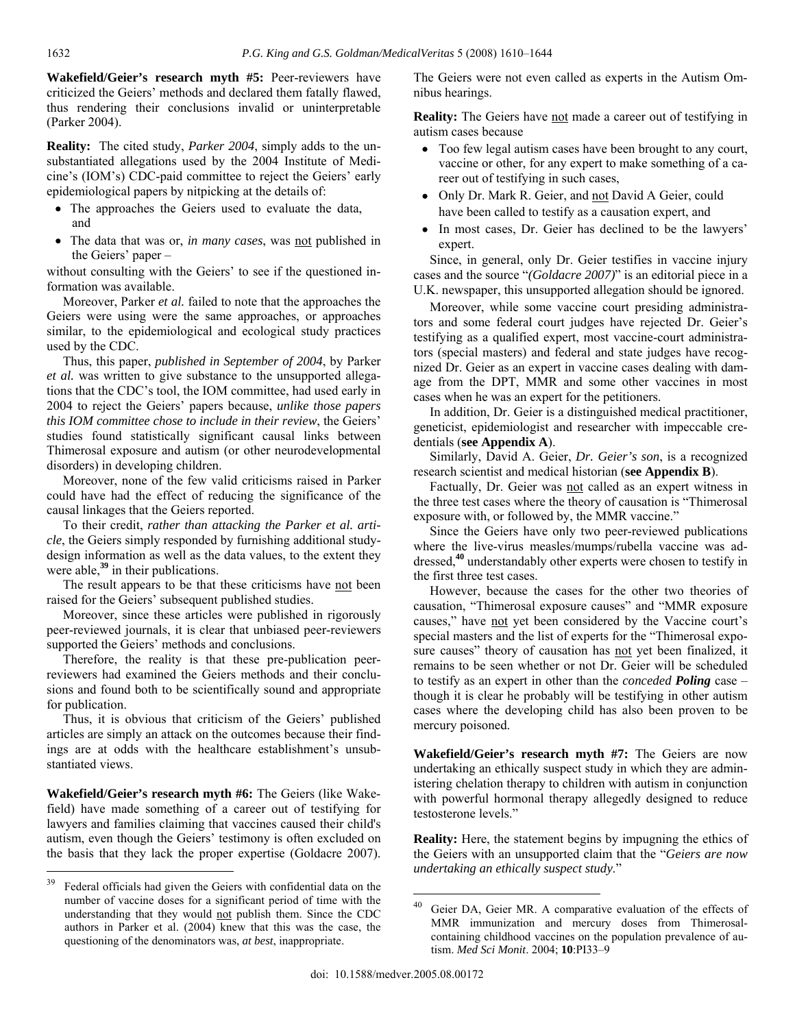**Wakefield/Geier's research myth #5:** Peer-reviewers have criticized the Geiers' methods and declared them fatally flawed, thus rendering their conclusions invalid or uninterpretable (Parker 2004).

**Reality:** The cited study, *Parker 2004*, simply adds to the unsubstantiated allegations used by the 2004 Institute of Medicine's (IOM's) CDC-paid committee to reject the Geiers' early epidemiological papers by nitpicking at the details of:

- The approaches the Geiers used to evaluate the data, and
- The data that was or, *in many cases*, was not published in the Geiers' paper –

without consulting with the Geiers' to see if the questioned information was available.

 Moreover, Parker *et al.* failed to note that the approaches the Geiers were using were the same approaches, or approaches similar, to the epidemiological and ecological study practices used by the CDC.

 Thus, this paper, *published in September of 2004*, by Parker *et al.* was written to give substance to the unsupported allegations that the CDC's tool, the IOM committee, had used early in 2004 to reject the Geiers' papers because, *unlike those papers this IOM committee chose to include in their review*, the Geiers' studies found statistically significant causal links between Thimerosal exposure and autism (or other neurodevelopmental disorders) in developing children.

 Moreover, none of the few valid criticisms raised in Parker could have had the effect of reducing the significance of the causal linkages that the Geiers reported.

 To their credit, *rather than attacking the Parker et al. article*, the Geiers simply responded by furnishing additional studydesign information as well as the data values, to the extent they were able,**<sup>39</sup>** in their publications.

The result appears to be that these criticisms have not been raised for the Geiers' subsequent published studies.

 Moreover, since these articles were published in rigorously peer-reviewed journals, it is clear that unbiased peer-reviewers supported the Geiers' methods and conclusions.

 Therefore, the reality is that these pre-publication peerreviewers had examined the Geiers methods and their conclusions and found both to be scientifically sound and appropriate for publication.

 Thus, it is obvious that criticism of the Geiers' published articles are simply an attack on the outcomes because their findings are at odds with the healthcare establishment's unsubstantiated views.

**Wakefield/Geier's research myth #6:** The Geiers (like Wakefield) have made something of a career out of testifying for lawyers and families claiming that vaccines caused their child's autism, even though the Geiers' testimony is often excluded on the basis that they lack the proper expertise (Goldacre 2007).

The Geiers were not even called as experts in the Autism Omnibus hearings.

**Reality:** The Geiers have not made a career out of testifying in autism cases because

- Too few legal autism cases have been brought to any court, vaccine or other, for any expert to make something of a career out of testifying in such cases,
- Only Dr. Mark R. Geier, and not David A Geier, could have been called to testify as a causation expert, and
- In most cases, Dr. Geier has declined to be the lawyers' expert.

 Since, in general, only Dr. Geier testifies in vaccine injury cases and the source "*(Goldacre 2007)*" is an editorial piece in a U.K. newspaper, this unsupported allegation should be ignored.

 Moreover, while some vaccine court presiding administrators and some federal court judges have rejected Dr. Geier's testifying as a qualified expert, most vaccine-court administrators (special masters) and federal and state judges have recognized Dr. Geier as an expert in vaccine cases dealing with damage from the DPT, MMR and some other vaccines in most cases when he was an expert for the petitioners.

 In addition, Dr. Geier is a distinguished medical practitioner, geneticist, epidemiologist and researcher with impeccable credentials (**see Appendix A**).

 Similarly, David A. Geier, *Dr. Geier's son*, is a recognized research scientist and medical historian (**see Appendix B**).

 Factually, Dr. Geier was not called as an expert witness in the three test cases where the theory of causation is "Thimerosal exposure with, or followed by, the MMR vaccine."

 Since the Geiers have only two peer-reviewed publications where the live-virus measles/mumps/rubella vaccine was addressed,**<sup>40</sup>** understandably other experts were chosen to testify in the first three test cases.

 However, because the cases for the other two theories of causation, "Thimerosal exposure causes" and "MMR exposure causes," have not yet been considered by the Vaccine court's special masters and the list of experts for the "Thimerosal exposure causes" theory of causation has not yet been finalized, it remains to be seen whether or not Dr. Geier will be scheduled to testify as an expert in other than the *conceded Poling* case – though it is clear he probably will be testifying in other autism cases where the developing child has also been proven to be mercury poisoned.

**Wakefield/Geier's research myth #7:** The Geiers are now undertaking an ethically suspect study in which they are administering chelation therapy to children with autism in conjunction with powerful hormonal therapy allegedly designed to reduce testosterone levels."

**Reality:** Here, the statement begins by impugning the ethics of the Geiers with an unsupported claim that the "*Geiers are now undertaking an ethically suspect study*."

 $\overline{a}$ 

<sup>&</sup>lt;sup>39</sup> Federal officials had given the Geiers with confidential data on the number of vaccine doses for a significant period of time with the understanding that they would not publish them. Since the CDC authors in Parker et al. (2004) knew that this was the case, the questioning of the denominators was, *at best*, inappropriate.

Geier DA, Geier MR. A comparative evaluation of the effects of MMR immunization and mercury doses from Thimerosalcontaining childhood vaccines on the population prevalence of autism. *Med Sci Monit*. 2004; **10**:PI33–9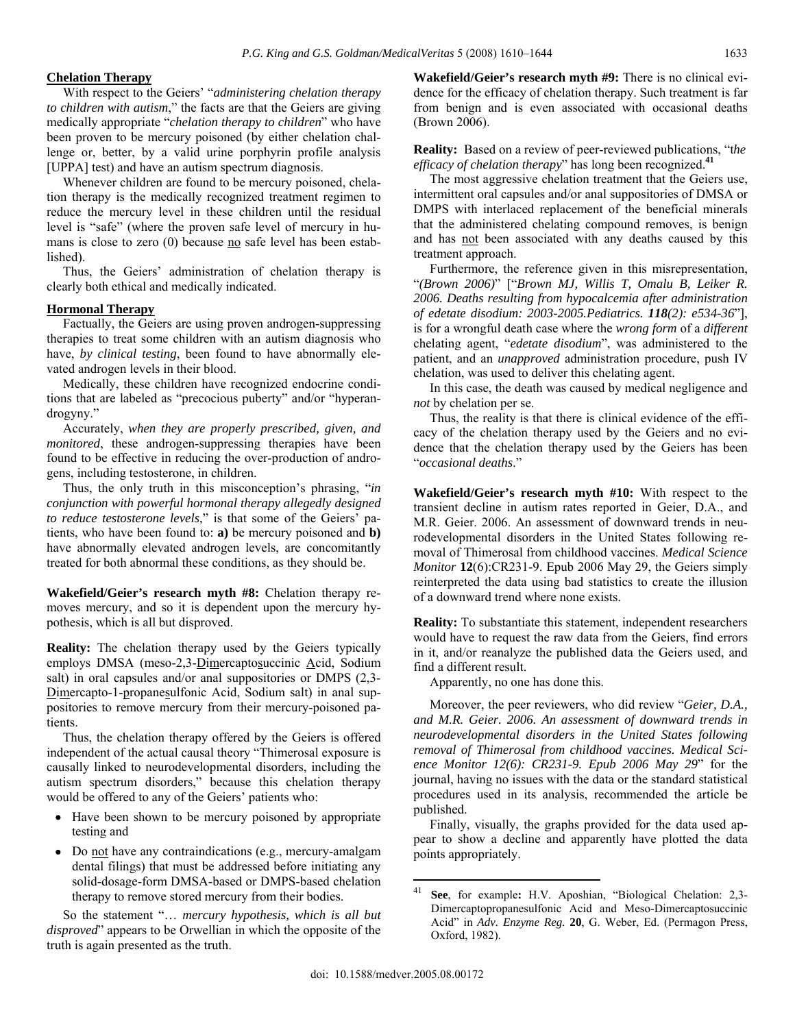## **Chelation Therapy**

 With respect to the Geiers' "*administering chelation therapy to children with autism*," the facts are that the Geiers are giving medically appropriate "*chelation therapy to children*" who have been proven to be mercury poisoned (by either chelation challenge or, better, by a valid urine porphyrin profile analysis [UPPA] test) and have an autism spectrum diagnosis.

 Whenever children are found to be mercury poisoned, chelation therapy is the medically recognized treatment regimen to reduce the mercury level in these children until the residual level is "safe" (where the proven safe level of mercury in humans is close to zero  $(0)$  because  $\underline{no}$  safe level has been established).

 Thus, the Geiers' administration of chelation therapy is clearly both ethical and medically indicated.

## **Hormonal Therapy**

 Factually, the Geiers are using proven androgen-suppressing therapies to treat some children with an autism diagnosis who have, *by clinical testing*, been found to have abnormally elevated androgen levels in their blood.

 Medically, these children have recognized endocrine conditions that are labeled as "precocious puberty" and/or "hyperandrogyny."

 Accurately, *when they are properly prescribed, given, and monitored*, these androgen-suppressing therapies have been found to be effective in reducing the over-production of androgens, including testosterone, in children.

 Thus, the only truth in this misconception's phrasing, "*in conjunction with powerful hormonal therapy allegedly designed to reduce testosterone levels*," is that some of the Geiers' patients, who have been found to: **a)** be mercury poisoned and **b)** have abnormally elevated androgen levels, are concomitantly treated for both abnormal these conditions, as they should be.

**Wakefield/Geier's research myth #8:** Chelation therapy removes mercury, and so it is dependent upon the mercury hypothesis, which is all but disproved.

**Reality:** The chelation therapy used by the Geiers typically employs DMSA (meso-2,3-Dimercaptosuccinic Acid, Sodium salt) in oral capsules and/or anal suppositories or DMPS  $(2,3-$ Dimercapto-1-propanesulfonic Acid, Sodium salt) in anal suppositories to remove mercury from their mercury-poisoned patients.

 Thus, the chelation therapy offered by the Geiers is offered independent of the actual causal theory "Thimerosal exposure is causally linked to neurodevelopmental disorders, including the autism spectrum disorders," because this chelation therapy would be offered to any of the Geiers' patients who:

- Have been shown to be mercury poisoned by appropriate testing and
- Do not have any contraindications (e.g., mercury-amalgam dental filings) that must be addressed before initiating any solid-dosage-form DMSA-based or DMPS-based chelation therapy to remove stored mercury from their bodies.

 So the statement "… *mercury hypothesis, which is all but disproved*" appears to be Orwellian in which the opposite of the truth is again presented as the truth.

**Wakefield/Geier's research myth #9:** There is no clinical evidence for the efficacy of chelation therapy. Such treatment is far from benign and is even associated with occasional deaths (Brown 2006).

**Reality:** Based on a review of peer-reviewed publications, "t*he efficacy of chelation therapy*" has long been recognized.**<sup>41</sup>**

 The most aggressive chelation treatment that the Geiers use, intermittent oral capsules and/or anal suppositories of DMSA or DMPS with interlaced replacement of the beneficial minerals that the administered chelating compound removes, is benign and has not been associated with any deaths caused by this treatment approach.

 Furthermore, the reference given in this misrepresentation, "*(Brown 2006)*" ["*Brown MJ, Willis T, Omalu B, Leiker R. 2006. Deaths resulting from hypocalcemia after administration of edetate disodium: 2003-2005.Pediatrics. 118(2): e534-36*"], is for a wrongful death case where the *wrong form* of a *different* chelating agent, "*edetate disodium*", was administered to the patient, and an *unapproved* administration procedure, push IV chelation, was used to deliver this chelating agent.

 In this case, the death was caused by medical negligence and *not* by chelation per se.

 Thus, the reality is that there is clinical evidence of the efficacy of the chelation therapy used by the Geiers and no evidence that the chelation therapy used by the Geiers has been "*occasional deaths*."

**Wakefield/Geier's research myth #10:** With respect to the transient decline in autism rates reported in Geier, D.A., and M.R. Geier. 2006. An assessment of downward trends in neurodevelopmental disorders in the United States following removal of Thimerosal from childhood vaccines. *Medical Science Monitor* **12**(6):CR231-9. Epub 2006 May 29, the Geiers simply reinterpreted the data using bad statistics to create the illusion of a downward trend where none exists.

**Reality:** To substantiate this statement, independent researchers would have to request the raw data from the Geiers, find errors in it, and/or reanalyze the published data the Geiers used, and find a different result.

Apparently, no one has done this.

 Moreover, the peer reviewers, who did review "*Geier, D.A., and M.R. Geier. 2006. An assessment of downward trends in neurodevelopmental disorders in the United States following removal of Thimerosal from childhood vaccines. Medical Science Monitor 12(6): CR231-9. Epub 2006 May 29*" for the journal, having no issues with the data or the standard statistical procedures used in its analysis, recommended the article be published.

 Finally, visually, the graphs provided for the data used appear to show a decline and apparently have plotted the data points appropriately.

See, for example: H.V. Aposhian, "Biological Chelation: 2,3-Dimercaptopropanesulfonic Acid and Meso-Dimercaptosuccinic Acid" in *Adv. Enzyme Reg.* **20**, G. Weber, Ed. (Permagon Press, Oxford, 1982).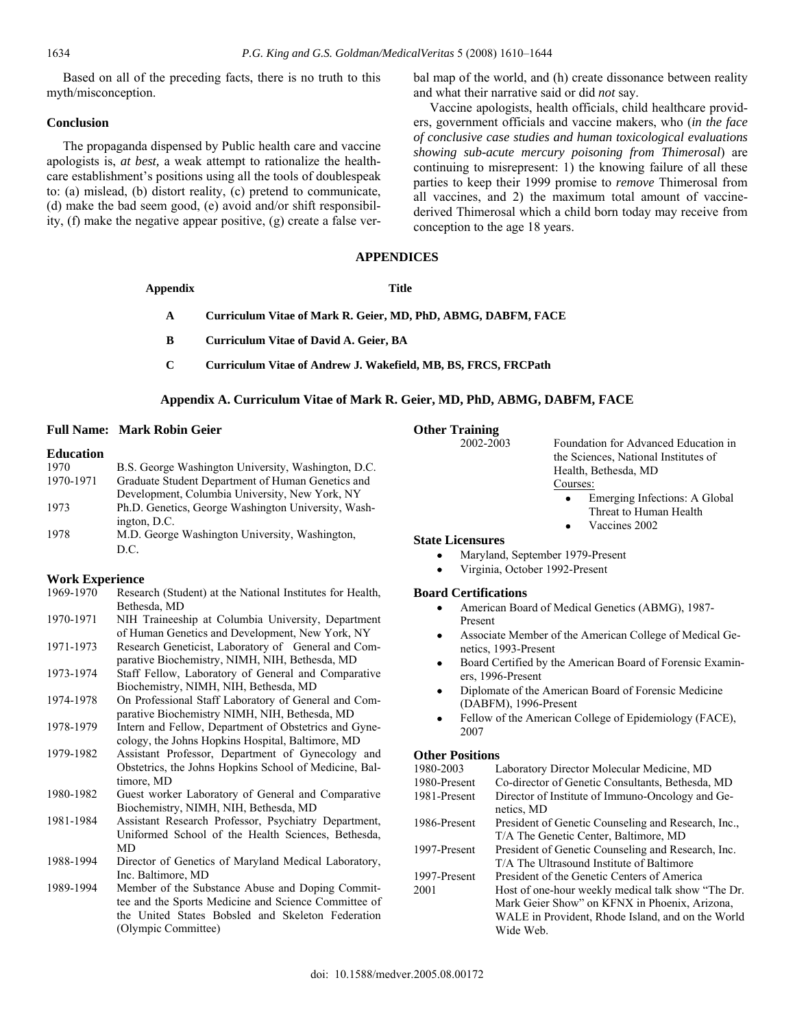Based on all of the preceding facts, there is no truth to this myth/misconception.

#### **Conclusion**

 The propaganda dispensed by Public health care and vaccine apologists is, *at best,* a weak attempt to rationalize the healthcare establishment's positions using all the tools of doublespeak to: (a) mislead, (b) distort reality, (c) pretend to communicate, (d) make the bad seem good, (e) avoid and/or shift responsibility, (f) make the negative appear positive, (g) create a false verbal map of the world, and (h) create dissonance between reality and what their narrative said or did *not* say.

 Vaccine apologists, health officials, child healthcare providers, government officials and vaccine makers, who (*in the face of conclusive case studies and human toxicological evaluations showing sub-acute mercury poisoning from Thimerosal*) are continuing to misrepresent: 1) the knowing failure of all these parties to keep their 1999 promise to *remove* Thimerosal from all vaccines, and 2) the maximum total amount of vaccinederived Thimerosal which a child born today may receive from conception to the age 18 years.

#### **APPENDICES**

| Curriculum Vitae of Mark R. Geier, MD, PhD, ABMG, DABFM, FACE |
|---------------------------------------------------------------|
|                                                               |

**B Curriculum Vitae of David A. Geier, BA** 

**Appendix Title** 

**C Curriculum Vitae of Andrew J. Wakefield, MB, BS, FRCS, FRCPath** 

#### **Appendix A. Curriculum Vitae of Mark R. Geier, MD, PhD, ABMG, DABFM, FACE**

#### **Full Name: Mark Robin Geier**

## **Education**

| 1970      | B.S. George Washington University, Washington, D.C. |
|-----------|-----------------------------------------------------|
| 1970-1971 | Graduate Student Department of Human Genetics and   |
|           | Development, Columbia University, New York, NY      |
| 1973      | Ph.D. Genetics, George Washington University, Wash- |
|           | ington, D.C.                                        |
| 1978      | M.D. George Washington University, Washington,      |
|           | D.C.                                                |

#### **Work Experience**

| 1969-1970 | Research (Student) at the National Institutes for Health,<br>Bethesda, MD                                  | I              |
|-----------|------------------------------------------------------------------------------------------------------------|----------------|
| 1970-1971 | NIH Traineeship at Columbia University, Department                                                         |                |
|           | of Human Genetics and Development, New York, NY                                                            |                |
| 1971-1973 | Research Geneticist, Laboratory of General and Com-<br>parative Biochemistry, NIMH, NIH, Bethesda, MD      |                |
| 1973-1974 | Staff Fellow, Laboratory of General and Comparative                                                        |                |
|           | Biochemistry, NIMH, NIH, Bethesda, MD                                                                      |                |
| 1974-1978 | On Professional Staff Laboratory of General and Com-<br>parative Biochemistry NIMH, NIH, Bethesda, MD      |                |
| 1978-1979 | Intern and Fellow, Department of Obstetrics and Gyne-<br>cology, the Johns Hopkins Hospital, Baltimore, MD |                |
| 1979-1982 | Assistant Professor, Department of Gynecology and                                                          |                |
|           | Obstetrics, the Johns Hopkins School of Medicine, Bal-                                                     | 1              |
|           | timore, MD                                                                                                 | 1              |
| 1980-1982 | Guest worker Laboratory of General and Comparative<br>Biochemistry, NIMH, NIH, Bethesda, MD                |                |
| 1981-1984 | Assistant Research Professor, Psychiatry Department,                                                       | 1              |
|           | Uniformed School of the Health Sciences, Bethesda,                                                         |                |
|           | <b>MD</b>                                                                                                  | 1              |
| 1988-1994 | Director of Genetics of Maryland Medical Laboratory,<br>Inc. Baltimore, MD                                 | $\mathbf 1$    |
| 1989-1994 | Member of the Substance Abuse and Doping Commit-<br>tee and the Sports Medicine and Science Committee of   | $\overline{2}$ |
|           | the United States Bobsled and Skeleton Federation                                                          |                |
|           | (Olympic Committee)                                                                                        |                |
|           |                                                                                                            |                |

# **Other Training**<br>2002-2003

Foundation for Advanced Education in the Sciences, National Institutes of Health, Bethesda, MD Courses:

- Emerging Infections: A Global Threat to Human Health
- Vaccines 2002

## **State Licensures**

- Maryland, September 1979-Present
- Virginia, October 1992-Present

#### **Board Certifications**

- American Board of Medical Genetics (ABMG), 1987- Present
- Associate Member of the American College of Medical Genetics, 1993-Present
- Board Certified by the American Board of Forensic Examiners, 1996-Present
- Diplomate of the American Board of Forensic Medicine (DABFM), 1996-Present
- Fellow of the American College of Epidemiology (FACE), 2007

#### **Other Positions**

| 1980-2003    | Laboratory Director Molecular Medicine, MD          |
|--------------|-----------------------------------------------------|
| 1980-Present | Co-director of Genetic Consultants, Bethesda, MD    |
| 1981-Present | Director of Institute of Immuno-Oncology and Ge-    |
|              | netics, MD                                          |
| 1986-Present | President of Genetic Counseling and Research, Inc., |
|              | T/A The Genetic Center, Baltimore, MD               |
| 1997-Present | President of Genetic Counseling and Research, Inc.  |
|              | T/A The Ultrasound Institute of Baltimore           |
| 1997-Present | President of the Genetic Centers of America         |
| 2001         | Host of one-hour weekly medical talk show "The Dr.  |
|              | Mark Geier Show" on KFNX in Phoenix, Arizona,       |
|              | WALE in Provident, Rhode Island, and on the World   |
|              | Wide Web.                                           |
|              |                                                     |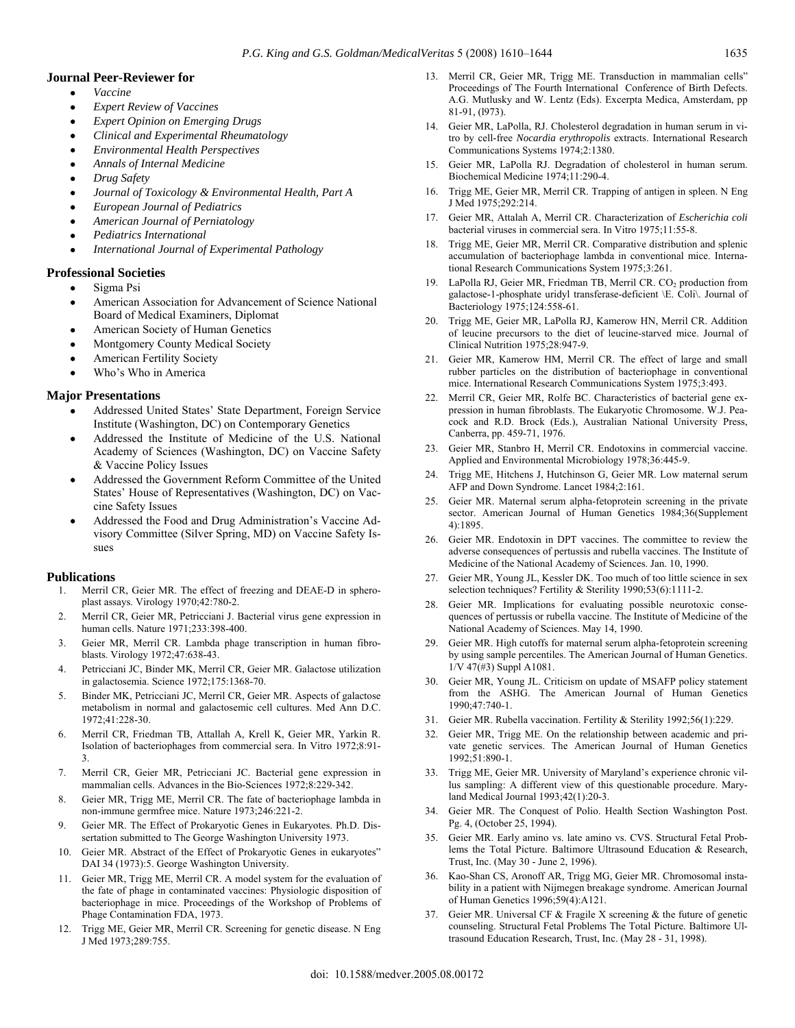#### **Journal Peer-Reviewer for**

- *Vaccine*
- *Expert Review of Vaccines*
- *Expert Opinion on Emerging Drugs*
- *Clinical and Experimental Rheumatology*
- *Environmental Health Perspectives*
- *Annals of Internal Medicine*
- *Drug Safety*
- *Journal of Toxicology & Environmental Health, Part A*
- *European Journal of Pediatrics*
- *American Journal of Perniatology*
- *Pediatrics International*
- *International Journal of Experimental Pathology*

#### **Professional Societies**

- Sigma Psi
- American Association for Advancement of Science National Board of Medical Examiners, Diplomat
- American Society of Human Genetics
- Montgomery County Medical Society
- American Fertility Society
- Who's Who in America

#### **Major Presentations**

- Addressed United States' State Department, Foreign Service Institute (Washington, DC) on Contemporary Genetics
- Addressed the Institute of Medicine of the U.S. National Academy of Sciences (Washington, DC) on Vaccine Safety & Vaccine Policy Issues
- Addressed the Government Reform Committee of the United States' House of Representatives (Washington, DC) on Vaccine Safety Issues
- Addressed the Food and Drug Administration's Vaccine Advisory Committee (Silver Spring, MD) on Vaccine Safety Issues

#### **Publications**

- 1. Merril CR, Geier MR. The effect of freezing and DEAE-D in spheroplast assays. Virology 1970;42:780-2.
- 2. Merril CR, Geier MR, Petricciani J. Bacterial virus gene expression in human cells. Nature 1971;233:398-400.
- 3. Geier MR, Merril CR. Lambda phage transcription in human fibroblasts. Virology 1972;47:638-43.
- 4. Petricciani JC, Binder MK, Merril CR, Geier MR. Galactose utilization in galactosemia. Science 1972;175:1368-70.
- 5. Binder MK, Petricciani JC, Merril CR, Geier MR. Aspects of galactose metabolism in normal and galactosemic cell cultures. Med Ann D.C. 1972;41:228-30.
- 6. Merril CR, Friedman TB, Attallah A, Krell K, Geier MR, Yarkin R. Isolation of bacteriophages from commercial sera. In Vitro 1972;8:91- 3.
- 7. Merril CR, Geier MR, Petricciani JC. Bacterial gene expression in mammalian cells. Advances in the Bio-Sciences 1972;8:229-342.
- 8. Geier MR, Trigg ME, Merril CR. The fate of bacteriophage lambda in non-immune germfree mice. Nature 1973;246:221-2.
- 9. Geier MR. The Effect of Prokaryotic Genes in Eukaryotes. Ph.D. Dissertation submitted to The George Washington University 1973.
- 10. Geier MR. Abstract of the Effect of Prokaryotic Genes in eukaryotes" DAI 34 (1973):5. George Washington University.
- 11. Geier MR, Trigg ME, Merril CR. A model system for the evaluation of the fate of phage in contaminated vaccines: Physiologic disposition of bacteriophage in mice. Proceedings of the Workshop of Problems of Phage Contamination FDA, 1973.
- 12. Trigg ME, Geier MR, Merril CR. Screening for genetic disease. N Eng J Med 1973;289:755.
- 13. Merril CR, Geier MR, Trigg ME. Transduction in mammalian cells" Proceedings of The Fourth International Conference of Birth Defects. A.G. Mutlusky and W. Lentz (Eds). Excerpta Medica, Amsterdam, pp 81-91, (l973).
- 14. Geier MR, LaPolla, RJ. Cholesterol degradation in human serum in vitro by cell-free *Nocardia erythropolis* extracts. International Research Communications Systems 1974;2:1380.
- 15. Geier MR, LaPolla RJ. Degradation of cholesterol in human serum. Biochemical Medicine 1974;11:290-4.
- 16. Trigg ME, Geier MR, Merril CR. Trapping of antigen in spleen. N Eng J Med 1975;292:214.
- 17. Geier MR, Attalah A, Merril CR. Characterization of *Escherichia coli* bacterial viruses in commercial sera. In Vitro 1975;11:55-8.
- 18. Trigg ME, Geier MR, Merril CR. Comparative distribution and splenic accumulation of bacteriophage lambda in conventional mice. International Research Communications System 1975;3:261.
- 19. LaPolla RJ, Geier MR, Friedman TB, Merril CR. CO<sub>2</sub> production from galactose-1-phosphate uridyl transferase-deficient \E. Coli\. Journal of Bacteriology 1975;124:558-61.
- 20. Trigg ME, Geier MR, LaPolla RJ, Kamerow HN, Merril CR. Addition of leucine precursors to the diet of leucine-starved mice. Journal of Clinical Nutrition 1975;28:947-9.
- 21. Geier MR, Kamerow HM, Merril CR. The effect of large and small rubber particles on the distribution of bacteriophage in conventional mice. International Research Communications System 1975;3:493.
- 22. Merril CR, Geier MR, Rolfe BC. Characteristics of bacterial gene expression in human fibroblasts. The Eukaryotic Chromosome. W.J. Peacock and R.D. Brock (Eds.), Australian National University Press, Canberra, pp. 459-71, 1976.
- 23. Geier MR, Stanbro H, Merril CR. Endotoxins in commercial vaccine. Applied and Environmental Microbiology 1978;36:445-9.
- 24. Trigg ME, Hitchens J, Hutchinson G, Geier MR. Low maternal serum AFP and Down Syndrome. Lancet 1984;2:161.
- 25. Geier MR. Maternal serum alpha-fetoprotein screening in the private sector. American Journal of Human Genetics 1984;36(Supplement 4):1895.
- 26. Geier MR. Endotoxin in DPT vaccines. The committee to review the adverse consequences of pertussis and rubella vaccines. The Institute of Medicine of the National Academy of Sciences. Jan. 10, 1990.
- 27. Geier MR, Young JL, Kessler DK. Too much of too little science in sex selection techniques? Fertility & Sterility 1990;53(6):1111-2.
- 28. Geier MR. Implications for evaluating possible neurotoxic consequences of pertussis or rubella vaccine. The Institute of Medicine of the National Academy of Sciences. May 14, 1990.
- 29. Geier MR. High cutoffs for maternal serum alpha-fetoprotein screening by using sample percentiles. The American Journal of Human Genetics. 1/V 47(#3) Suppl A1081.
- 30. Geier MR, Young JL. Criticism on update of MSAFP policy statement from the ASHG. The American Journal of Human Genetics 1990;47:740-1.
- 31. Geier MR. Rubella vaccination. Fertility & Sterility 1992;56(1):229.
- 32. Geier MR, Trigg ME. On the relationship between academic and private genetic services. The American Journal of Human Genetics 1992;51:890-1.
- 33. Trigg ME, Geier MR. University of Maryland's experience chronic villus sampling: A different view of this questionable procedure. Maryland Medical Journal 1993;42(1):20-3.
- 34. Geier MR. The Conquest of Polio. Health Section Washington Post. Pg. 4, (October 25, 1994).
- 35. Geier MR. Early amino vs. late amino vs. CVS. Structural Fetal Problems the Total Picture. Baltimore Ultrasound Education & Research, Trust, Inc. (May 30 - June 2, 1996).
- 36. Kao-Shan CS, Aronoff AR, Trigg MG, Geier MR. Chromosomal instability in a patient with Nijmegen breakage syndrome. American Journal of Human Genetics 1996;59(4):A121.
- Geier MR. Universal CF  $&$  Fragile X screening  $&$  the future of genetic counseling. Structural Fetal Problems The Total Picture. Baltimore Ultrasound Education Research, Trust, Inc. (May 28 - 31, 1998).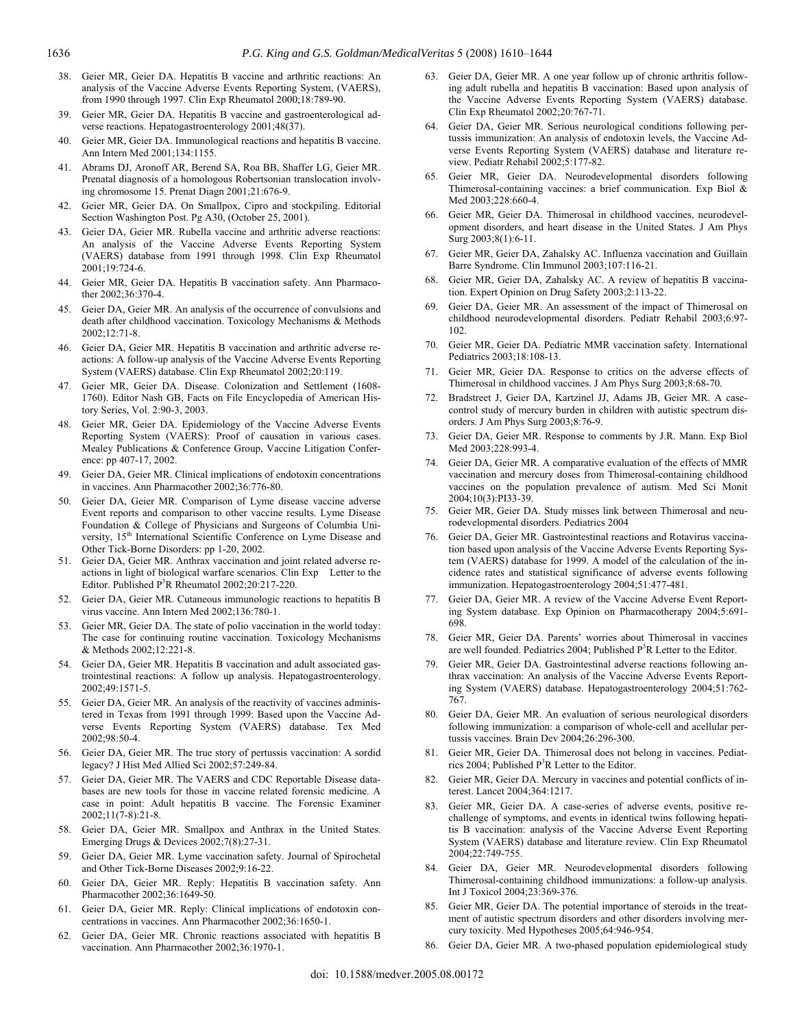- 38. Geier MR, Geier DA. Hepatitis B vaccine and arthritic reactions: An analysis of the Vaccine Adverse Events Reporting System, (VAERS), from 1990 through 1997. Clin Exp Rheumatol 2000;18:789-90.
- 39. Geier MR, Geier DA. Hepatitis B vaccine and gastroenterological adverse reactions. Hepatogastroenterology 2001;48(37).
- 40. Geier MR, Geier DA. Immunological reactions and hepatitis B vaccine. Ann Intern Med 2001;134:1155.
- 41. Abrams DJ, Aronoff AR, Berend SA, Roa BB, Shaffer LG, Geier MR. Prenatal diagnosis of a homologous Robertsonian translocation involving chromosome 15. Prenat Diagn 2001;21:676-9.
- 42. Geier MR, Geier DA. On Smallpox, Cipro and stockpiling. Editorial Section Washington Post. Pg A30, (October 25, 2001).
- 43. Geier DA, Geier MR. Rubella vaccine and arthritic adverse reactions: An analysis of the Vaccine Adverse Events Reporting System (VAERS) database from 1991 through 1998. Clin Exp Rheumatol 2001;19:724-6.
- 44. Geier MR, Geier DA. Hepatitis B vaccination safety. Ann Pharmacother 2002;36:370-4.
- 45. Geier DA, Geier MR. An analysis of the occurrence of convulsions and death after childhood vaccination. Toxicology Mechanisms & Methods 2002;12:71-8.
- 46. Geier DA, Geier MR. Hepatitis B vaccination and arthritic adverse reactions: A follow-up analysis of the Vaccine Adverse Events Reporting System (VAERS) database. Clin Exp Rheumatol 2002;20:119.
- 47. Geier MR, Geier DA. Disease. Colonization and Settlement (1608- 1760). Editor Nash GB, Facts on File Encyclopedia of American History Series, Vol. 2:90-3, 2003.
- 48. Geier MR, Geier DA. Epidemiology of the Vaccine Adverse Events Reporting System (VAERS): Proof of causation in various cases. Mealey Publications & Conference Group, Vaccine Litigation Conference: pp 407-17, 2002.
- 49. Geier DA, Geier MR. Clinical implications of endotoxin concentrations in vaccines. Ann Pharmacother 2002;36:776-80.
- 50. Geier DA, Geier MR. Comparison of Lyme disease vaccine adverse Event reports and comparison to other vaccine results. Lyme Disease Foundation & College of Physicians and Surgeons of Columbia University, 15<sup>th</sup> International Scientific Conference on Lyme Disease and Other Tick-Borne Disorders: pp 1-20, 2002.
- 51. Geier DA, Geier MR. Anthrax vaccination and joint related adverse reactions in light of biological warfare scenarios. Clin Exp Letter to the Editor. Published  $P^3R$  Rheumatol 2002;20:217-220.
- 52. Geier DA, Geier MR. Cutaneous immunologic reactions to hepatitis B virus vaccine. Ann Intern Med 2002;136:780-1.
- 53. Geier MR, Geier DA. The state of polio vaccination in the world today: The case for continuing routine vaccination. Toxicology Mechanisms & Methods 2002;12:221-8.
- Geier DA, Geier MR. Hepatitis B vaccination and adult associated gastrointestinal reactions: A follow up analysis. Hepatogastroenterology. 2002;49:1571-5.
- 55. Geier DA, Geier MR. An analysis of the reactivity of vaccines administered in Texas from 1991 through 1999: Based upon the Vaccine Adverse Events Reporting System (VAERS) database. Tex Med 2002;98:50-4.
- 56. Geier DA, Geier MR. The true story of pertussis vaccination: A sordid legacy? J Hist Med Allied Sci 2002;57:249-84.
- 57. Geier DA, Geier MR. The VAERS and CDC Reportable Disease databases are new tools for those in vaccine related forensic medicine. A case in point: Adult hepatitis B vaccine. The Forensic Examiner 2002;11(7-8):21-8.
- 58. Geier DA, Geier MR. Smallpox and Anthrax in the United States. Emerging Drugs & Devices 2002;7(8):27-31.
- 59. Geier DA, Geier MR. Lyme vaccination safety. Journal of Spirochetal and Other Tick-Borne Diseases 2002;9:16-22.
- 60. Geier DA, Geier MR. Reply: Hepatitis B vaccination safety. Ann Pharmacother 2002;36:1649-50.
- 61. Geier DA, Geier MR. Reply: Clinical implications of endotoxin concentrations in vaccines. Ann Pharmacother 2002;36:1650-1.
- 62. Geier DA, Geier MR. Chronic reactions associated with hepatitis B vaccination. Ann Pharmacother 2002;36:1970-1.
- 63. Geier DA, Geier MR. A one year follow up of chronic arthritis following adult rubella and hepatitis B vaccination: Based upon analysis of the Vaccine Adverse Events Reporting System (VAERS) database. Clin Exp Rheumatol 2002;20:767-71.
- 64. Geier DA, Geier MR. Serious neurological conditions following pertussis immunization: An analysis of endotoxin levels, the Vaccine Adverse Events Reporting System (VAERS) database and literature review. Pediatr Rehabil 2002;5:177-82.
- 65. Geier MR, Geier DA. Neurodevelopmental disorders following Thimerosal-containing vaccines: a brief communication. Exp Biol & Med 2003;228:660-4.
- 66. Geier MR, Geier DA. Thimerosal in childhood vaccines, neurodevelopment disorders, and heart disease in the United States. J Am Phys Surg 2003;8(1):6-11.
- 67. Geier MR, Geier DA, Zahalsky AC. Influenza vaccination and Guillain Barre Syndrome. Clin Immunol 2003;107:116-21.
- 68. Geier MR, Geier DA, Zahalsky AC. A review of hepatitis B vaccination. Expert Opinion on Drug Safety 2003;2:113-22.
- 69. Geier DA, Geier MR. An assessment of the impact of Thimerosal on childhood neurodevelopmental disorders. Pediatr Rehabil 2003;6:97- 102.
- 70. Geier MR, Geier DA. Pediatric MMR vaccination safety. International Pediatrics 2003;18:108-13.
- 71. Geier MR, Geier DA. Response to critics on the adverse effects of Thimerosal in childhood vaccines. J Am Phys Surg 2003;8:68-70.
- 72. Bradstreet J, Geier DA, Kartzinel JJ, Adams JB, Geier MR. A casecontrol study of mercury burden in children with autistic spectrum disorders. J Am Phys Surg 2003;8:76-9.
- 73. Geier DA, Geier MR. Response to comments by J.R. Mann. Exp Biol Med 2003;228:993-4.
- 74. Geier DA, Geier MR. A comparative evaluation of the effects of MMR vaccination and mercury doses from Thimerosal-containing childhood vaccines on the population prevalence of autism. Med Sci Monit 2004;10(3):PI33-39.
- 75. Geier MR, Geier DA. Study misses link between Thimerosal and neurodevelopmental disorders. Pediatrics 2004
- 76. Geier DA, Geier MR. Gastrointestinal reactions and Rotavirus vaccination based upon analysis of the Vaccine Adverse Events Reporting System (VAERS) database for 1999. A model of the calculation of the incidence rates and statistical significance of adverse events following immunization. Hepatogastroenterology 2004;51:477-481.
- 77. Geier DA, Geier MR. A review of the Vaccine Adverse Event Reporting System database. Exp Opinion on Pharmacotherapy 2004;5:691- 698.
- 78. Geier MR, Geier DA. Parents' worries about Thimerosal in vaccines are well founded. Pediatrics 2004; Published P<sup>3</sup>R Letter to the Editor.
- Geier MR, Geier DA. Gastrointestinal adverse reactions following anthrax vaccination: An analysis of the Vaccine Adverse Events Reporting System (VAERS) database. Hepatogastroenterology 2004;51:762- 767.
- 80. Geier DA, Geier MR. An evaluation of serious neurological disorders following immunization: a comparison of whole-cell and acellular pertussis vaccines. Brain Dev 2004;26:296-300.
- 81. Geier MR, Geier DA. Thimerosal does not belong in vaccines. Pediatrics 2004; Published  $P^3R$  Letter to the Editor.
- 82. Geier MR, Geier DA. Mercury in vaccines and potential conflicts of interest. Lancet 2004;364:1217.
- 83. Geier MR, Geier DA. A case-series of adverse events, positive rechallenge of symptoms, and events in identical twins following hepatitis B vaccination: analysis of the Vaccine Adverse Event Reporting System (VAERS) database and literature review. Clin Exp Rheumatol 2004;22:749-755.
- 84. Geier DA, Geier MR. Neurodevelopmental disorders following Thimerosal-containing childhood immunizations: a follow-up analysis. Int J Toxicol 2004;23:369-376.
- 85. Geier MR, Geier DA. The potential importance of steroids in the treatment of autistic spectrum disorders and other disorders involving mercury toxicity. Med Hypotheses 2005;64:946-954.
- 86. Geier DA, Geier MR. A two-phased population epidemiological study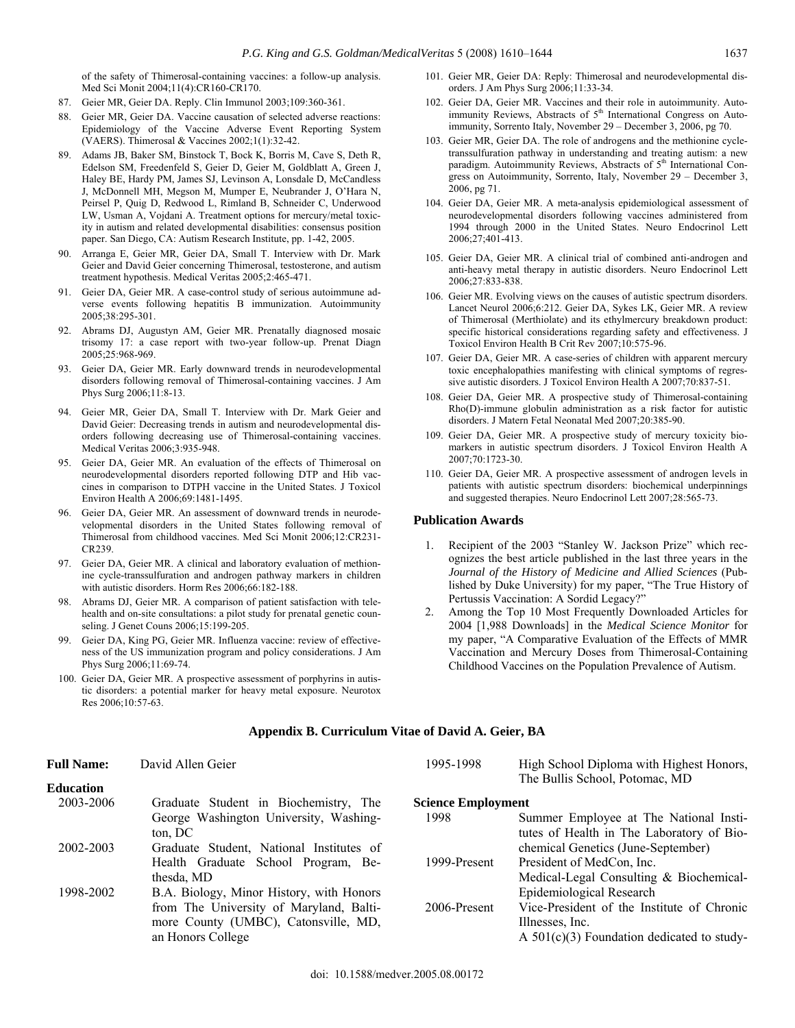of the safety of Thimerosal-containing vaccines: a follow-up analysis. Med Sci Monit 2004;11(4):CR160-CR170.

- 87. Geier MR, Geier DA. Reply. Clin Immunol 2003;109:360-361.
- 88. Geier MR, Geier DA. Vaccine causation of selected adverse reactions: Epidemiology of the Vaccine Adverse Event Reporting System (VAERS). Thimerosal & Vaccines 2002;1(1):32-42.
- 89. Adams JB, Baker SM, Binstock T, Bock K, Borris M, Cave S, Deth R, Edelson SM, Freedenfeld S, Geier D, Geier M, Goldblatt A, Green J, Haley BE, Hardy PM, James SJ, Levinson A, Lonsdale D, McCandless J, McDonnell MH, Megson M, Mumper E, Neubrander J, O'Hara N, Peirsel P, Quig D, Redwood L, Rimland B, Schneider C, Underwood LW, Usman A, Vojdani A. Treatment options for mercury/metal toxicity in autism and related developmental disabilities: consensus position paper. San Diego, CA: Autism Research Institute, pp. 1-42, 2005.
- Arranga E, Geier MR, Geier DA, Small T. Interview with Dr. Mark Geier and David Geier concerning Thimerosal, testosterone, and autism treatment hypothesis. Medical Veritas 2005;2:465-471.
- 91. Geier DA, Geier MR. A case-control study of serious autoimmune adverse events following hepatitis B immunization. Autoimmunity 2005;38:295-301.
- 92. Abrams DJ, Augustyn AM, Geier MR. Prenatally diagnosed mosaic trisomy 17: a case report with two-year follow-up. Prenat Diagn 2005;25:968-969.
- 93. Geier DA, Geier MR. Early downward trends in neurodevelopmental disorders following removal of Thimerosal-containing vaccines. J Am Phys Surg 2006;11:8-13.
- 94. Geier MR, Geier DA, Small T. Interview with Dr. Mark Geier and David Geier: Decreasing trends in autism and neurodevelopmental disorders following decreasing use of Thimerosal-containing vaccines. Medical Veritas 2006;3:935-948.
- Geier DA, Geier MR. An evaluation of the effects of Thimerosal on neurodevelopmental disorders reported following DTP and Hib vaccines in comparison to DTPH vaccine in the United States. J Toxicol Environ Health A 2006;69:1481-1495.
- Geier DA, Geier MR. An assessment of downward trends in neurodevelopmental disorders in the United States following removal of Thimerosal from childhood vaccines. Med Sci Monit 2006;12:CR231- CR239.
- 97. Geier DA, Geier MR. A clinical and laboratory evaluation of methionine cycle-transsulfuration and androgen pathway markers in children with autistic disorders. Horm Res 2006;66:182-188.
- 98. Abrams DJ, Geier MR. A comparison of patient satisfaction with telehealth and on-site consultations: a pilot study for prenatal genetic counseling. J Genet Couns 2006;15:199-205.
- 99. Geier DA, King PG, Geier MR. Influenza vaccine: review of effectiveness of the US immunization program and policy considerations. J Am Phys Surg 2006;11:69-74.
- 100. Geier DA, Geier MR. A prospective assessment of porphyrins in autistic disorders: a potential marker for heavy metal exposure. Neurotox Res 2006;10:57-63.
- 101. Geier MR, Geier DA: Reply: Thimerosal and neurodevelopmental disorders. J Am Phys Surg 2006;11:33-34.
- 102. Geier DA, Geier MR. Vaccines and their role in autoimmunity. Autoimmunity Reviews, Abstracts of 5<sup>th</sup> International Congress on Autoimmunity, Sorrento Italy, November 29 – December 3, 2006, pg 70.
- 103. Geier MR, Geier DA. The role of androgens and the methionine cycletranssulfuration pathway in understanding and treating autism: a new paradigm. Autoimmunity Reviews, Abstracts of 5<sup>th</sup> International Congress on Autoimmunity, Sorrento, Italy, November 29 – December 3, 2006, pg 71.
- 104. Geier DA, Geier MR. A meta-analysis epidemiological assessment of neurodevelopmental disorders following vaccines administered from 1994 through 2000 in the United States. Neuro Endocrinol Lett 2006;27;401-413.
- 105. Geier DA, Geier MR. A clinical trial of combined anti-androgen and anti-heavy metal therapy in autistic disorders. Neuro Endocrinol Lett 2006;27:833-838.
- 106. Geier MR. Evolving views on the causes of autistic spectrum disorders. Lancet Neurol 2006;6:212. Geier DA, Sykes LK, Geier MR. A review of Thimerosal (Merthiolate) and its ethylmercury breakdown product: specific historical considerations regarding safety and effectiveness. J Toxicol Environ Health B Crit Rev 2007;10:575-96.
- 107. Geier DA, Geier MR. A case-series of children with apparent mercury toxic encephalopathies manifesting with clinical symptoms of regressive autistic disorders. J Toxicol Environ Health A 2007;70:837-51.
- 108. Geier DA, Geier MR. A prospective study of Thimerosal-containing Rho(D)-immune globulin administration as a risk factor for autistic disorders. J Matern Fetal Neonatal Med 2007;20:385-90.
- 109. Geier DA, Geier MR. A prospective study of mercury toxicity biomarkers in autistic spectrum disorders. J Toxicol Environ Health A 2007;70:1723-30.
- 110. Geier DA, Geier MR. A prospective assessment of androgen levels in patients with autistic spectrum disorders: biochemical underpinnings and suggested therapies. Neuro Endocrinol Lett 2007;28:565-73.

### **Publication Awards**

- 1. Recipient of the 2003 "Stanley W. Jackson Prize" which recognizes the best article published in the last three years in the *Journal of the History of Medicine and Allied Sciences* (Published by Duke University) for my paper, "The True History of Pertussis Vaccination: A Sordid Legacy?"
- 2. Among the Top 10 Most Frequently Downloaded Articles for 2004 [1,988 Downloads] in the *Medical Science Monitor* for my paper, "A Comparative Evaluation of the Effects of MMR Vaccination and Mercury Doses from Thimerosal-Containing Childhood Vaccines on the Population Prevalence of Autism.

| <b>Full Name:</b> | David Allen Geier                                 | 1995-1998                 | High School Diploma with Highest Honors,<br>The Bullis School, Potomac, MD          |
|-------------------|---------------------------------------------------|---------------------------|-------------------------------------------------------------------------------------|
| <b>Education</b>  |                                                   |                           |                                                                                     |
| 2003-2006         | Graduate Student in Biochemistry, The             | <b>Science Employment</b> |                                                                                     |
|                   | George Washington University, Washing-<br>ton. DC | 1998                      | Summer Employee at The National Insti-<br>tutes of Health in The Laboratory of Bio- |
| 2002-2003         | Graduate Student, National Institutes of          |                           | chemical Genetics (June-September)                                                  |
|                   | Health Graduate School Program, Be-               | 1999-Present              | President of MedCon, Inc.                                                           |
|                   | thesda. MD                                        |                           | Medical-Legal Consulting & Biochemical-                                             |
| 1998-2002         | B.A. Biology, Minor History, with Honors          |                           | Epidemiological Research                                                            |
|                   | from The University of Maryland, Balti-           | 2006-Present              | Vice-President of the Institute of Chronic                                          |
|                   | more County (UMBC), Catonsville, MD,              |                           | Illnesses, Inc.                                                                     |
|                   | an Honors College                                 |                           | A $501(c)(3)$ Foundation dedicated to study-                                        |

#### **Appendix B. Curriculum Vitae of David A. Geier, BA**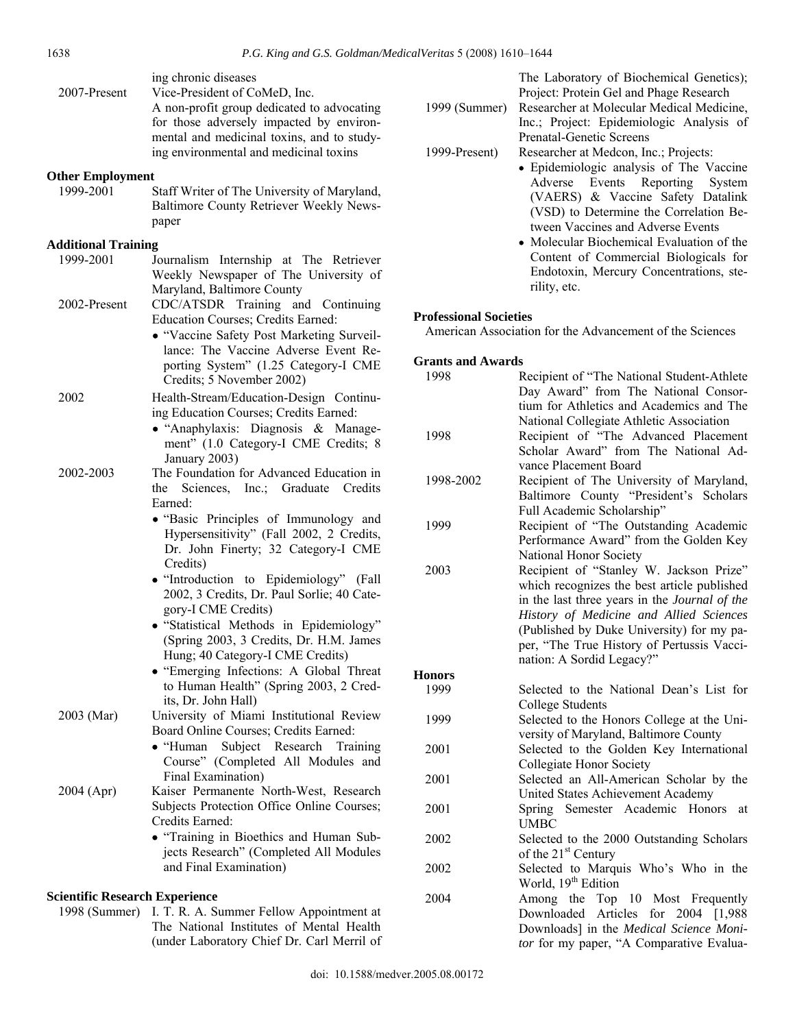| 2007-Present                          | ing chronic diseases<br>Vice-President of CoMeD, Inc.<br>A non-profit group dedicated to advocating<br>for those adversely impacted by environ-<br>mental and medicinal toxins, and to study-<br>ing environmental and medicinal toxins |   |
|---------------------------------------|-----------------------------------------------------------------------------------------------------------------------------------------------------------------------------------------------------------------------------------------|---|
| <b>Other Employment</b>               |                                                                                                                                                                                                                                         |   |
| 1999-2001                             | Staff Writer of The University of Maryland,<br>Baltimore County Retriever Weekly News-<br>paper                                                                                                                                         |   |
| <b>Additional Training</b>            |                                                                                                                                                                                                                                         |   |
| 1999-2001                             | Journalism Internship at The Retriever<br>Weekly Newspaper of The University of<br>Maryland, Baltimore County                                                                                                                           |   |
| 2002-Present                          | CDC/ATSDR Training and Continuing<br>Education Courses; Credits Earned:<br>• "Vaccine Safety Post Marketing Surveil-                                                                                                                    | F |
|                                       | lance: The Vaccine Adverse Event Re-<br>porting System" (1.25 Category-I CME<br>Credits; 5 November 2002)                                                                                                                               | 0 |
| 2002                                  | Health-Stream/Education-Design Continu-<br>ing Education Courses; Credits Earned:                                                                                                                                                       |   |
|                                       | · "Anaphylaxis: Diagnosis & Manage-<br>ment" (1.0 Category-I CME Credits; 8<br>January 2003)                                                                                                                                            |   |
| 2002-2003                             | The Foundation for Advanced Education in<br>Sciences, Inc.; Graduate Credits<br>the<br>Earned:                                                                                                                                          |   |
|                                       | • "Basic Principles of Immunology and<br>Hypersensitivity" (Fall 2002, 2 Credits,<br>Dr. John Finerty; 32 Category-I CME<br>Credits)                                                                                                    |   |
|                                       | · "Introduction to Epidemiology" (Fall<br>2002, 3 Credits, Dr. Paul Sorlie; 40 Cate-<br>gory-I CME Credits)                                                                                                                             |   |
|                                       | · "Statistical Methods in Epidemiology"<br>(Spring 2003, 3 Credits, Dr. H.M. James<br>Hung; 40 Category-I CME Credits)                                                                                                                  |   |
|                                       | • "Emerging Infections: A Global Threat<br>to Human Health" (Spring 2003, 2 Cred-<br>its, Dr. John Hall)                                                                                                                                | I |
| 2003 (Mar)                            | University of Miami Institutional Review<br>Board Online Courses; Credits Earned:<br>Subject Research<br>$\bullet$ "Human<br>Training                                                                                                   |   |
|                                       | Course" (Completed All Modules and<br>Final Examination)                                                                                                                                                                                |   |
| 2004 (Apr)                            | Kaiser Permanente North-West, Research<br>Subjects Protection Office Online Courses;<br>Credits Earned:                                                                                                                                 |   |
|                                       | · "Training in Bioethics and Human Sub-<br>jects Research" (Completed All Modules<br>and Final Examination)                                                                                                                             |   |
| <b>Scientific Research Experience</b> |                                                                                                                                                                                                                                         |   |

1998 (Summer) I. T. R. A. Summer Fellow Appointment at The National Institutes of Mental Health (under Laboratory Chief Dr. Carl Merril of The Laboratory of Biochemical Genetics); Project: Protein Gel and Phage Research

1999 (Summer) Researcher at Molecular Medical Medicine, Inc.; Project: Epidemiologic Analysis of Prenatal-Genetic Screens

- 1999-Present) Researcher at Medcon, Inc.; Projects:
	- Epidemiologic analysis of The Vaccine Adverse Events Reporting System (VAERS) & Vaccine Safety Datalink (VSD) to Determine the Correlation Between Vaccines and Adverse Events
	- Molecular Biochemical Evaluation of the Content of Commercial Biologicals for Endotoxin, Mercury Concentrations, sterility, etc.

## **Professional Societies**

American Association for the Advancement of the Sciences

## **Grants and Awards**

| 1998          | Recipient of "The National Student-Athlete    |
|---------------|-----------------------------------------------|
|               | Day Award" from The National Consor-          |
|               | tium for Athletics and Academics and The      |
|               | National Collegiate Athletic Association      |
| 1998          | Recipient of "The Advanced Placement          |
|               | Scholar Award" from The National Ad-          |
|               | vance Placement Board                         |
| 1998-2002     | Recipient of The University of Maryland,      |
|               | Baltimore County "President's Scholars        |
|               | Full Academic Scholarship"                    |
| 1999          | Recipient of "The Outstanding Academic        |
|               | Performance Award" from the Golden Key        |
|               | National Honor Society                        |
| 2003          | Recipient of "Stanley W. Jackson Prize"       |
|               | which recognizes the best article published   |
|               | in the last three years in the Journal of the |
|               | History of Medicine and Allied Sciences       |
|               | (Published by Duke University) for my pa-     |
|               | per, "The True History of Pertussis Vacci-    |
|               | nation: A Sordid Legacy?"                     |
| <b>Honors</b> |                                               |
|               |                                               |
| 1999          | Selected to the National Dean's List for      |
|               | <b>College Students</b>                       |
| 1999          | Selected to the Honors College at the Uni-    |
|               | versity of Maryland, Baltimore County         |
| 2001          | Selected to the Golden Key International      |
|               | Collegiate Honor Society                      |
| 2001          | Selected an All-American Scholar by the       |
|               | United States Achievement Academy             |
| 2001          | Spring Semester Academic Honors<br>at         |
|               | <b>UMBC</b>                                   |
| 2002          | Selected to the 2000 Outstanding Scholars     |
|               | of the 21 <sup>st</sup> Century               |
| 2002          | Selected to Marquis Who's Who in the          |
|               | World, 19 <sup>th</sup> Edition               |
| 2004          | Among the Top 10 Most Frequently              |
|               | Downloaded Articles<br>for 2004 [1,988]       |
|               | Downloads] in the Medical Science Moni-       |

*tor* for my paper, "A Comparative Evalua-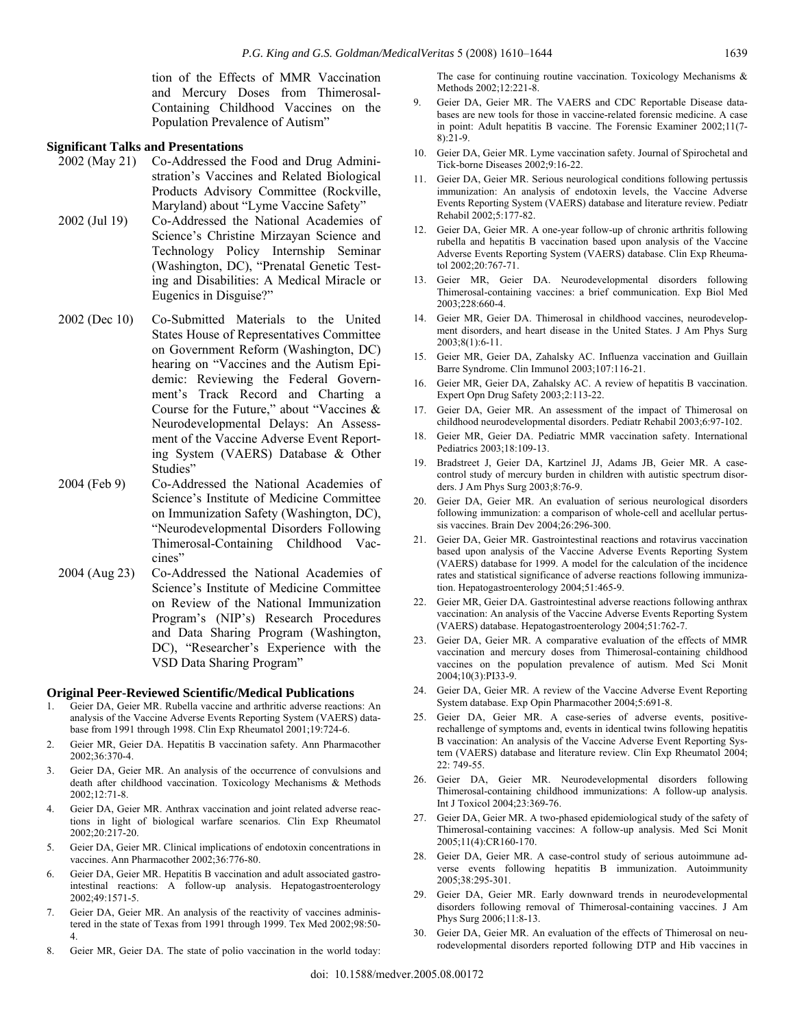tion of the Effects of MMR Vaccination and Mercury Doses from Thimerosal-Containing Childhood Vaccines on the Population Prevalence of Autism"

### **Significant Talks and Presentations**

- 2002 (May 21) Co-Addressed the Food and Drug Administration's Vaccines and Related Biological Products Advisory Committee (Rockville, Maryland) about "Lyme Vaccine Safety"
- 2002 (Jul 19) Co-Addressed the National Academies of Science's Christine Mirzayan Science and Technology Policy Internship Seminar (Washington, DC), "Prenatal Genetic Testing and Disabilities: A Medical Miracle or Eugenics in Disguise?"
- 2002 (Dec 10) Co-Submitted Materials to the United States House of Representatives Committee on Government Reform (Washington, DC) hearing on "Vaccines and the Autism Epidemic: Reviewing the Federal Government's Track Record and Charting a Course for the Future," about "Vaccines & Neurodevelopmental Delays: An Assessment of the Vaccine Adverse Event Reporting System (VAERS) Database & Other Studies"
- 2004 (Feb 9) Co-Addressed the National Academies of Science's Institute of Medicine Committee on Immunization Safety (Washington, DC), "Neurodevelopmental Disorders Following Thimerosal-Containing Childhood Vaccines"
- 2004 (Aug 23) Co-Addressed the National Academies of Science's Institute of Medicine Committee on Review of the National Immunization Program's (NIP's) Research Procedures and Data Sharing Program (Washington, DC), "Researcher's Experience with the VSD Data Sharing Program"

#### **Original Peer-Reviewed Scientific/Medical Publications**

- 1. Geier DA, Geier MR. Rubella vaccine and arthritic adverse reactions: An analysis of the Vaccine Adverse Events Reporting System (VAERS) database from 1991 through 1998. Clin Exp Rheumatol 2001;19:724-6.
- 2. Geier MR, Geier DA. Hepatitis B vaccination safety. Ann Pharmacother 2002;36:370-4.
- 3. Geier DA, Geier MR. An analysis of the occurrence of convulsions and death after childhood vaccination. Toxicology Mechanisms & Methods 2002;12:71-8.
- 4. Geier DA, Geier MR. Anthrax vaccination and joint related adverse reactions in light of biological warfare scenarios. Clin Exp Rheumatol 2002;20:217-20.
- 5. Geier DA, Geier MR. Clinical implications of endotoxin concentrations in vaccines. Ann Pharmacother 2002;36:776-80.
- 6. Geier DA, Geier MR. Hepatitis B vaccination and adult associated gastrointestinal reactions: A follow-up analysis. Hepatogastroenterology 2002;49:1571-5.
- 7. Geier DA, Geier MR. An analysis of the reactivity of vaccines administered in the state of Texas from 1991 through 1999. Tex Med 2002;98:50- 4.
- 8. Geier MR, Geier DA. The state of polio vaccination in the world today:

The case for continuing routine vaccination. Toxicology Mechanisms & Methods 2002;12:221-8.

- Geier DA, Geier MR. The VAERS and CDC Reportable Disease databases are new tools for those in vaccine-related forensic medicine. A case in point: Adult hepatitis B vaccine. The Forensic Examiner 2002;11(7- 8):21-9.
- 10. Geier DA, Geier MR. Lyme vaccination safety. Journal of Spirochetal and Tick-borne Diseases 2002;9:16-22.
- 11. Geier DA, Geier MR. Serious neurological conditions following pertussis immunization: An analysis of endotoxin levels, the Vaccine Adverse Events Reporting System (VAERS) database and literature review. Pediatr Rehabil 2002;5:177-82.
- 12. Geier DA, Geier MR. A one-year follow-up of chronic arthritis following rubella and hepatitis B vaccination based upon analysis of the Vaccine Adverse Events Reporting System (VAERS) database. Clin Exp Rheumatol 2002;20:767-71.
- 13. Geier MR, Geier DA. Neurodevelopmental disorders following Thimerosal-containing vaccines: a brief communication. Exp Biol Med 2003;228:660-4.
- 14. Geier MR, Geier DA. Thimerosal in childhood vaccines, neurodevelopment disorders, and heart disease in the United States. J Am Phys Surg 2003;8(1):6-11.
- 15. Geier MR, Geier DA, Zahalsky AC. Influenza vaccination and Guillain Barre Syndrome. Clin Immunol 2003;107:116-21.
- 16. Geier MR, Geier DA, Zahalsky AC. A review of hepatitis B vaccination. Expert Opn Drug Safety 2003;2:113-22.
- 17. Geier DA, Geier MR. An assessment of the impact of Thimerosal on childhood neurodevelopmental disorders. Pediatr Rehabil 2003;6:97-102.
- 18. Geier MR, Geier DA. Pediatric MMR vaccination safety. International Pediatrics 2003;18:109-13.
- 19. Bradstreet J, Geier DA, Kartzinel JJ, Adams JB, Geier MR. A casecontrol study of mercury burden in children with autistic spectrum disorders. J Am Phys Surg 2003;8:76-9.
- 20. Geier DA, Geier MR. An evaluation of serious neurological disorders following immunization: a comparison of whole-cell and acellular pertussis vaccines. Brain Dev 2004;26:296-300.
- 21. Geier DA, Geier MR. Gastrointestinal reactions and rotavirus vaccination based upon analysis of the Vaccine Adverse Events Reporting System (VAERS) database for 1999. A model for the calculation of the incidence rates and statistical significance of adverse reactions following immunization. Hepatogastroenterology 2004;51:465-9.
- 22. Geier MR, Geier DA. Gastrointestinal adverse reactions following anthrax vaccination: An analysis of the Vaccine Adverse Events Reporting System (VAERS) database. Hepatogastroenterology 2004;51:762-7.
- 23. Geier DA, Geier MR. A comparative evaluation of the effects of MMR vaccination and mercury doses from Thimerosal-containing childhood vaccines on the population prevalence of autism. Med Sci Monit 2004;10(3):PI33-9.
- 24. Geier DA, Geier MR. A review of the Vaccine Adverse Event Reporting System database. Exp Opin Pharmacother 2004;5:691-8.
- 25. Geier DA, Geier MR. A case-series of adverse events, positiverechallenge of symptoms and, events in identical twins following hepatitis B vaccination: An analysis of the Vaccine Adverse Event Reporting System (VAERS) database and literature review. Clin Exp Rheumatol 2004; 22: 749-55.
- 26. Geier DA, Geier MR. Neurodevelopmental disorders following Thimerosal-containing childhood immunizations: A follow-up analysis. Int J Toxicol 2004;23:369-76.
- 27. Geier DA, Geier MR. A two-phased epidemiological study of the safety of Thimerosal-containing vaccines: A follow-up analysis. Med Sci Monit 2005;11(4):CR160-170.
- 28. Geier DA, Geier MR. A case-control study of serious autoimmune adverse events following hepatitis B immunization. Autoimmunity 2005;38:295-301.
- 29. Geier DA, Geier MR. Early downward trends in neurodevelopmental disorders following removal of Thimerosal-containing vaccines. J Am Phys Surg 2006;11:8-13.
- 30. Geier DA, Geier MR. An evaluation of the effects of Thimerosal on neurodevelopmental disorders reported following DTP and Hib vaccines in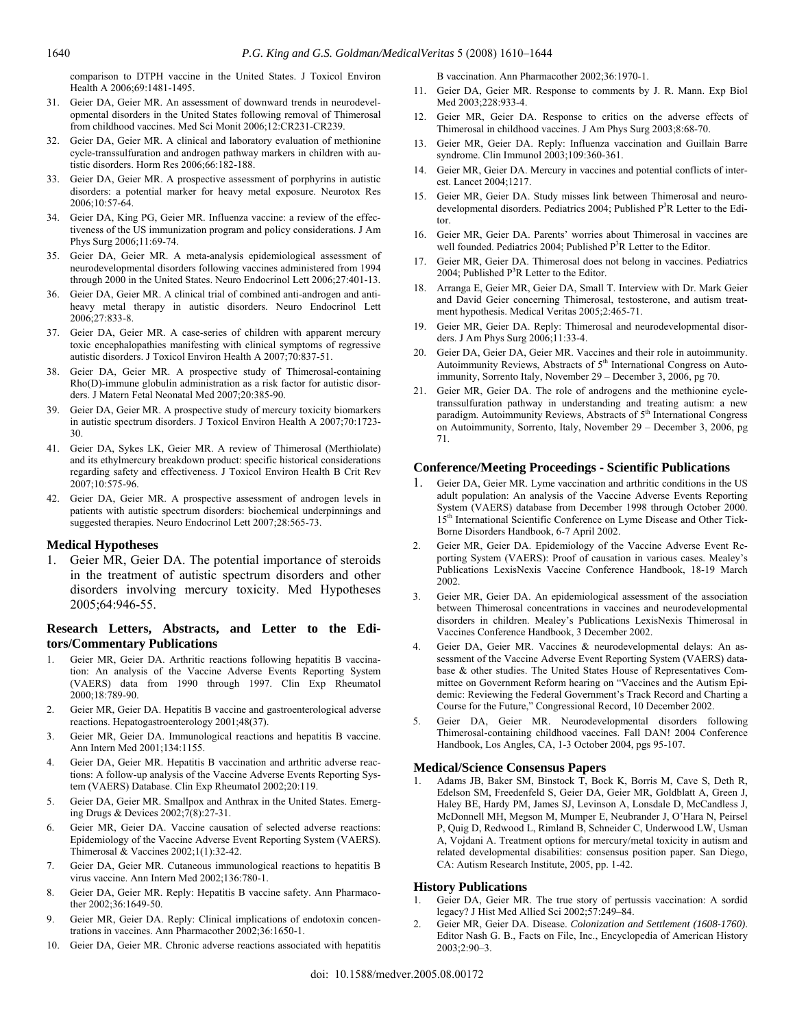comparison to DTPH vaccine in the United States. J Toxicol Environ Health A 2006;69:1481-1495.

- 31. Geier DA, Geier MR. An assessment of downward trends in neurodevelopmental disorders in the United States following removal of Thimerosal from childhood vaccines. Med Sci Monit 2006;12:CR231-CR239.
- 32. Geier DA, Geier MR. A clinical and laboratory evaluation of methionine cycle-transsulfuration and androgen pathway markers in children with autistic disorders. Horm Res 2006;66:182-188.
- 33. Geier DA, Geier MR. A prospective assessment of porphyrins in autistic disorders: a potential marker for heavy metal exposure. Neurotox Res 2006;10:57-64.
- 34. Geier DA, King PG, Geier MR. Influenza vaccine: a review of the effectiveness of the US immunization program and policy considerations. J Am Phys Surg 2006;11:69-74.
- 35. Geier DA, Geier MR. A meta-analysis epidemiological assessment of neurodevelopmental disorders following vaccines administered from 1994 through 2000 in the United States. Neuro Endocrinol Lett 2006;27:401-13.
- 36. Geier DA, Geier MR. A clinical trial of combined anti-androgen and antiheavy metal therapy in autistic disorders. Neuro Endocrinol Lett 2006;27:833-8.
- 37. Geier DA, Geier MR. A case-series of children with apparent mercury toxic encephalopathies manifesting with clinical symptoms of regressive autistic disorders. J Toxicol Environ Health A 2007;70:837-51.
- 38. Geier DA, Geier MR. A prospective study of Thimerosal-containing Rho(D)-immune globulin administration as a risk factor for autistic disorders. J Matern Fetal Neonatal Med 2007;20:385-90.
- 39. Geier DA, Geier MR. A prospective study of mercury toxicity biomarkers in autistic spectrum disorders. J Toxicol Environ Health A 2007;70:1723- 30.
- 41. Geier DA, Sykes LK, Geier MR. A review of Thimerosal (Merthiolate) and its ethylmercury breakdown product: specific historical considerations regarding safety and effectiveness. J Toxicol Environ Health B Crit Rev 2007;10:575-96.
- 42. Geier DA, Geier MR. A prospective assessment of androgen levels in patients with autistic spectrum disorders: biochemical underpinnings and suggested therapies. Neuro Endocrinol Lett 2007;28:565-73.

#### **Medical Hypotheses**

1. Geier MR, Geier DA. The potential importance of steroids in the treatment of autistic spectrum disorders and other disorders involving mercury toxicity. Med Hypotheses 2005;64:946-55.

## **Research Letters, Abstracts, and Letter to the Editors/Commentary Publications**

- 1. Geier MR, Geier DA. Arthritic reactions following hepatitis B vaccination: An analysis of the Vaccine Adverse Events Reporting System (VAERS) data from 1990 through 1997. Clin Exp Rheumatol 2000;18:789-90.
- 2. Geier MR, Geier DA. Hepatitis B vaccine and gastroenterological adverse reactions. Hepatogastroenterology 2001;48(37).
- 3. Geier MR, Geier DA. Immunological reactions and hepatitis B vaccine. Ann Intern Med 2001;134:1155.
- 4. Geier DA, Geier MR. Hepatitis B vaccination and arthritic adverse reactions: A follow-up analysis of the Vaccine Adverse Events Reporting System (VAERS) Database. Clin Exp Rheumatol 2002;20:119.
- 5. Geier DA, Geier MR. Smallpox and Anthrax in the United States. Emerging Drugs & Devices 2002;7(8):27-31.
- Geier MR, Geier DA. Vaccine causation of selected adverse reactions: Epidemiology of the Vaccine Adverse Event Reporting System (VAERS). Thimerosal & Vaccines 2002;1(1):32-42.
- 7. Geier DA, Geier MR. Cutaneous immunological reactions to hepatitis B virus vaccine. Ann Intern Med 2002;136:780-1.
- 8. Geier DA, Geier MR. Reply: Hepatitis B vaccine safety. Ann Pharmacother 2002;36:1649-50.
- 9. Geier MR, Geier DA. Reply: Clinical implications of endotoxin concentrations in vaccines. Ann Pharmacother 2002;36:1650-1.
- 10. Geier DA, Geier MR. Chronic adverse reactions associated with hepatitis

B vaccination. Ann Pharmacother 2002;36:1970-1.

- 11. Geier DA, Geier MR. Response to comments by J. R. Mann. Exp Biol Med 2003;228:933-4.
- 12. Geier MR, Geier DA. Response to critics on the adverse effects of Thimerosal in childhood vaccines. J Am Phys Surg 2003;8:68-70.
- 13. Geier MR, Geier DA. Reply: Influenza vaccination and Guillain Barre syndrome. Clin Immunol 2003;109:360-361.
- 14. Geier MR, Geier DA. Mercury in vaccines and potential conflicts of interest. Lancet 2004;1217.
- 15. Geier MR, Geier DA. Study misses link between Thimerosal and neurodevelopmental disorders. Pediatrics 2004; Published P<sup>3</sup>R Letter to the Editor.
- 16. Geier MR, Geier DA. Parents' worries about Thimerosal in vaccines are well founded. Pediatrics 2004; Published  $P<sup>3</sup>R$  Letter to the Editor.
- 17. Geier MR, Geier DA. Thimerosal does not belong in vaccines. Pediatrics 2004; Published  $P^3R$  Letter to the Editor.
- 18. Arranga E, Geier MR, Geier DA, Small T. Interview with Dr. Mark Geier and David Geier concerning Thimerosal, testosterone, and autism treatment hypothesis. Medical Veritas 2005;2:465-71.
- 19. Geier MR, Geier DA. Reply: Thimerosal and neurodevelopmental disorders. J Am Phys Surg 2006;11:33-4.
- 20. Geier DA, Geier DA, Geier MR. Vaccines and their role in autoimmunity. Autoimmunity Reviews, Abstracts of 5<sup>th</sup> International Congress on Autoimmunity, Sorrento Italy, November 29 – December 3, 2006, pg 70.
- 21. Geier MR, Geier DA. The role of androgens and the methionine cycletranssulfuration pathway in understanding and treating autism: a new paradigm. Autoimmunity Reviews, Abstracts of 5<sup>th</sup> International Congress on Autoimmunity, Sorrento, Italy, November 29 – December 3, 2006, pg 71.

## **Conference/Meeting Proceedings - Scientific Publications**

- Geier DA, Geier MR. Lyme vaccination and arthritic conditions in the US adult population: An analysis of the Vaccine Adverse Events Reporting System (VAERS) database from December 1998 through October 2000. 15<sup>th</sup> International Scientific Conference on Lyme Disease and Other Tick-Borne Disorders Handbook, 6-7 April 2002.
- 2. Geier MR, Geier DA. Epidemiology of the Vaccine Adverse Event Reporting System (VAERS): Proof of causation in various cases. Mealey's Publications LexisNexis Vaccine Conference Handbook, 18-19 March 2002.
- 3. Geier MR, Geier DA. An epidemiological assessment of the association between Thimerosal concentrations in vaccines and neurodevelopmental disorders in children. Mealey's Publications LexisNexis Thimerosal in Vaccines Conference Handbook, 3 December 2002.
- Geier DA, Geier MR. Vaccines & neurodevelopmental delays: An assessment of the Vaccine Adverse Event Reporting System (VAERS) database & other studies. The United States House of Representatives Committee on Government Reform hearing on "Vaccines and the Autism Epidemic: Reviewing the Federal Government's Track Record and Charting a Course for the Future," Congressional Record, 10 December 2002.
- 5. Geier DA, Geier MR. Neurodevelopmental disorders following Thimerosal-containing childhood vaccines. Fall DAN! 2004 Conference Handbook, Los Angles, CA, 1-3 October 2004, pgs 95-107.

#### **Medical/Science Consensus Papers**

1. Adams JB, Baker SM, Binstock T, Bock K, Borris M, Cave S, Deth R, Edelson SM, Freedenfeld S, Geier DA, Geier MR, Goldblatt A, Green J, Haley BE, Hardy PM, James SJ, Levinson A, Lonsdale D, McCandless J, McDonnell MH, Megson M, Mumper E, Neubrander J, O'Hara N, Peirsel P, Quig D, Redwood L, Rimland B, Schneider C, Underwood LW, Usman A, Vojdani A. Treatment options for mercury/metal toxicity in autism and related developmental disabilities: consensus position paper. San Diego, CA: Autism Research Institute, 2005, pp. 1-42.

#### **History Publications**

- Geier DA, Geier MR. The true story of pertussis vaccination: A sordid legacy? J Hist Med Allied Sci 2002;57:249–84.
- 2. Geier MR, Geier DA. Disease. *Colonization and Settlement (1608-1760)*. Editor Nash G. B., Facts on File, Inc., Encyclopedia of American History 2003;2:90–3.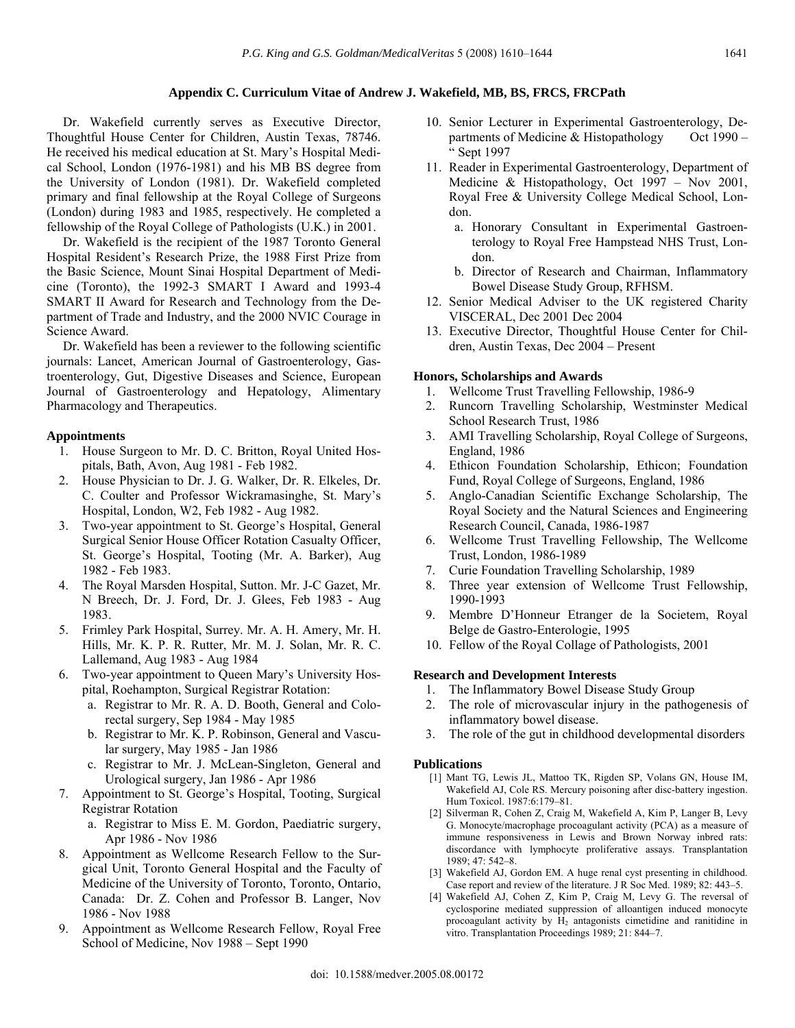## **Appendix C. Curriculum Vitae of Andrew J. Wakefield, MB, BS, FRCS, FRCPath**

 Dr. Wakefield currently serves as Executive Director, Thoughtful House Center for Children, Austin Texas, 78746. He received his medical education at St. Mary's Hospital Medical School, London (1976-1981) and his MB BS degree from the University of London (1981). Dr. Wakefield completed primary and final fellowship at the Royal College of Surgeons (London) during 1983 and 1985, respectively. He completed a fellowship of the Royal College of Pathologists (U.K.) in 2001.

 Dr. Wakefield is the recipient of the 1987 Toronto General Hospital Resident's Research Prize, the 1988 First Prize from the Basic Science, Mount Sinai Hospital Department of Medicine (Toronto), the 1992-3 SMART I Award and 1993-4 SMART II Award for Research and Technology from the Department of Trade and Industry, and the 2000 NVIC Courage in Science Award.

 Dr. Wakefield has been a reviewer to the following scientific journals: Lancet, American Journal of Gastroenterology, Gastroenterology, Gut, Digestive Diseases and Science, European Journal of Gastroenterology and Hepatology, Alimentary Pharmacology and Therapeutics.

## **Appointments**

- 1. House Surgeon to Mr. D. C. Britton, Royal United Hospitals, Bath, Avon, Aug 1981 - Feb 1982.
- 2. House Physician to Dr. J. G. Walker, Dr. R. Elkeles, Dr. C. Coulter and Professor Wickramasinghe, St. Mary's Hospital, London, W2, Feb 1982 - Aug 1982.
- 3. Two-year appointment to St. George's Hospital, General Surgical Senior House Officer Rotation Casualty Officer, St. George's Hospital, Tooting (Mr. A. Barker), Aug 1982 - Feb 1983.
- 4. The Royal Marsden Hospital, Sutton. Mr. J-C Gazet, Mr. N Breech, Dr. J. Ford, Dr. J. Glees, Feb 1983 - Aug 1983.
- 5. Frimley Park Hospital, Surrey. Mr. A. H. Amery, Mr. H. Hills, Mr. K. P. R. Rutter, Mr. M. J. Solan, Mr. R. C. Lallemand, Aug 1983 - Aug 1984
- 6. Two-year appointment to Queen Mary's University Hospital, Roehampton, Surgical Registrar Rotation:
	- a. Registrar to Mr. R. A. D. Booth, General and Colorectal surgery, Sep 1984 - May 1985
	- b. Registrar to Mr. K. P. Robinson, General and Vascular surgery, May 1985 - Jan 1986
	- c. Registrar to Mr. J. McLean-Singleton, General and Urological surgery, Jan 1986 - Apr 1986
- 7. Appointment to St. George's Hospital, Tooting, Surgical Registrar Rotation
	- a. Registrar to Miss E. M. Gordon, Paediatric surgery, Apr 1986 - Nov 1986
- 8. Appointment as Wellcome Research Fellow to the Surgical Unit, Toronto General Hospital and the Faculty of Medicine of the University of Toronto, Toronto, Ontario, Canada: Dr. Z. Cohen and Professor B. Langer, Nov 1986 - Nov 1988
- 9. Appointment as Wellcome Research Fellow, Royal Free School of Medicine, Nov 1988 – Sept 1990
- 10. Senior Lecturer in Experimental Gastroenterology, Departments of Medicine & Histopathology Oct 1990 – " Sept 1997
- 11. Reader in Experimental Gastroenterology, Department of Medicine & Histopathology, Oct 1997 – Nov 2001, Royal Free & University College Medical School, London.
	- a. Honorary Consultant in Experimental Gastroenterology to Royal Free Hampstead NHS Trust, London.
	- b. Director of Research and Chairman, Inflammatory Bowel Disease Study Group, RFHSM.
- 12. Senior Medical Adviser to the UK registered Charity VISCERAL, Dec 2001 Dec 2004
- 13. Executive Director, Thoughtful House Center for Children, Austin Texas, Dec 2004 – Present

## **Honors, Scholarships and Awards**

- 1. Wellcome Trust Travelling Fellowship, 1986-9
- 2. Runcorn Travelling Scholarship, Westminster Medical School Research Trust, 1986
- 3. AMI Travelling Scholarship, Royal College of Surgeons, England, 1986
- 4. Ethicon Foundation Scholarship, Ethicon; Foundation Fund, Royal College of Surgeons, England, 1986
- 5. Anglo-Canadian Scientific Exchange Scholarship, The Royal Society and the Natural Sciences and Engineering Research Council, Canada, 1986-1987
- 6. Wellcome Trust Travelling Fellowship, The Wellcome Trust, London, 1986-1989
- 7. Curie Foundation Travelling Scholarship, 1989
- 8. Three year extension of Wellcome Trust Fellowship, 1990-1993
- 9. Membre D'Honneur Etranger de la Societem, Royal Belge de Gastro-Enterologie, 1995
- 10. Fellow of the Royal Collage of Pathologists, 2001

## **Research and Development Interests**

- 1. The Inflammatory Bowel Disease Study Group
- 2. The role of microvascular injury in the pathogenesis of inflammatory bowel disease.
- 3. The role of the gut in childhood developmental disorders

## **Publications**

- [1] Mant TG, Lewis JL, Mattoo TK, Rigden SP, Volans GN, House IM, Wakefield AJ, Cole RS. Mercury poisoning after disc-battery ingestion. Hum Toxicol. 1987:6:179–81.
- [2] Silverman R, Cohen Z, Craig M, Wakefield A, Kim P, Langer B, Levy G. Monocyte/macrophage procoagulant activity (PCA) as a measure of immune responsiveness in Lewis and Brown Norway inbred rats: discordance with lymphocyte proliferative assays. Transplantation  $1989 \cdot 47 \cdot 542 - 8$
- [3] Wakefield AJ, Gordon EM. A huge renal cyst presenting in childhood. Case report and review of the literature. J R Soc Med. 1989; 82: 443–5.
- [4] Wakefield AJ, Cohen Z, Kim P, Craig M, Levy G. The reversal of cyclosporine mediated suppression of alloantigen induced monocyte procoagulant activity by  $H_2$  antagonists cimetidine and ranitidine in vitro. Transplantation Proceedings 1989; 21: 844–7.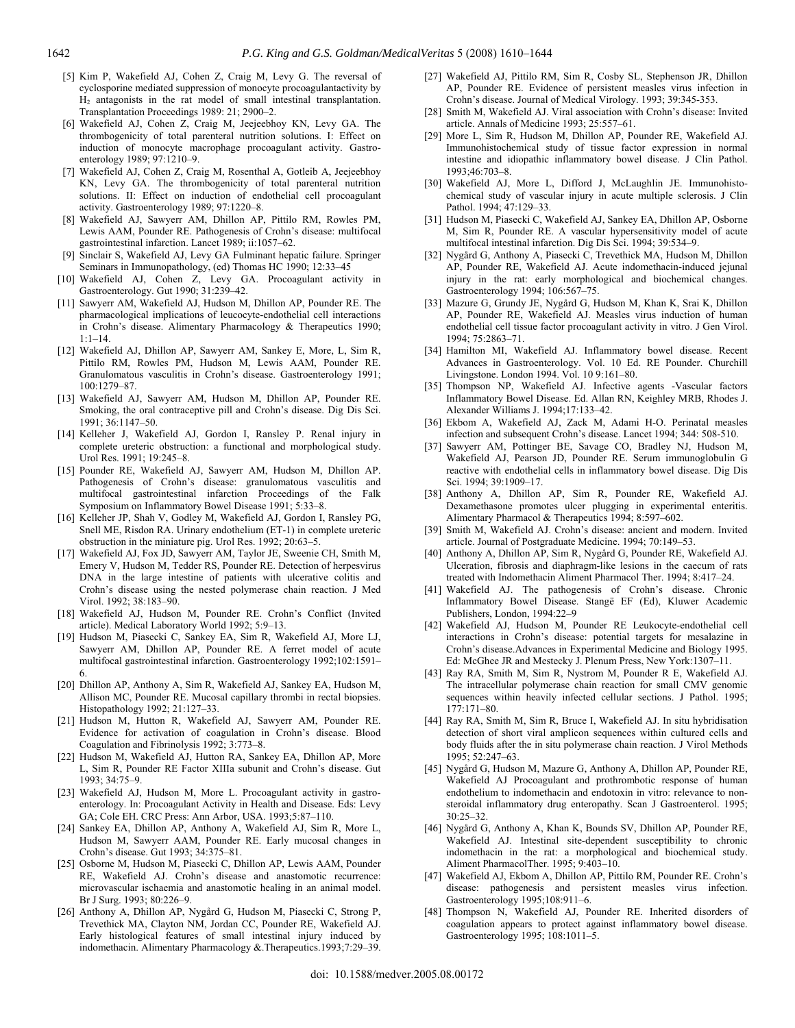- [5] Kim P, Wakefield AJ, Cohen Z, Craig M, Levy G. The reversal of cyclosporine mediated suppression of monocyte procoagulantactivity by H2 antagonists in the rat model of small intestinal transplantation. Transplantation Proceedings 1989: 21; 2900–2.
- [6] Wakefield AJ, Cohen Z, Craig M, Jeejeebhoy KN, Levy GA. The thrombogenicity of total parenteral nutrition solutions. I: Effect on induction of monocyte macrophage procoagulant activity. Gastroenterology 1989; 97:1210–9.
- [7] Wakefield AJ, Cohen Z, Craig M, Rosenthal A, Gotleib A, Jeejeebhoy KN, Levy GA. The thrombogenicity of total parenteral nutrition solutions. II: Effect on induction of endothelial cell procoagulant activity. Gastroenterology 1989; 97:1220–8.
- [8] Wakefield AJ, Sawyerr AM, Dhillon AP, Pittilo RM, Rowles PM, Lewis AAM, Pounder RE. Pathogenesis of Crohn's disease: multifocal gastrointestinal infarction. Lancet 1989; ii:1057–62.
- [9] Sinclair S, Wakefield AJ, Levy GA Fulminant hepatic failure. Springer Seminars in Immunopathology, (ed) Thomas HC 1990; 12:33–45
- [10] Wakefield AJ, Cohen Z, Levy GA. Procoagulant activity in Gastroenterology. Gut 1990; 31:239–42.
- [11] Sawyerr AM, Wakefield AJ, Hudson M, Dhillon AP, Pounder RE. The pharmacological implications of leucocyte-endothelial cell interactions in Crohn's disease. Alimentary Pharmacology & Therapeutics 1990; 1:1–14.
- [12] Wakefield AJ, Dhillon AP, Sawyerr AM, Sankey E, More, L, Sim R, Pittilo RM, Rowles PM, Hudson M, Lewis AAM, Pounder RE. Granulomatous vasculitis in Crohn's disease. Gastroenterology 1991; 100:1279–87.
- [13] Wakefield AJ, Sawyerr AM, Hudson M, Dhillon AP, Pounder RE. Smoking, the oral contraceptive pill and Crohn's disease. Dig Dis Sci. 1991; 36:1147–50.
- [14] Kelleher J, Wakefield AJ, Gordon I, Ransley P. Renal injury in complete ureteric obstruction: a functional and morphological study. Urol Res. 1991; 19:245–8.
- [15] Pounder RE, Wakefield AJ, Sawyerr AM, Hudson M, Dhillon AP. Pathogenesis of Crohn's disease: granulomatous vasculitis and multifocal gastrointestinal infarction Proceedings of the Falk Symposium on Inflammatory Bowel Disease 1991; 5:33–8.
- [16] Kelleher JP, Shah V, Godley M, Wakefield AJ, Gordon I, Ransley PG, Snell ME, Risdon RA. Urinary endothelium (ET-1) in complete ureteric obstruction in the miniature pig. Urol Res. 1992; 20:63–5.
- [17] Wakefield AJ, Fox JD, Sawyerr AM, Taylor JE, Sweenie CH, Smith M, Emery V, Hudson M, Tedder RS, Pounder RE. Detection of herpesvirus DNA in the large intestine of patients with ulcerative colitis and Crohn's disease using the nested polymerase chain reaction. J Med Virol. 1992; 38:183–90.
- [18] Wakefield AJ, Hudson M, Pounder RE. Crohn's Conflict (Invited article). Medical Laboratory World 1992; 5:9–13.
- [19] Hudson M, Piasecki C, Sankey EA, Sim R, Wakefield AJ, More LJ, Sawyerr AM, Dhillon AP, Pounder RE. A ferret model of acute multifocal gastrointestinal infarction. Gastroenterology 1992;102:1591– 6.
- [20] Dhillon AP, Anthony A, Sim R, Wakefield AJ, Sankey EA, Hudson M, Allison MC, Pounder RE. Mucosal capillary thrombi in rectal biopsies. Histopathology 1992; 21:127–33.
- [21] Hudson M, Hutton R, Wakefield AJ, Sawyerr AM, Pounder RE. Evidence for activation of coagulation in Crohn's disease. Blood Coagulation and Fibrinolysis 1992; 3:773–8.
- [22] Hudson M, Wakefield AJ, Hutton RA, Sankey EA, Dhillon AP, More L, Sim R, Pounder RE Factor XIIIa subunit and Crohn's disease. Gut 1993; 34:75–9.
- [23] Wakefield AJ, Hudson M, More L. Procoagulant activity in gastroenterology. In: Procoagulant Activity in Health and Disease. Eds: Levy GA; Cole EH. CRC Press: Ann Arbor, USA. 1993;5:87–110.
- [24] Sankey EA, Dhillon AP, Anthony A, Wakefield AJ, Sim R, More L, Hudson M, Sawyerr AAM, Pounder RE. Early mucosal changes in Crohn's disease. Gut 1993; 34:375–81.
- [25] Osborne M, Hudson M, Piasecki C, Dhillon AP, Lewis AAM, Pounder RE, Wakefield AJ. Crohn's disease and anastomotic recurrence: microvascular ischaemia and anastomotic healing in an animal model. Br J Surg. 1993; 80:226–9.
- [26] Anthony A, Dhillon AP, Nygård G, Hudson M, Piasecki C, Strong P, Trevethick MA, Clayton NM, Jordan CC, Pounder RE, Wakefield AJ. Early histological features of small intestinal injury induced by indomethacin. Alimentary Pharmacology &.Therapeutics.1993;7:29–39.
- [27] Wakefield AJ, Pittilo RM, Sim R, Cosby SL, Stephenson JR, Dhillon AP, Pounder RE. Evidence of persistent measles virus infection in Crohn's disease. Journal of Medical Virology. 1993; 39:345-353.
- [28] Smith M, Wakefield AJ. Viral association with Crohn's disease: Invited article. Annals of Medicine 1993; 25:557–61.
- [29] More L, Sim R, Hudson M, Dhillon AP, Pounder RE, Wakefield AJ. Immunohistochemical study of tissue factor expression in normal intestine and idiopathic inflammatory bowel disease. J Clin Pathol. 1993;46:703–8.
- [30] Wakefield AJ, More L, Difford J, McLaughlin JE. Immunohistochemical study of vascular injury in acute multiple sclerosis. J Clin Pathol. 1994; 47:129–33.
- [31] Hudson M, Piasecki C, Wakefield AJ, Sankey EA, Dhillon AP, Osborne M, Sim R, Pounder RE. A vascular hypersensitivity model of acute multifocal intestinal infarction. Dig Dis Sci. 1994; 39:534–9.
- [32] Nygård G, Anthony A, Piasecki C, Trevethick MA, Hudson M, Dhillon AP, Pounder RE, Wakefield AJ. Acute indomethacin-induced jejunal injury in the rat: early morphological and biochemical changes. Gastroenterology 1994; 106:567–75.
- [33] Mazure G, Grundy JE, Nygård G, Hudson M, Khan K, Srai K, Dhillon AP, Pounder RE, Wakefield AJ. Measles virus induction of human endothelial cell tissue factor procoagulant activity in vitro. J Gen Virol. 1994; 75:2863–71.
- [34] Hamilton MI, Wakefield AJ. Inflammatory bowel disease. Recent Advances in Gastroenterology. Vol. 10 Ed. RE Pounder. Churchill Livingstone. London 1994. Vol. 10 9:161–80.
- [35] Thompson NP, Wakefield AJ. Infective agents -Vascular factors Inflammatory Bowel Disease. Ed. Allan RN, Keighley MRB, Rhodes J. Alexander Williams J. 1994;17:133–42.
- [36] Ekbom A, Wakefield AJ, Zack M, Adami H-O. Perinatal measles infection and subsequent Crohn's disease. Lancet 1994; 344: 508-510.
- [37] Sawyerr AM, Pottinger BE, Savage CO, Bradley NJ, Hudson M, Wakefield AJ, Pearson JD, Pounder RE. Serum immunoglobulin G reactive with endothelial cells in inflammatory bowel disease. Dig Dis Sci. 1994; 39:1909–17.
- [38] Anthony A, Dhillon AP, Sim R, Pounder RE, Wakefield AJ. Dexamethasone promotes ulcer plugging in experimental enteritis. Alimentary Pharmacol & Therapeutics 1994; 8:597–602.
- [39] Smith M, Wakefield AJ. Crohn's disease: ancient and modern. Invited article. Journal of Postgraduate Medicine. 1994; 70:149–53.
- [40] Anthony A, Dhillon AP, Sim R, Nygård G, Pounder RE, Wakefield AJ. Ulceration, fibrosis and diaphragm-like lesions in the caecum of rats treated with Indomethacin Aliment Pharmacol Ther. 1994; 8:417–24.
- [41] Wakefield AJ. The pathogenesis of Crohn's disease. Chronic Inflammatory Bowel Disease. Stangë EF (Ed), Kluwer Academic Publishers, London, 1994:22–9
- [42] Wakefield AJ, Hudson M, Pounder RE Leukocyte-endothelial cell interactions in Crohn's disease: potential targets for mesalazine in Crohn's disease.Advances in Experimental Medicine and Biology 1995. Ed: McGhee JR and Mestecky J. Plenum Press, New York:1307–11.
- [43] Ray RA, Smith M, Sim R, Nystrom M, Pounder R E, Wakefield AJ. The intracellular polymerase chain reaction for small CMV genomic sequences within heavily infected cellular sections. J Pathol. 1995; 177:171–80.
- [44] Ray RA, Smith M, Sim R, Bruce I, Wakefield AJ. In situ hybridisation detection of short viral amplicon sequences within cultured cells and body fluids after the in situ polymerase chain reaction. J Virol Methods 1995; 52:247–63.
- [45] Nygård G, Hudson M, Mazure G, Anthony A, Dhillon AP, Pounder RE, Wakefield AJ Procoagulant and prothrombotic response of human endothelium to indomethacin and endotoxin in vitro: relevance to nonsteroidal inflammatory drug enteropathy. Scan J Gastroenterol. 1995; 30:25–32.
- [46] Nygård G, Anthony A, Khan K, Bounds SV, Dhillon AP, Pounder RE, Wakefield AJ. Intestinal site-dependent susceptibility to chronic indomethacin in the rat: a morphological and biochemical study. Aliment PharmacolTher. 1995; 9:403–10.
- [47] Wakefield AJ, Ekbom A, Dhillon AP, Pittilo RM, Pounder RE. Crohn's disease: pathogenesis and persistent measles virus infection. Gastroenterology 1995;108:911–6.
- [48] Thompson N, Wakefield AJ, Pounder RE. Inherited disorders of coagulation appears to protect against inflammatory bowel disease. Gastroenterology 1995; 108:1011–5.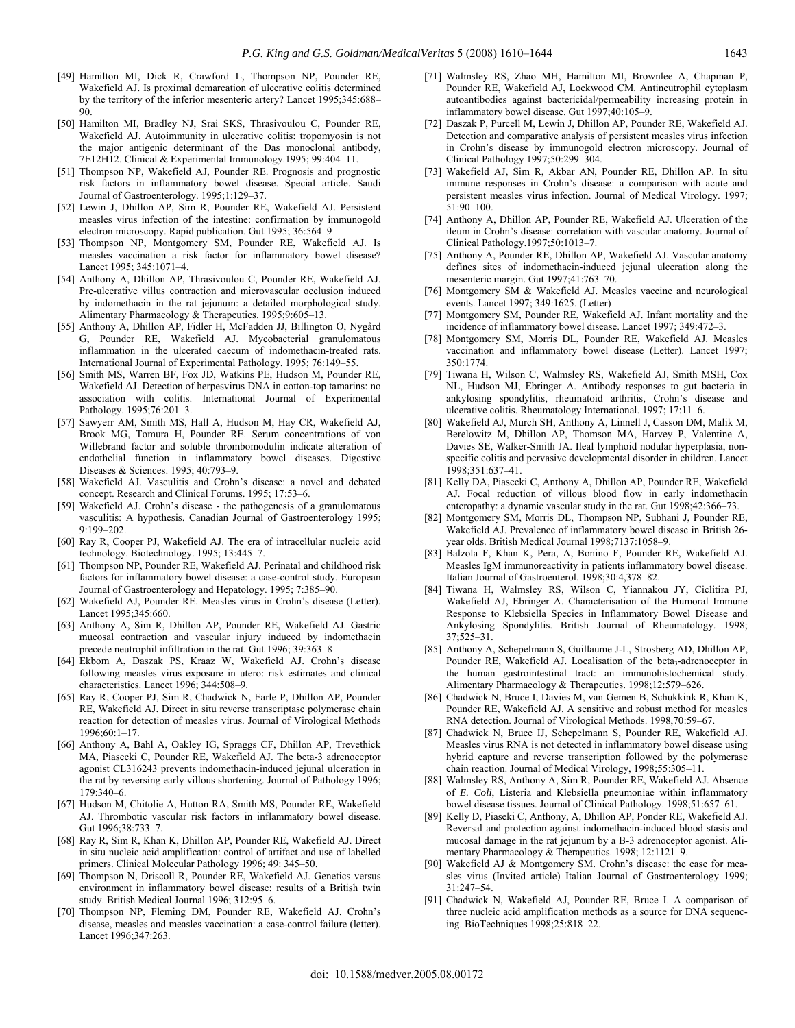- [49] Hamilton MI, Dick R, Crawford L, Thompson NP, Pounder RE, Wakefield AJ. Is proximal demarcation of ulcerative colitis determined by the territory of the inferior mesenteric artery? Lancet 1995;345:688– 90.
- [50] Hamilton MI, Bradley NJ, Srai SKS, Thrasivoulou C, Pounder RE, Wakefield AJ. Autoimmunity in ulcerative colitis: tropomyosin is not the major antigenic determinant of the Das monoclonal antibody, 7E12H12. Clinical & Experimental Immunology.1995; 99:404–11.
- [51] Thompson NP, Wakefield AJ, Pounder RE. Prognosis and prognostic risk factors in inflammatory bowel disease. Special article. Saudi Journal of Gastroenterology. 1995;1:129–37.
- [52] Lewin J, Dhillon AP, Sim R, Pounder RE, Wakefield AJ. Persistent measles virus infection of the intestine: confirmation by immunogold electron microscopy. Rapid publication. Gut 1995; 36:564–9
- [53] Thompson NP, Montgomery SM, Pounder RE, Wakefield AJ. Is measles vaccination a risk factor for inflammatory bowel disease? Lancet 1995; 345:1071–4.
- [54] Anthony A, Dhillon AP, Thrasivoulou C, Pounder RE, Wakefield AJ. Pre-ulcerative villus contraction and microvascular occlusion induced by indomethacin in the rat jejunum: a detailed morphological study. Alimentary Pharmacology & Therapeutics. 1995;9:605–13.
- [55] Anthony A, Dhillon AP, Fidler H, McFadden JJ, Billington O, Nygård G, Pounder RE, Wakefield AJ. Mycobacterial granulomatous inflammation in the ulcerated caecum of indomethacin-treated rats. International Journal of Experimental Pathology. 1995; 76:149–55.
- [56] Smith MS, Warren BF, Fox JD, Watkins PE, Hudson M, Pounder RE, Wakefield AJ. Detection of herpesvirus DNA in cotton-top tamarins: no association with colitis. International Journal of Experimental Pathology. 1995;76:201–3.
- [57] Sawyerr AM, Smith MS, Hall A, Hudson M, Hay CR, Wakefield AJ, Brook MG, Tomura H, Pounder RE. Serum concentrations of von Willebrand factor and soluble thrombomodulin indicate alteration of endothelial function in inflammatory bowel diseases. Digestive Diseases & Sciences. 1995; 40:793–9.
- [58] Wakefield AJ. Vasculitis and Crohn's disease: a novel and debated concept. Research and Clinical Forums. 1995; 17:53–6.
- [59] Wakefield AJ. Crohn's disease the pathogenesis of a granulomatous vasculitis: A hypothesis. Canadian Journal of Gastroenterology 1995; 9:199–202.
- [60] Ray R, Cooper PJ, Wakefield AJ. The era of intracellular nucleic acid technology. Biotechnology. 1995; 13:445–7.
- [61] Thompson NP, Pounder RE, Wakefield AJ. Perinatal and childhood risk factors for inflammatory bowel disease: a case-control study. European Journal of Gastroenterology and Hepatology. 1995; 7:385–90.
- [62] Wakefield AJ, Pounder RE. Measles virus in Crohn's disease (Letter). Lancet 1995;345:660.
- [63] Anthony A, Sim R, Dhillon AP, Pounder RE, Wakefield AJ. Gastric mucosal contraction and vascular injury induced by indomethacin precede neutrophil infiltration in the rat. Gut 1996; 39:363–8
- [64] Ekbom A, Daszak PS, Kraaz W, Wakefield AJ. Crohn's disease following measles virus exposure in utero: risk estimates and clinical characteristics. Lancet 1996; 344:508–9.
- [65] Ray R, Cooper PJ, Sim R, Chadwick N, Earle P, Dhillon AP, Pounder RE, Wakefield AJ. Direct in situ reverse transcriptase polymerase chain reaction for detection of measles virus. Journal of Virological Methods 1996;60:1–17.
- [66] Anthony A, Bahl A, Oakley IG, Spraggs CF, Dhillon AP, Trevethick MA, Piasecki C, Pounder RE, Wakefield AJ. The beta-3 adrenoceptor agonist CL316243 prevents indomethacin-induced jejunal ulceration in the rat by reversing early villous shortening. Journal of Pathology 1996; 179:340–6.
- [67] Hudson M, Chitolie A, Hutton RA, Smith MS, Pounder RE, Wakefield AJ. Thrombotic vascular risk factors in inflammatory bowel disease. Gut 1996;38:733–7.
- [68] Ray R, Sim R, Khan K, Dhillon AP, Pounder RE, Wakefield AJ. Direct in situ nucleic acid amplification: control of artifact and use of labelled primers. Clinical Molecular Pathology 1996; 49: 345–50.
- [69] Thompson N, Driscoll R, Pounder RE, Wakefield AJ. Genetics versus environment in inflammatory bowel disease: results of a British twin study. British Medical Journal 1996; 312:95–6.
- [70] Thompson NP, Fleming DM, Pounder RE, Wakefield AJ. Crohn's disease, measles and measles vaccination: a case-control failure (letter). Lancet 1996;347:263.
- [71] Walmsley RS, Zhao MH, Hamilton MI, Brownlee A, Chapman P, Pounder RE, Wakefield AJ, Lockwood CM. Antineutrophil cytoplasm autoantibodies against bactericidal/permeability increasing protein in inflammatory bowel disease. Gut 1997;40:105–9.
- [72] Daszak P, Purcell M, Lewin J, Dhillon AP, Pounder RE, Wakefield AJ. Detection and comparative analysis of persistent measles virus infection in Crohn's disease by immunogold electron microscopy. Journal of Clinical Pathology 1997;50:299–304.
- [73] Wakefield AJ, Sim R, Akbar AN, Pounder RE, Dhillon AP. In situ immune responses in Crohn's disease: a comparison with acute and persistent measles virus infection. Journal of Medical Virology. 1997; 51:90–100.
- [74] Anthony A, Dhillon AP, Pounder RE, Wakefield AJ. Ulceration of the ileum in Crohn's disease: correlation with vascular anatomy. Journal of Clinical Pathology.1997;50:1013–7.
- [75] Anthony A, Pounder RE, Dhillon AP, Wakefield AJ. Vascular anatomy defines sites of indomethacin-induced jejunal ulceration along the mesenteric margin. Gut 1997;41:763–70.
- [76] Montgomery SM & Wakefield AJ. Measles vaccine and neurological events. Lancet 1997; 349:1625. (Letter)
- [77] Montgomery SM, Pounder RE, Wakefield AJ. Infant mortality and the incidence of inflammatory bowel disease. Lancet 1997; 349:472–3.
- [78] Montgomery SM, Morris DL, Pounder RE, Wakefield AJ. Measles vaccination and inflammatory bowel disease (Letter). Lancet 1997; 350:1774.
- [79] Tiwana H, Wilson C, Walmsley RS, Wakefield AJ, Smith MSH, Cox NL, Hudson MJ, Ebringer A. Antibody responses to gut bacteria in ankylosing spondylitis, rheumatoid arthritis, Crohn's disease and ulcerative colitis. Rheumatology International. 1997; 17:11–6.
- [80] Wakefield AJ, Murch SH, Anthony A, Linnell J, Casson DM, Malik M, Berelowitz M, Dhillon AP, Thomson MA, Harvey P, Valentine A, Davies SE, Walker-Smith JA. Ileal lymphoid nodular hyperplasia, nonspecific colitis and pervasive developmental disorder in children. Lancet 1998;351:637–41.
- [81] Kelly DA, Piasecki C, Anthony A, Dhillon AP, Pounder RE, Wakefield AJ. Focal reduction of villous blood flow in early indomethacin enteropathy: a dynamic vascular study in the rat. Gut 1998;42:366–73.
- [82] Montgomery SM, Morris DL, Thompson NP, Subhani J, Pounder RE, Wakefield AJ. Prevalence of inflammatory bowel disease in British 26 year olds. British Medical Journal 1998;7137:1058–9.
- [83] Balzola F, Khan K, Pera, A, Bonino F, Pounder RE, Wakefield AJ. Measles IgM immunoreactivity in patients inflammatory bowel disease. Italian Journal of Gastroenterol. 1998;30:4,378–82.
- [84] Tiwana H, Walmsley RS, Wilson C, Yiannakou JY, Ciclitira PJ, Wakefield AJ, Ebringer A. Characterisation of the Humoral Immune Response to Klebsiella Species in Inflammatory Bowel Disease and Ankylosing Spondylitis. British Journal of Rheumatology. 1998; 37;525–31.
- [85] Anthony A, Schepelmann S, Guillaume J-L, Strosberg AD, Dhillon AP, Pounder RE, Wakefield AJ. Localisation of the beta<sub>3</sub>-adrenoceptor in the human gastrointestinal tract: an immunohistochemical study. Alimentary Pharmacology & Therapeutics. 1998;12:579–626.
- [86] Chadwick N, Bruce I, Davies M, van Gemen B, Schukkink R, Khan K, Pounder RE, Wakefield AJ. A sensitive and robust method for measles RNA detection. Journal of Virological Methods. 1998,70:59–67.
- [87] Chadwick N, Bruce IJ, Schepelmann S, Pounder RE, Wakefield AJ. Measles virus RNA is not detected in inflammatory bowel disease using hybrid capture and reverse transcription followed by the polymerase chain reaction. Journal of Medical Virology, 1998;55:305–11.
- [88] Walmsley RS, Anthony A, Sim R, Pounder RE, Wakefield AJ. Absence of *E. Coli*, Listeria and Klebsiella pneumoniae within inflammatory bowel disease tissues. Journal of Clinical Pathology. 1998;51:657–61.
- [89] Kelly D, Piaseki C, Anthony, A, Dhillon AP, Ponder RE, Wakefield AJ. Reversal and protection against indomethacin-induced blood stasis and mucosal damage in the rat jejunum by a B-3 adrenoceptor agonist. Alimentary Pharmacology & Therapeutics. 1998; 12:1121–9.
- [90] Wakefield AJ & Montgomery SM. Crohn's disease: the case for measles virus (Invited article) Italian Journal of Gastroenterology 1999; 31:247–54.
- [91] Chadwick N, Wakefield AJ, Pounder RE, Bruce I. A comparison of three nucleic acid amplification methods as a source for DNA sequencing. BioTechniques 1998;25:818–22.